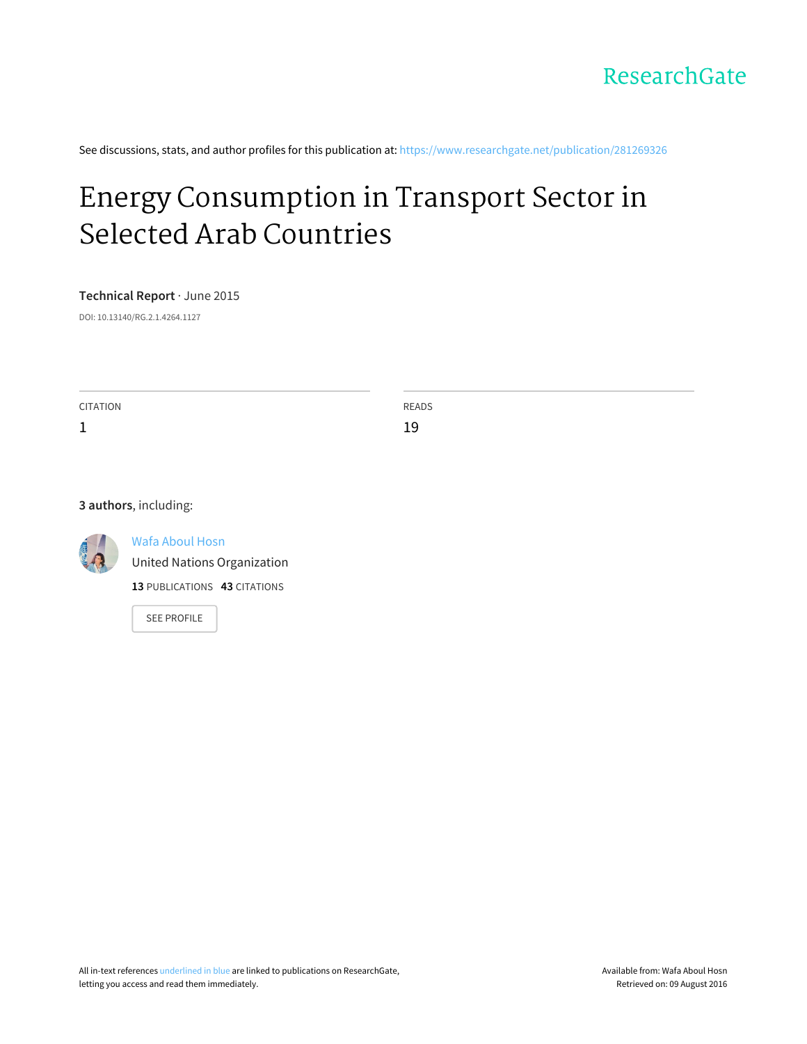See discussions, stats, and author profiles for this publication at: [https://www.researchgate.net/publication/281269326](https://www.researchgate.net/publication/281269326_Energy_Consumption_in_Transport_Sector_in_Selected_Arab_Countries?enrichId=rgreq-fda677c61fd774d007298727f6625c97-XXX&enrichSource=Y292ZXJQYWdlOzI4MTI2OTMyNjtBUzoyNjY2MzUwNTU0NjQ0NDhAMTQ0MDU4MjE1OTA3OA%3D%3D&el=1_x_2)

# Energy [Consumption](https://www.researchgate.net/publication/281269326_Energy_Consumption_in_Transport_Sector_in_Selected_Arab_Countries?enrichId=rgreq-fda677c61fd774d007298727f6625c97-XXX&enrichSource=Y292ZXJQYWdlOzI4MTI2OTMyNjtBUzoyNjY2MzUwNTU0NjQ0NDhAMTQ0MDU4MjE1OTA3OA%3D%3D&el=1_x_3) in Transport Sector in Selected Arab Countries

**Technical Report** · June 2015

DOI: 10.13140/RG.2.1.4264.1127

CITATION 1 READS 19

#### **3 authors**, including:



Wafa [Aboul](https://www.researchgate.net/profile/Wafa_Aboul_Hosn?enrichId=rgreq-fda677c61fd774d007298727f6625c97-XXX&enrichSource=Y292ZXJQYWdlOzI4MTI2OTMyNjtBUzoyNjY2MzUwNTU0NjQ0NDhAMTQ0MDU4MjE1OTA3OA%3D%3D&el=1_x_5) Hosn

United Nations [Organization](https://www.researchgate.net/institution/United_Nations_Organization?enrichId=rgreq-fda677c61fd774d007298727f6625c97-XXX&enrichSource=Y292ZXJQYWdlOzI4MTI2OTMyNjtBUzoyNjY2MzUwNTU0NjQ0NDhAMTQ0MDU4MjE1OTA3OA%3D%3D&el=1_x_6)

**13** PUBLICATIONS **43** CITATIONS

SEE [PROFILE](https://www.researchgate.net/profile/Wafa_Aboul_Hosn?enrichId=rgreq-fda677c61fd774d007298727f6625c97-XXX&enrichSource=Y292ZXJQYWdlOzI4MTI2OTMyNjtBUzoyNjY2MzUwNTU0NjQ0NDhAMTQ0MDU4MjE1OTA3OA%3D%3D&el=1_x_7)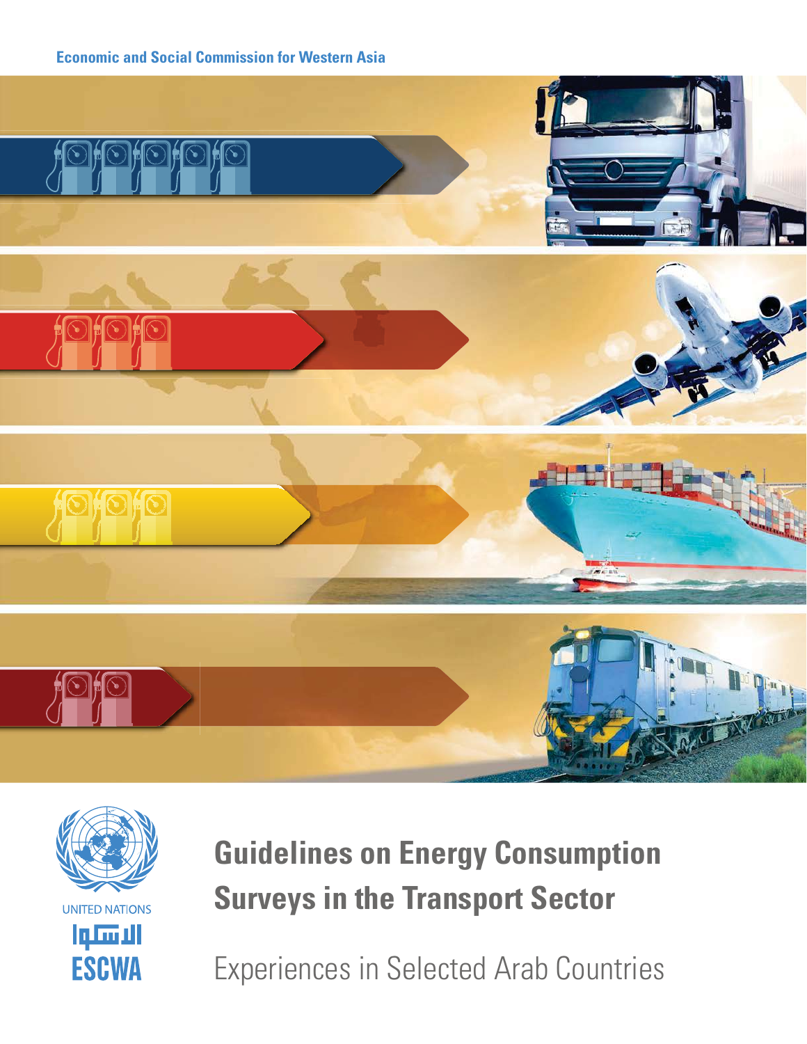





# **Guidelines on Energy Consumption Surveys in the Transport Sector**

Experiences in Selected Arab Countries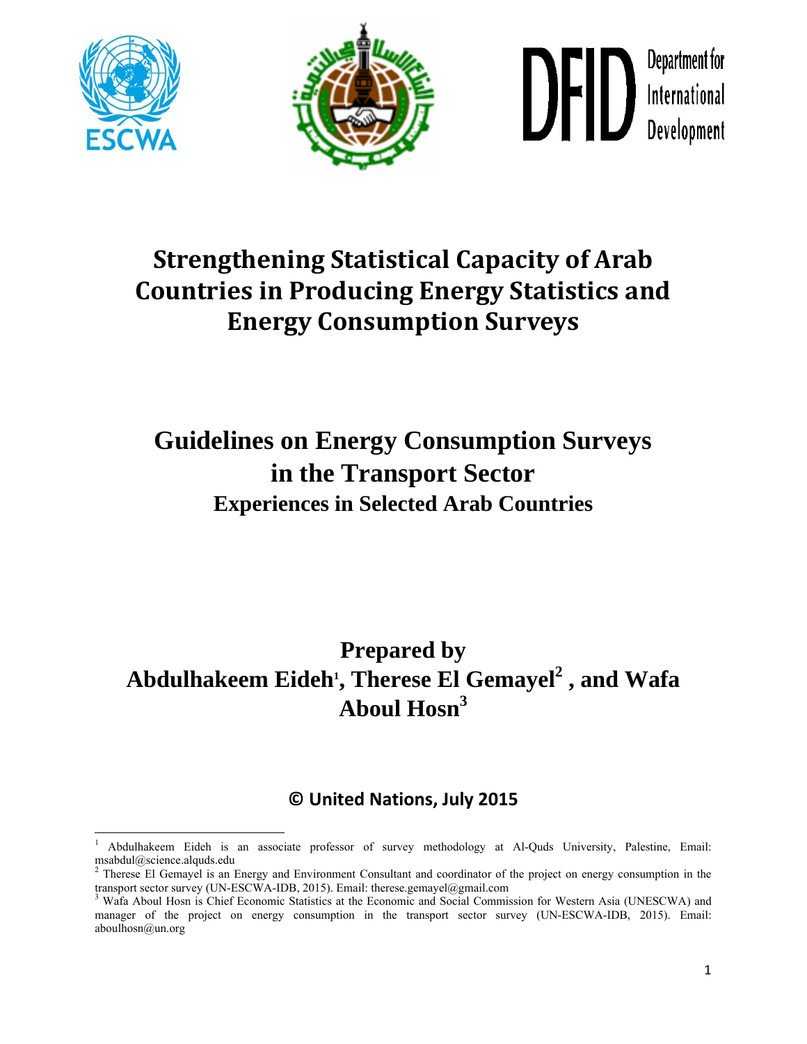





# **Strengthening Statistical Capacity of Arab Countries in Producing Energy Statistics and Energy Consumption Surveys**

# **Guidelines on Energy Consumption Surveys in the Transport Sector Experiences in Selected Arab Countries**

## **Prepared by**  Abdulhakeem Eideh<sup>1</sup>, Therese El Gemayel<sup>2</sup> , and Wafa **Aboul Hosn<sup>3</sup>**

## **© United Nations, July 2015**

 1 Abdulhakeem Eideh is an associate professor of survey methodology at Al-Quds University, Palestine, Email: msabdul@science.alquds.edu

<sup>&</sup>lt;sup>2</sup> Therese El Gemayel is an Energy and Environment Consultant and coordinator of the project on energy consumption in the transport sector survey (UN-ESCWA-IDB, 2015). Email: therese.gemayel@gmail.com

<sup>&</sup>lt;sup>3</sup> Wafa Aboul Hosn is Chief Economic Statistics at the Economic and Social Commission for Western Asia (UNESCWA) and manager of the project on energy consumption in the transport sector survey (UN-ESCWA-IDB, 2015). Email: aboulhosn@un.org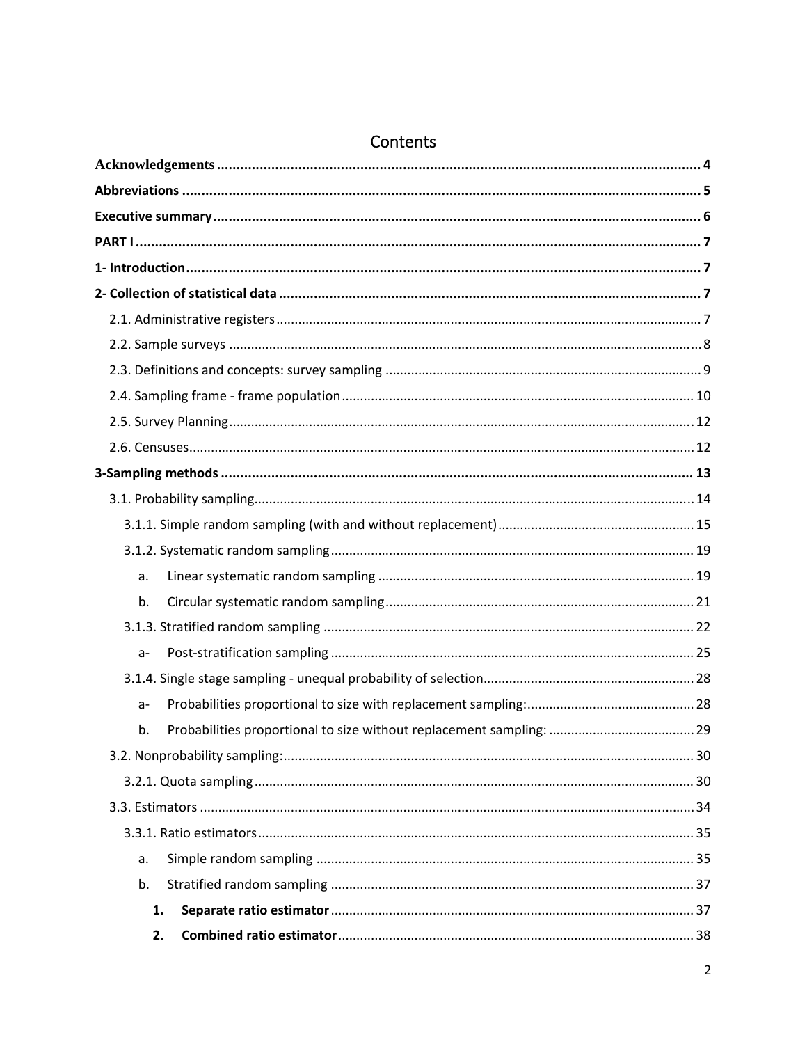| a.    |  |
|-------|--|
| b.    |  |
|       |  |
| $a -$ |  |
|       |  |
| $a -$ |  |
| b.    |  |
|       |  |
|       |  |
|       |  |
|       |  |
| a.    |  |
| b.    |  |
| 1.    |  |
| 2.    |  |

## Contents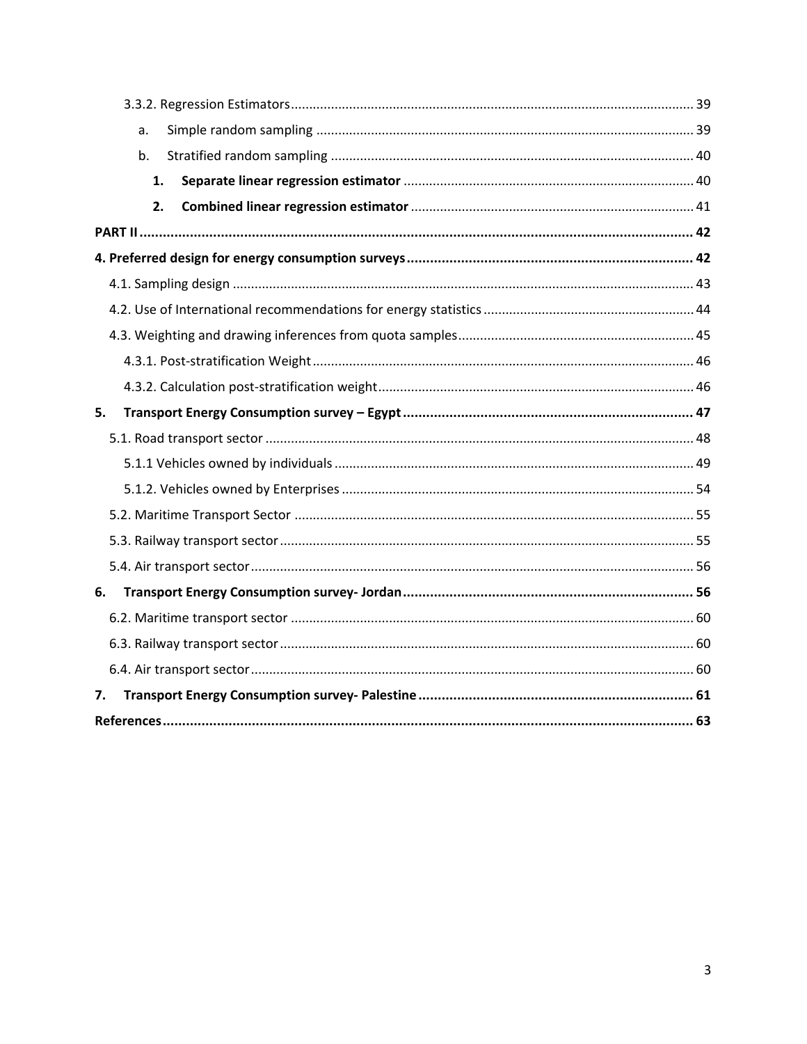| a. |  |
|----|--|
| b. |  |
| 1. |  |
| 2. |  |
|    |  |
|    |  |
|    |  |
|    |  |
|    |  |
|    |  |
|    |  |
| 5. |  |
|    |  |
|    |  |
|    |  |
|    |  |
|    |  |
|    |  |
| 6. |  |
|    |  |
|    |  |
|    |  |
| 7. |  |
|    |  |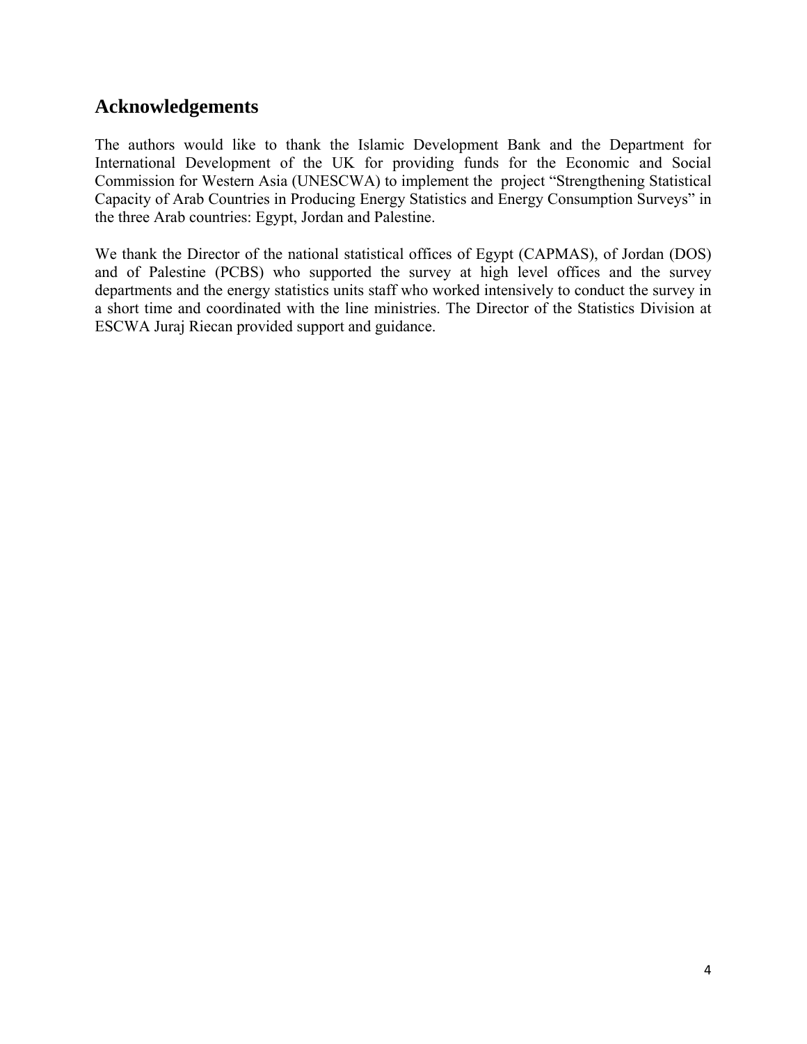## <span id="page-5-0"></span>**Acknowledgements**

The authors would like to thank the Islamic Development Bank and the Department for International Development of the UK for providing funds for the Economic and Social Commission for Western Asia (UNESCWA) to implement the project "Strengthening Statistical Capacity of Arab Countries in Producing Energy Statistics and Energy Consumption Surveys" in the three Arab countries: Egypt, Jordan and Palestine.

We thank the Director of the national statistical offices of Egypt (CAPMAS), of Jordan (DOS) and of Palestine (PCBS) who supported the survey at high level offices and the survey departments and the energy statistics units staff who worked intensively to conduct the survey in a short time and coordinated with the line ministries. The Director of the Statistics Division at ESCWA Juraj Riecan provided support and guidance.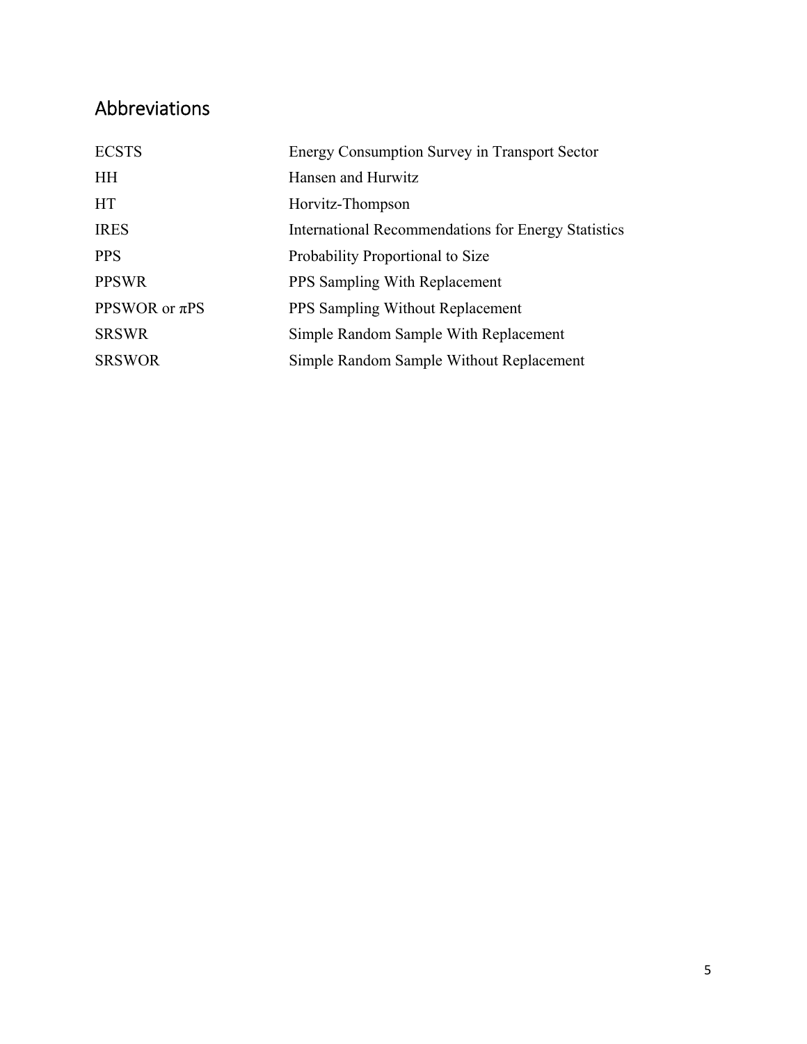## <span id="page-6-0"></span>Abbreviations

| <b>ECSTS</b>       | Energy Consumption Survey in Transport Sector       |
|--------------------|-----------------------------------------------------|
| <b>HH</b>          | Hansen and Hurwitz                                  |
| <b>HT</b>          | Horvitz-Thompson                                    |
| <b>IRES</b>        | International Recommendations for Energy Statistics |
| <b>PPS</b>         | Probability Proportional to Size                    |
| <b>PPSWR</b>       | <b>PPS</b> Sampling With Replacement                |
| PPSWOR or $\pi$ PS | <b>PPS Sampling Without Replacement</b>             |
| <b>SRSWR</b>       | Simple Random Sample With Replacement               |
| <b>SRSWOR</b>      | Simple Random Sample Without Replacement            |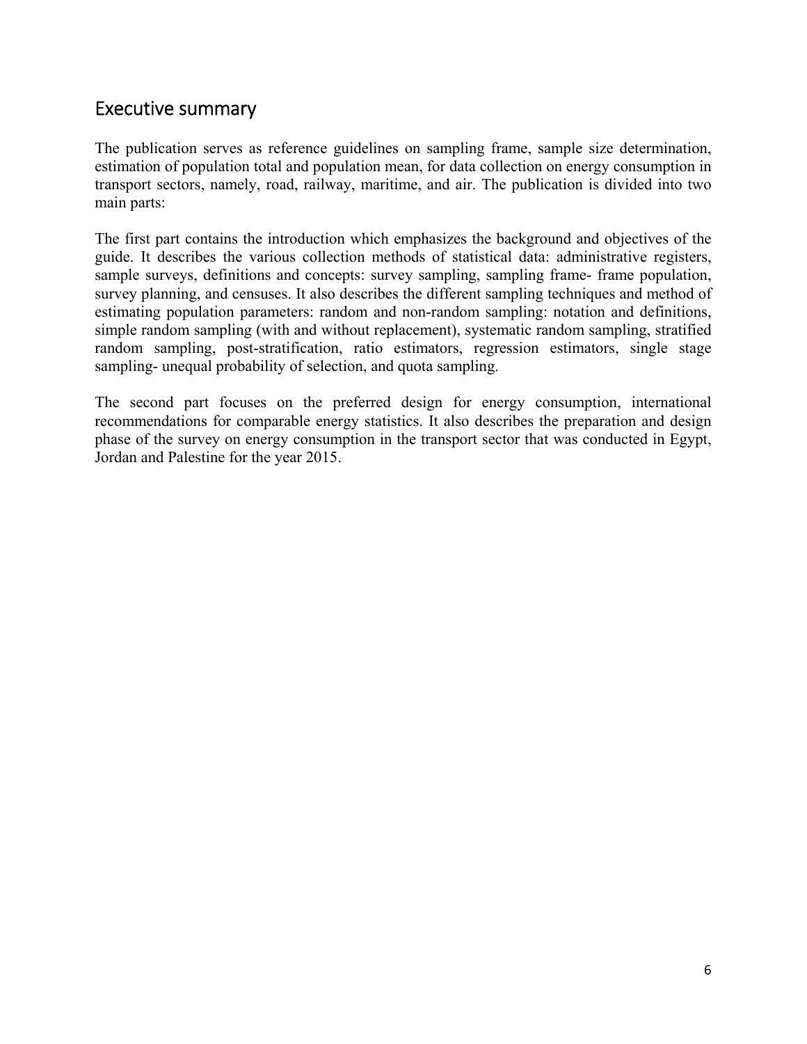## <span id="page-7-0"></span>Executive summary

The publication serves as reference guidelines on sampling frame, sample size determination, estimation of population total and population mean, for data collection on energy consumption in transport sectors, namely, road, railway, maritime, and air. The publication is divided into two main parts:

The first part contains the introduction which emphasizes the background and objectives of the guide. It describes the various collection methods of statistical data: administrative registers, sample surveys, definitions and concepts: survey sampling, sampling frame- frame population, survey planning, and censuses. It also describes the different sampling techniques and method of estimating population parameters: random and non-random sampling: notation and definitions, simple random sampling (with and without replacement), systematic random sampling, stratified random sampling, post-stratification, ratio estimators, regression estimators, single stage sampling- unequal probability of selection, and quota sampling.

The second part focuses on the preferred design for energy consumption, international recommendations for comparable energy statistics. It also describes the preparation and design phase of the survey on energy consumption in the transport sector that was conducted in Egypt, Jordan and Palestine for the year 2015.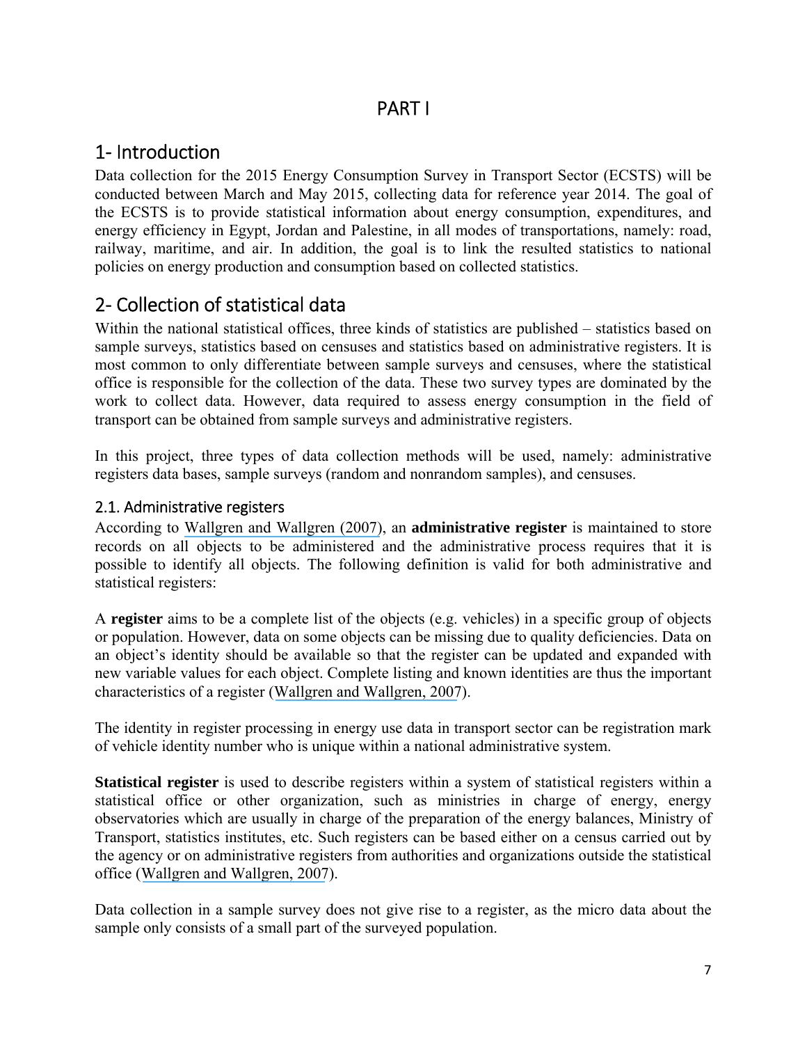## PART I

## <span id="page-8-0"></span>1‐ Introduction

Data collection for the 2015 Energy Consumption Survey in Transport Sector (ECSTS) will be conducted between March and May 2015, collecting data for reference year 2014. The goal of the ECSTS is to provide statistical information about energy consumption, expenditures, and energy efficiency in Egypt, Jordan and Palestine, in all modes of transportations, namely: road, railway, maritime, and air. In addition, the goal is to link the resulted statistics to national policies on energy production and consumption based on collected statistics.

## 2‐ Collection of statistical data

Within the national statistical offices, three kinds of statistics are published – statistics based on sample surveys, statistics based on censuses and statistics based on administrative registers. It is most common to only differentiate between sample surveys and censuses, where the statistical office is responsible for the collection of the data. These two survey types are dominated by the work to collect data. However, data required to assess energy consumption in the field of transport can be obtained from sample surveys and administrative registers.

In this project, three types of data collection methods will be used, namely: administrative registers data bases, sample surveys (random and nonrandom samples), and censuses.

### 2.1. Administrative registers

According to [Wallgren and Wallgren \(2007\)](https://www.researchgate.net/publication/266919006_Register-Based_Statistics_Administrative_Data_for_Statistical_Purposes?el=1_x_8&enrichId=rgreq-fda677c61fd774d007298727f6625c97-XXX&enrichSource=Y292ZXJQYWdlOzI4MTI2OTMyNjtBUzoyNjY2MzUwNTU0NjQ0NDhAMTQ0MDU4MjE1OTA3OA==), an **administrative register** is maintained to store records on all objects to be administered and the administrative process requires that it is possible to identify all objects. The following definition is valid for both administrative and statistical registers:

A **register** aims to be a complete list of the objects (e.g. vehicles) in a specific group of objects or population. However, data on some objects can be missing due to quality deficiencies. Data on an object's identity should be available so that the register can be updated and expanded with new variable values for each object. Complete listing and known identities are thus the important characteristics of a register ([Wallgren and Wallgren, 2007](https://www.researchgate.net/publication/266919006_Register-Based_Statistics_Administrative_Data_for_Statistical_Purposes?el=1_x_8&enrichId=rgreq-fda677c61fd774d007298727f6625c97-XXX&enrichSource=Y292ZXJQYWdlOzI4MTI2OTMyNjtBUzoyNjY2MzUwNTU0NjQ0NDhAMTQ0MDU4MjE1OTA3OA==)).

The identity in register processing in energy use data in transport sector can be registration mark of vehicle identity number who is unique within a national administrative system.

**Statistical register** is used to describe registers within a system of statistical registers within a statistical office or other organization, such as ministries in charge of energy, energy observatories which are usually in charge of the preparation of the energy balances, Ministry of Transport, statistics institutes, etc. Such registers can be based either on a census carried out by the agency or on administrative registers from authorities and organizations outside the statistical office ([Wallgren and Wallgren, 2007](https://www.researchgate.net/publication/266919006_Register-Based_Statistics_Administrative_Data_for_Statistical_Purposes?el=1_x_8&enrichId=rgreq-fda677c61fd774d007298727f6625c97-XXX&enrichSource=Y292ZXJQYWdlOzI4MTI2OTMyNjtBUzoyNjY2MzUwNTU0NjQ0NDhAMTQ0MDU4MjE1OTA3OA==)).

Data collection in a sample survey does not give rise to a register, as the micro data about the sample only consists of a small part of the surveyed population.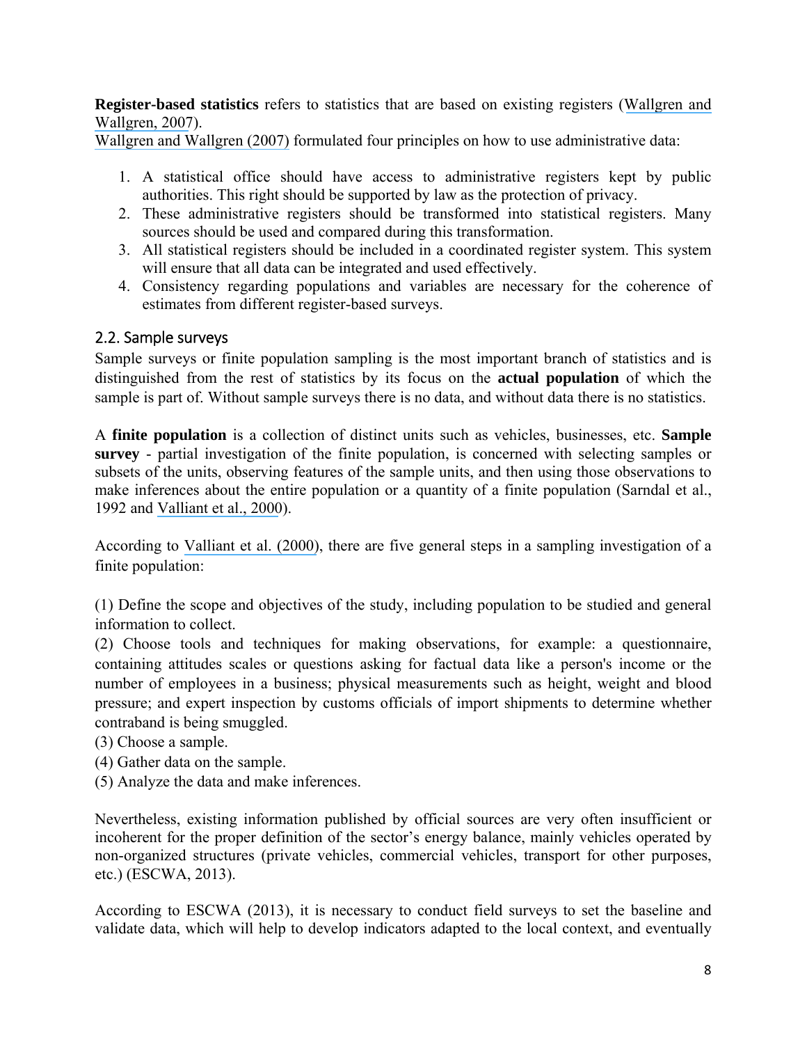<span id="page-9-0"></span>**Register-based statistics** refers to statistics that are based on existing registers ([Wallgren and](https://www.researchgate.net/publication/266919006_Register-Based_Statistics_Administrative_Data_for_Statistical_Purposes?el=1_x_8&enrichId=rgreq-fda677c61fd774d007298727f6625c97-XXX&enrichSource=Y292ZXJQYWdlOzI4MTI2OTMyNjtBUzoyNjY2MzUwNTU0NjQ0NDhAMTQ0MDU4MjE1OTA3OA==) [Wallgren, 2007](https://www.researchgate.net/publication/266919006_Register-Based_Statistics_Administrative_Data_for_Statistical_Purposes?el=1_x_8&enrichId=rgreq-fda677c61fd774d007298727f6625c97-XXX&enrichSource=Y292ZXJQYWdlOzI4MTI2OTMyNjtBUzoyNjY2MzUwNTU0NjQ0NDhAMTQ0MDU4MjE1OTA3OA==)).

[Wallgren and Wallgren \(2007\)](https://www.researchgate.net/publication/266919006_Register-Based_Statistics_Administrative_Data_for_Statistical_Purposes?el=1_x_8&enrichId=rgreq-fda677c61fd774d007298727f6625c97-XXX&enrichSource=Y292ZXJQYWdlOzI4MTI2OTMyNjtBUzoyNjY2MzUwNTU0NjQ0NDhAMTQ0MDU4MjE1OTA3OA==) formulated four principles on how to use administrative data:

- 1. A statistical office should have access to administrative registers kept by public authorities. This right should be supported by law as the protection of privacy.
- 2. These administrative registers should be transformed into statistical registers. Many sources should be used and compared during this transformation.
- 3. All statistical registers should be included in a coordinated register system. This system will ensure that all data can be integrated and used effectively.
- 4. Consistency regarding populations and variables are necessary for the coherence of estimates from different register-based surveys.

### 2.2. Sample surveys

Sample surveys or finite population sampling is the most important branch of statistics and is distinguished from the rest of statistics by its focus on the **actual population** of which the sample is part of. Without sample surveys there is no data, and without data there is no statistics.

A **finite population** is a collection of distinct units such as vehicles, businesses, etc. **Sample survey** - partial investigation of the finite population, is concerned with selecting samples or subsets of the units, observing features of the sample units, and then using those observations to make inferences about the entire population or a quantity of a finite population (Sarndal et al., 1992 and [Valliant et al., 2000](https://www.researchgate.net/publication/246193851_Finite_Population_Sampling_and_Inference?el=1_x_8&enrichId=rgreq-fda677c61fd774d007298727f6625c97-XXX&enrichSource=Y292ZXJQYWdlOzI4MTI2OTMyNjtBUzoyNjY2MzUwNTU0NjQ0NDhAMTQ0MDU4MjE1OTA3OA==)).

According to [Valliant et al. \(2000\)](https://www.researchgate.net/publication/246193851_Finite_Population_Sampling_and_Inference?el=1_x_8&enrichId=rgreq-fda677c61fd774d007298727f6625c97-XXX&enrichSource=Y292ZXJQYWdlOzI4MTI2OTMyNjtBUzoyNjY2MzUwNTU0NjQ0NDhAMTQ0MDU4MjE1OTA3OA==), there are five general steps in a sampling investigation of a finite population:

(1) Define the scope and objectives of the study, including population to be studied and general information to collect.

(2) Choose tools and techniques for making observations, for example: a questionnaire, containing attitudes scales or questions asking for factual data like a person's income or the number of employees in a business; physical measurements such as height, weight and blood pressure; and expert inspection by customs officials of import shipments to determine whether contraband is being smuggled.

- (3) Choose a sample.
- (4) Gather data on the sample.
- (5) Analyze the data and make inferences.

Nevertheless, existing information published by official sources are very often insufficient or incoherent for the proper definition of the sector's energy balance, mainly vehicles operated by non-organized structures (private vehicles, commercial vehicles, transport for other purposes, etc.) (ESCWA, 2013).

According to ESCWA (2013), it is necessary to conduct field surveys to set the baseline and validate data, which will help to develop indicators adapted to the local context, and eventually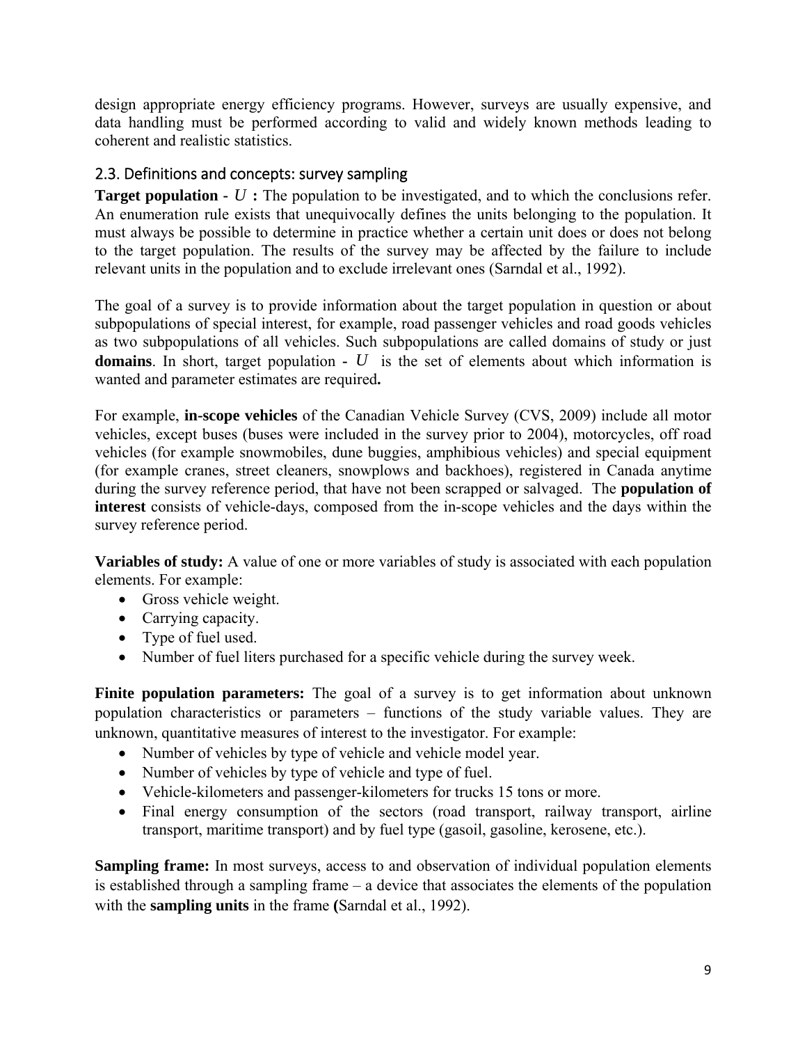<span id="page-10-0"></span>design appropriate energy efficiency programs. However, surveys are usually expensive, and data handling must be performed according to valid and widely known methods leading to coherent and realistic statistics.

### 2.3. Definitions and concepts: survey sampling

**Target population -** *U* **:** The population to be investigated, and to which the conclusions refer. An enumeration rule exists that unequivocally defines the units belonging to the population. It must always be possible to determine in practice whether a certain unit does or does not belong to the target population. The results of the survey may be affected by the failure to include relevant units in the population and to exclude irrelevant ones (Sarndal et al., 1992).

The goal of a survey is to provide information about the target population in question or about subpopulations of special interest, for example, road passenger vehicles and road goods vehicles as two subpopulations of all vehicles. Such subpopulations are called domains of study or just **domains**. In short, target population  $\cdot$  *U* is the set of elements about which information is wanted and parameter estimates are required**.**

For example, **in-scope vehicles** of the Canadian Vehicle Survey (CVS, 2009) include all motor vehicles, except buses (buses were included in the survey prior to 2004), motorcycles, off road vehicles (for example snowmobiles, dune buggies, amphibious vehicles) and special equipment (for example cranes, street cleaners, snowplows and backhoes), registered in Canada anytime during the survey reference period, that have not been scrapped or salvaged. The **population of interest** consists of vehicle-days, composed from the in-scope vehicles and the days within the survey reference period.

**Variables of study:** A value of one or more variables of study is associated with each population elements. For example:

- Gross vehicle weight.
- Carrying capacity.
- Type of fuel used.
- Number of fuel liters purchased for a specific vehicle during the survey week.

**Finite population parameters:** The goal of a survey is to get information about unknown population characteristics or parameters – functions of the study variable values. They are unknown, quantitative measures of interest to the investigator. For example:

- Number of vehicles by type of vehicle and vehicle model year.
- Number of vehicles by type of vehicle and type of fuel.
- Vehicle-kilometers and passenger-kilometers for trucks 15 tons or more.
- Final energy consumption of the sectors (road transport, railway transport, airline transport, maritime transport) and by fuel type (gasoil, gasoline, kerosene, etc.).

**Sampling frame:** In most surveys, access to and observation of individual population elements is established through a sampling frame – a device that associates the elements of the population with the **sampling units** in the frame **(**Sarndal et al., 1992).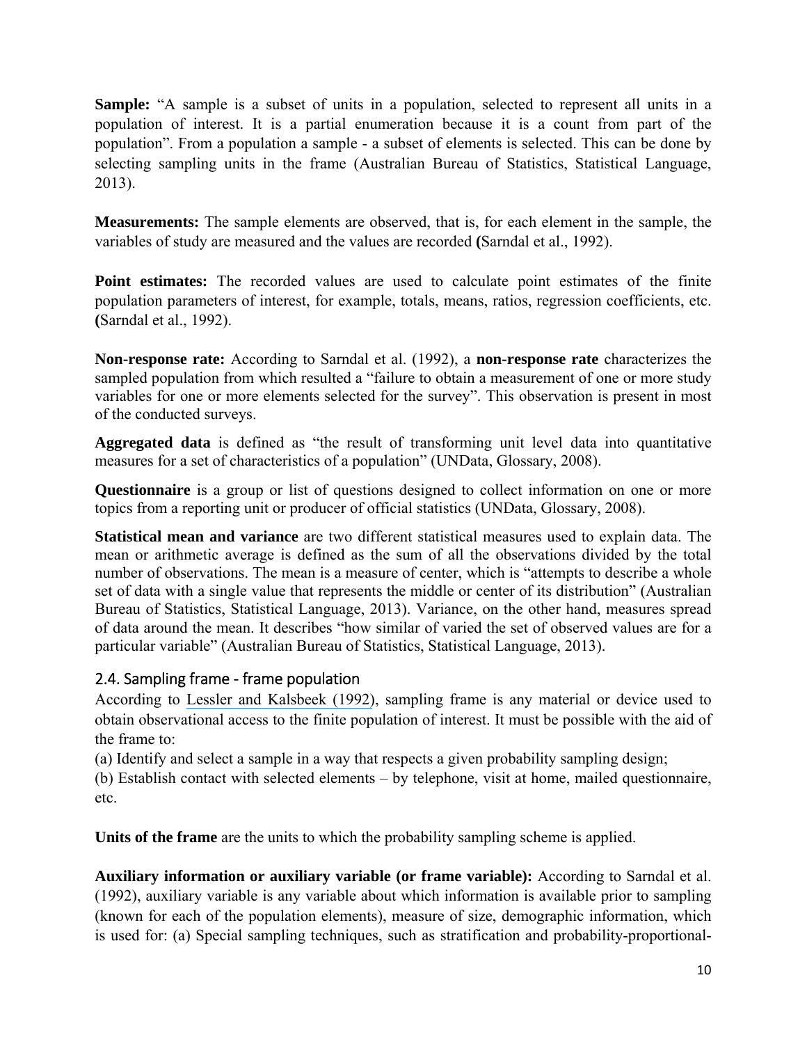<span id="page-11-0"></span>**Sample:** "A sample is a subset of units in a population, selected to represent all units in a population of interest. It is a partial enumeration because it is a count from part of the population". From a population a sample - a subset of elements is selected. This can be done by selecting sampling units in the frame (Australian Bureau of Statistics, Statistical Language, 2013).

**Measurements:** The sample elements are observed, that is, for each element in the sample, the variables of study are measured and the values are recorded **(**Sarndal et al., 1992).

**Point estimates:** The recorded values are used to calculate point estimates of the finite population parameters of interest, for example, totals, means, ratios, regression coefficients, etc. **(**Sarndal et al., 1992).

**Non-response rate:** According to Sarndal et al. (1992), a **non-response rate** characterizes the sampled population from which resulted a "failure to obtain a measurement of one or more study variables for one or more elements selected for the survey". This observation is present in most of the conducted surveys.

**Aggregated data** is defined as "the result of transforming unit level data into quantitative measures for a set of characteristics of a population" (UNData, Glossary, 2008).

**Questionnaire** is a group or list of questions designed to collect information on one or more topics from a reporting unit or producer of official statistics (UNData, Glossary, 2008).

**Statistical mean and variance** are two different statistical measures used to explain data. The mean or arithmetic average is defined as the sum of all the observations divided by the total number of observations. The mean is a measure of center, which is "attempts to describe a whole set of data with a single value that represents the middle or center of its distribution" (Australian Bureau of Statistics, Statistical Language, 2013). Variance, on the other hand, measures spread of data around the mean. It describes "how similar of varied the set of observed values are for a particular variable" (Australian Bureau of Statistics, Statistical Language, 2013).

### 2.4. Sampling frame ‐ frame population

According to [Lessler and Kalsbeek \(1992\)](https://www.researchgate.net/publication/265369810_Nonsampling_Error_in_Surveys?el=1_x_8&enrichId=rgreq-fda677c61fd774d007298727f6625c97-XXX&enrichSource=Y292ZXJQYWdlOzI4MTI2OTMyNjtBUzoyNjY2MzUwNTU0NjQ0NDhAMTQ0MDU4MjE1OTA3OA==), sampling frame is any material or device used to obtain observational access to the finite population of interest. It must be possible with the aid of the frame to:

(a) Identify and select a sample in a way that respects a given probability sampling design;

(b) Establish contact with selected elements – by telephone, visit at home, mailed questionnaire, etc.

**Units of the frame** are the units to which the probability sampling scheme is applied.

**Auxiliary information or auxiliary variable (or frame variable):** According to Sarndal et al. (1992), auxiliary variable is any variable about which information is available prior to sampling (known for each of the population elements), measure of size, demographic information, which is used for: (a) Special sampling techniques, such as stratification and probability-proportional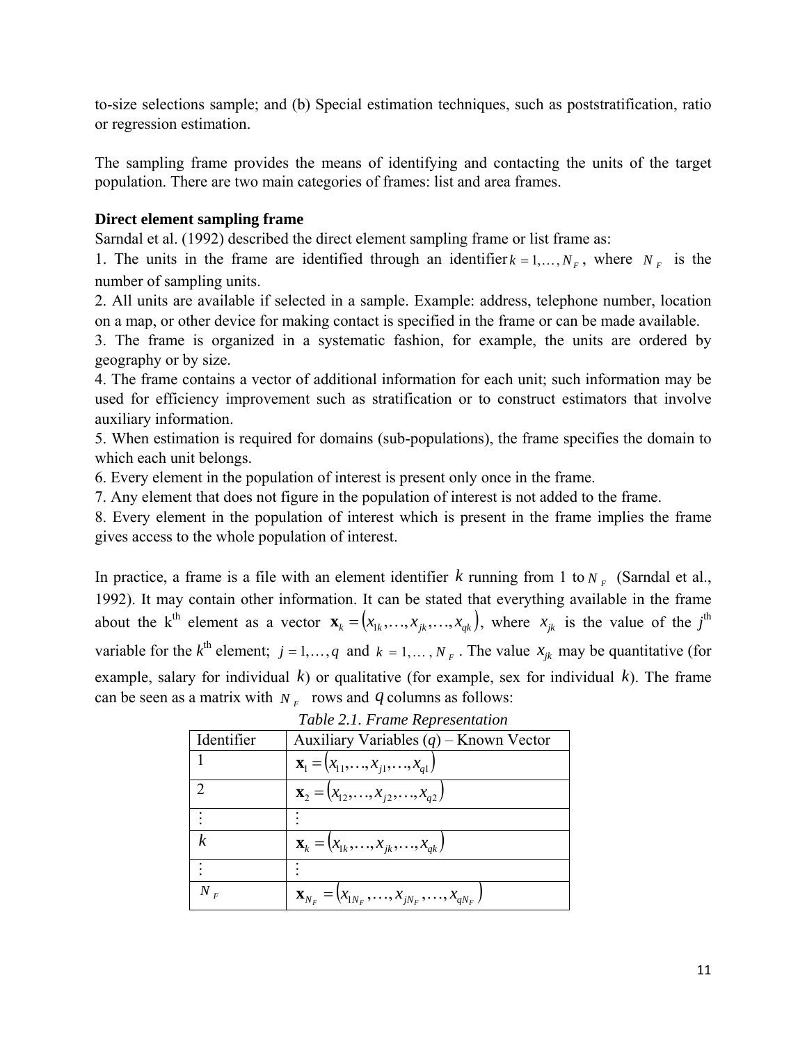to-size selections sample; and (b) Special estimation techniques, such as poststratification, ratio or regression estimation.

The sampling frame provides the means of identifying and contacting the units of the target population. There are two main categories of frames: list and area frames.

#### **Direct element sampling frame**

Sarndal et al. (1992) described the direct element sampling frame or list frame as:

1. The units in the frame are identified through an identifier  $k = 1, ..., N_F$ , where  $N_F$  is the number of sampling units.

2. All units are available if selected in a sample. Example: address, telephone number, location on a map, or other device for making contact is specified in the frame or can be made available.

3. The frame is organized in a systematic fashion, for example, the units are ordered by geography or by size.

4. The frame contains a vector of additional information for each unit; such information may be used for efficiency improvement such as stratification or to construct estimators that involve auxiliary information.

5. When estimation is required for domains (sub-populations), the frame specifies the domain to which each unit belongs.

6. Every element in the population of interest is present only once in the frame.

7. Any element that does not figure in the population of interest is not added to the frame.

8. Every element in the population of interest which is present in the frame implies the frame gives access to the whole population of interest.

In practice, a frame is a file with an element identifier *k* running from 1 to  $N_F$  (Sarndal et al., 1992). It may contain other information. It can be stated that everything available in the frame about the k<sup>th</sup> element as a vector  $\mathbf{x}_k = (x_{1k},...,x_{jk},...,x_{qk})$ , where  $x_{jk}$  is the value of the *j*<sup>th</sup> variable for the  $k^{\text{th}}$  element;  $j = 1, ..., q$  and  $k = 1, ..., N_F$ . The value  $x_{jk}$  may be quantitative (for example, salary for individual *k*) or qualitative (for example, sex for individual *k*). The frame can be seen as a matrix with  $N_F$  rows and  $q$  columns as follows:

| Identifier       | Auxiliary Variables $(q)$ – Known Vector                            |
|------------------|---------------------------------------------------------------------|
|                  | $\mathbf{x}_{1} = (x_{11},,x_{i1},,x_{q1})$                         |
|                  | $\mathbf{x}_2 = (x_{12},,x_{i2},,x_{q2})$                           |
|                  |                                                                     |
| $\boldsymbol{k}$ | $\mathbf{x}_{k} = (x_{1k},,x_{jk},,x_{qk})$                         |
|                  |                                                                     |
| $N_F$            | $\mathbf{x}_{N_F} = (x_{1N_F}, \ldots, x_{jN_F}, \ldots, x_{qN_F})$ |

*Table 2.1. Frame Representation*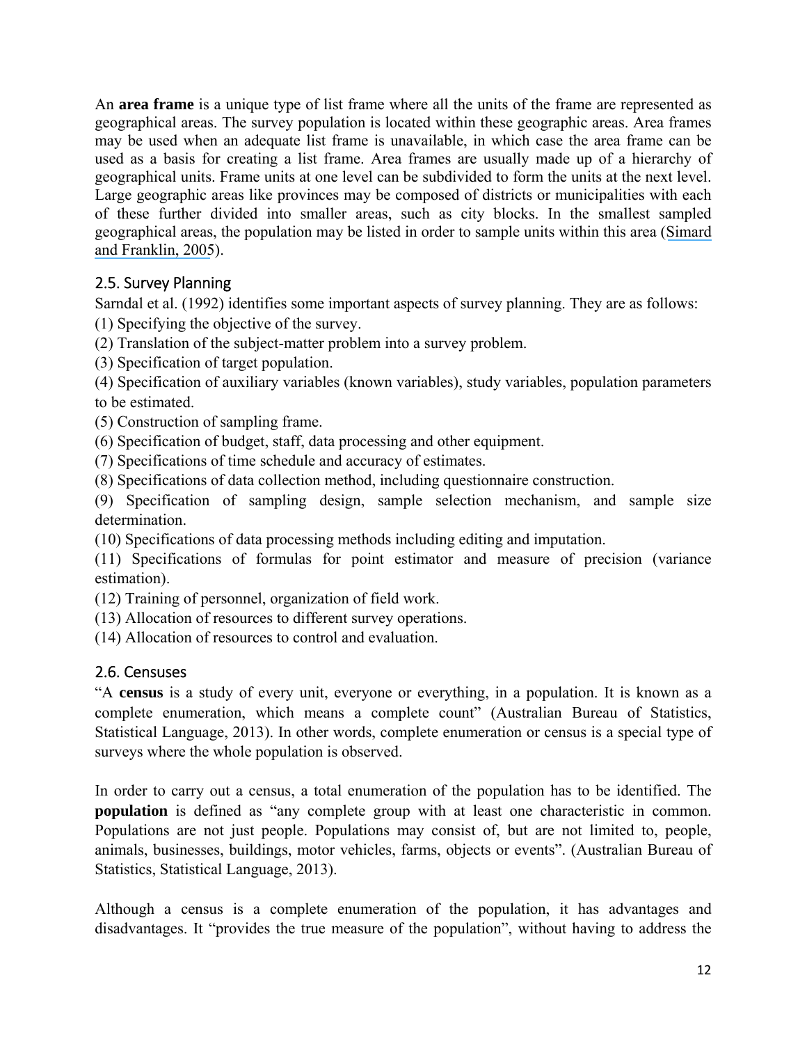<span id="page-13-0"></span>An **area frame** is a unique type of list frame where all the units of the frame are represented as geographical areas. The survey population is located within these geographic areas. Area frames may be used when an adequate list frame is unavailable, in which case the area frame can be used as a basis for creating a list frame. Area frames are usually made up of a hierarchy of geographical units. Frame units at one level can be subdivided to form the units at the next level. Large geographic areas like provinces may be composed of districts or municipalities with each of these further divided into smaller areas, such as city blocks. In the smallest sampled geographical areas, the population may be listed in order to sample units within this area ([Simard](https://www.researchgate.net/publication/254992821_I_Sample_Design_Guidelines?el=1_x_8&enrichId=rgreq-fda677c61fd774d007298727f6625c97-XXX&enrichSource=Y292ZXJQYWdlOzI4MTI2OTMyNjtBUzoyNjY2MzUwNTU0NjQ0NDhAMTQ0MDU4MjE1OTA3OA==) [and Franklin, 2005](https://www.researchgate.net/publication/254992821_I_Sample_Design_Guidelines?el=1_x_8&enrichId=rgreq-fda677c61fd774d007298727f6625c97-XXX&enrichSource=Y292ZXJQYWdlOzI4MTI2OTMyNjtBUzoyNjY2MzUwNTU0NjQ0NDhAMTQ0MDU4MjE1OTA3OA==)).

### 2.5. Survey Planning

Sarndal et al. (1992) identifies some important aspects of survey planning. They are as follows: (1) Specifying the objective of the survey.

(2) Translation of the subject-matter problem into a survey problem.

(3) Specification of target population.

(4) Specification of auxiliary variables (known variables), study variables, population parameters to be estimated.

(5) Construction of sampling frame.

(6) Specification of budget, staff, data processing and other equipment.

(7) Specifications of time schedule and accuracy of estimates.

(8) Specifications of data collection method, including questionnaire construction.

(9) Specification of sampling design, sample selection mechanism, and sample size determination.

(10) Specifications of data processing methods including editing and imputation.

(11) Specifications of formulas for point estimator and measure of precision (variance estimation).

(12) Training of personnel, organization of field work.

(13) Allocation of resources to different survey operations.

(14) Allocation of resources to control and evaluation.

### 2.6. Censuses

"A **census** is a study of every unit, everyone or everything, in a population. It is known as a complete enumeration, which means a complete count" (Australian Bureau of Statistics, Statistical Language, 2013). In other words, complete enumeration or census is a special type of surveys where the whole population is observed.

In order to carry out a census, a total enumeration of the population has to be identified. The **population** is defined as "any complete group with at least one characteristic in common. Populations are not just people. Populations may consist of, but are not limited to, people, animals, businesses, buildings, motor vehicles, farms, objects or events". (Australian Bureau of Statistics, Statistical Language, 2013).

Although a census is a complete enumeration of the population, it has advantages and disadvantages. It "provides the true measure of the population", without having to address the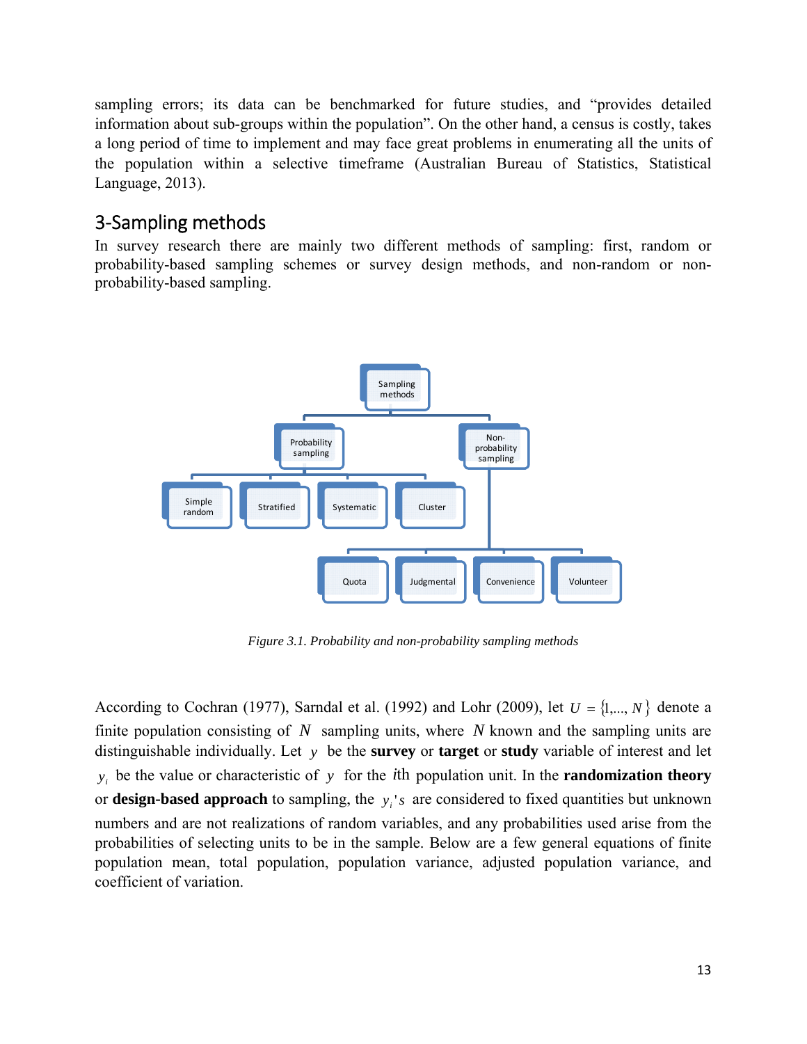<span id="page-14-0"></span>sampling errors; its data can be benchmarked for future studies, and "provides detailed information about sub-groups within the population". On the other hand, a census is costly, takes a long period of time to implement and may face great problems in enumerating all the units of the population within a selective timeframe (Australian Bureau of Statistics, Statistical Language, 2013).

## 3‐Sampling methods

In survey research there are mainly two different methods of sampling: first, random or probability-based sampling schemes or survey design methods, and non-random or nonprobability-based sampling.



*Figure 3.1. Probability and non-probability sampling methods* 

According to Cochran (1977), Sarndal et al. (1992) and Lohr (2009), let  $U = \{1, ..., N\}$  denote a finite population consisting of *N* sampling units, where *N* known and the sampling units are distinguishable individually. Let *y* be the **survey** or **target** or **study** variable of interest and let  $y_i$  be the value or characteristic of *y* for the *i*th population unit. In the **randomization theory** or **design-based approach** to sampling, the  $y_i$ 's are considered to fixed quantities but unknown numbers and are not realizations of random variables, and any probabilities used arise from the probabilities of selecting units to be in the sample. Below are a few general equations of finite population mean, total population, population variance, adjusted population variance, and coefficient of variation.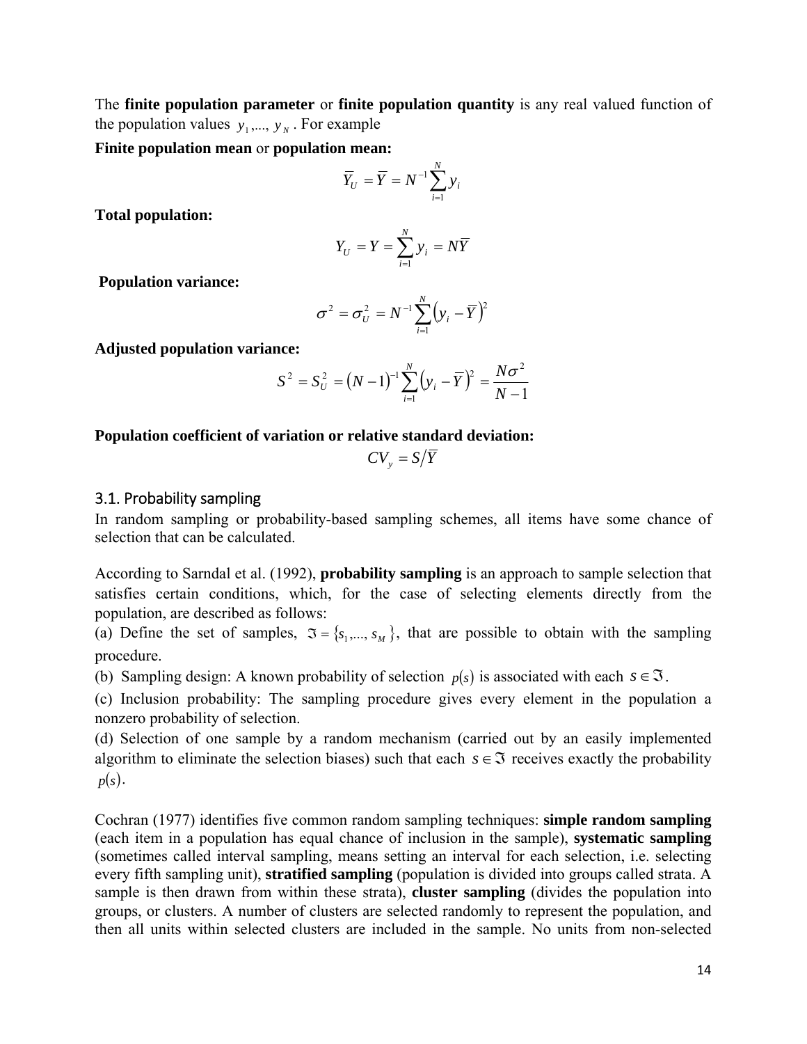<span id="page-15-0"></span>The **finite population parameter** or **finite population quantity** is any real valued function of the population values  $y_1, \ldots, y_N$ . For example

**Finite population mean** or **population mean:** 

$$
\overline{Y}_U = \overline{Y} = N^{-1} \sum_{i=1}^N y_i
$$

**Total population:** 

$$
Y_U = Y = \sum_{i=1}^N y_i = N\overline{Y}
$$

 **Population variance:** 

$$
\sigma^2 = \sigma_U^2 = N^{-1} \sum_{i=1}^N (y_i - \overline{Y})^2
$$

**Adjusted population variance:** 

$$
S^{2} = S_{U}^{2} = (N - 1)^{-1} \sum_{i=1}^{N} (y_{i} - \overline{Y})^{2} = \frac{N\sigma^{2}}{N - 1}
$$

#### **Population coefficient of variation or relative standard deviation:**

$$
CV_{y} = S/\overline{Y}
$$

#### 3.1. Probability sampling

In random sampling or probability-based sampling schemes, all items have some chance of selection that can be calculated.

According to Sarndal et al. (1992), **probability sampling** is an approach to sample selection that satisfies certain conditions, which, for the case of selecting elements directly from the population, are described as follows:

(a) Define the set of samples,  $\mathfrak{I} = \{s_1, ..., s_M\}$ , that are possible to obtain with the sampling procedure.

(b) Sampling design: A known probability of selection  $p(s)$  is associated with each  $s \in \mathfrak{I}$ .

(c) Inclusion probability: The sampling procedure gives every element in the population a nonzero probability of selection.

(d) Selection of one sample by a random mechanism (carried out by an easily implemented algorithm to eliminate the selection biases) such that each  $s \in \mathfrak{I}$  receives exactly the probability  $p(s)$ .

Cochran (1977) identifies five common random sampling techniques: **simple random sampling** (each item in a population has equal chance of inclusion in the sample), **systematic sampling** (sometimes called interval sampling, means setting an interval for each selection, i.e. selecting every fifth sampling unit), **stratified sampling** (population is divided into groups called strata. A sample is then drawn from within these strata), **cluster sampling** (divides the population into groups, or clusters. A number of clusters are selected randomly to represent the population, and then all units within selected clusters are included in the sample. No units from non-selected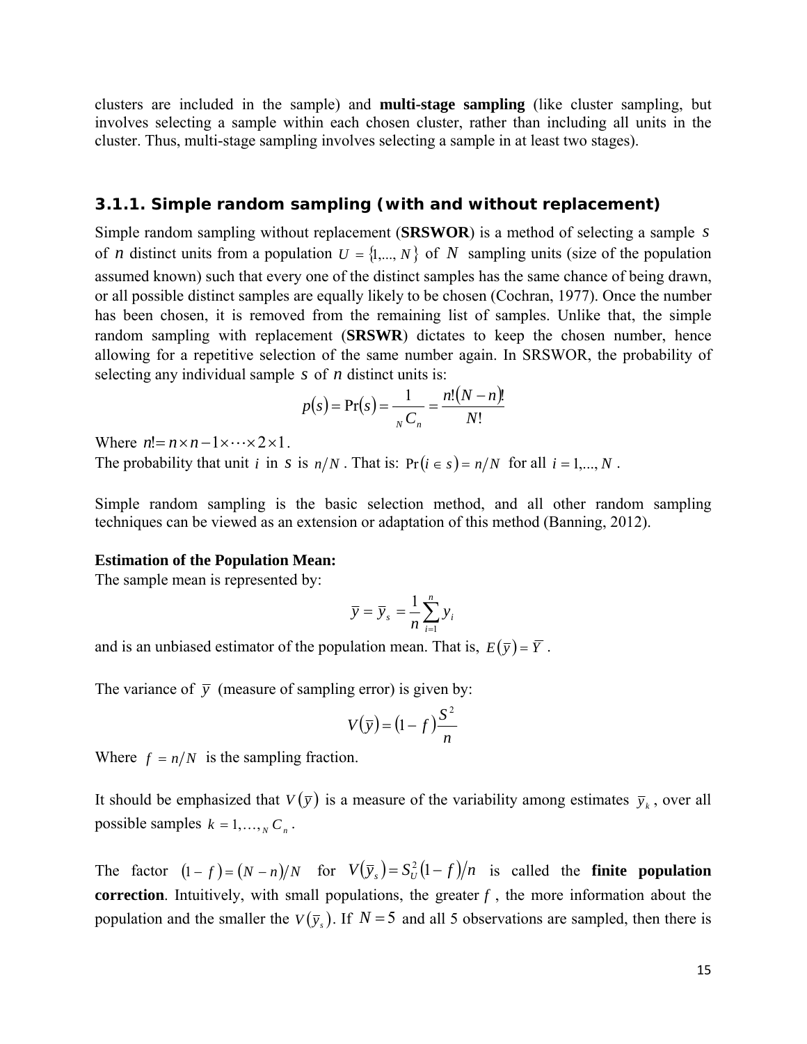<span id="page-16-0"></span>clusters are included in the sample) and **multi-stage sampling** (like cluster sampling, but involves selecting a sample within each chosen cluster, rather than including all units in the cluster. Thus, multi-stage sampling involves selecting a sample in at least two stages).

#### *3.1.1. Simple random sampling (with and without replacement)*

Simple random sampling without replacement (**SRSWOR**) is a method of selecting a sample *s* of *n* distinct units from a population  $U = \{1, ..., N\}$  of *N* sampling units (size of the population assumed known) such that every one of the distinct samples has the same chance of being drawn, or all possible distinct samples are equally likely to be chosen (Cochran, 1977). Once the number has been chosen, it is removed from the remaining list of samples. Unlike that, the simple random sampling with replacement (**SRSWR**) dictates to keep the chosen number, hence allowing for a repetitive selection of the same number again. In SRSWOR, the probability of selecting any individual sample *s* of *n* distinct units is:

$$
p(s) = Pr(s) = \frac{1}{N} \frac{n!(N-n)!}{N!}
$$

Where  $n! = n \times n - 1 \times \cdots \times 2 \times 1$ .

The probability that unit *i* in *s* is  $n/N$ . That is:  $Pr(i \in s) = n/N$  for all  $i = 1,..., N$ .

Simple random sampling is the basic selection method, and all other random sampling techniques can be viewed as an extension or adaptation of this method (Banning, 2012).

#### **Estimation of the Population Mean:**

The sample mean is represented by:

$$
\overline{y} = \overline{y}_s = \frac{1}{n} \sum_{i=1}^n y_i
$$

and is an unbiased estimator of the population mean. That is,  $E(\bar{y}) = \bar{Y}$ .

The variance of  $\bar{y}$  (measure of sampling error) is given by:

$$
V(\bar{y}) = (1 - f)\frac{S^2}{n}
$$

Where  $f = n/N$  is the sampling fraction.

It should be emphasized that  $V(\bar{y})$  is a measure of the variability among estimates  $\bar{y}_k$ , over all possible samples  $k = 1, ..., k$   $C_n$ .

The factor  $(1 - f) = (N - n)/N$  for  $V(\bar{y}) = S_U^2(1 - f)/n$  is called the **finite population correction**. Intuitively, with small populations, the greater  $f$ , the more information about the population and the smaller the  $V(\bar{y})$ . If  $N=5$  and all 5 observations are sampled, then there is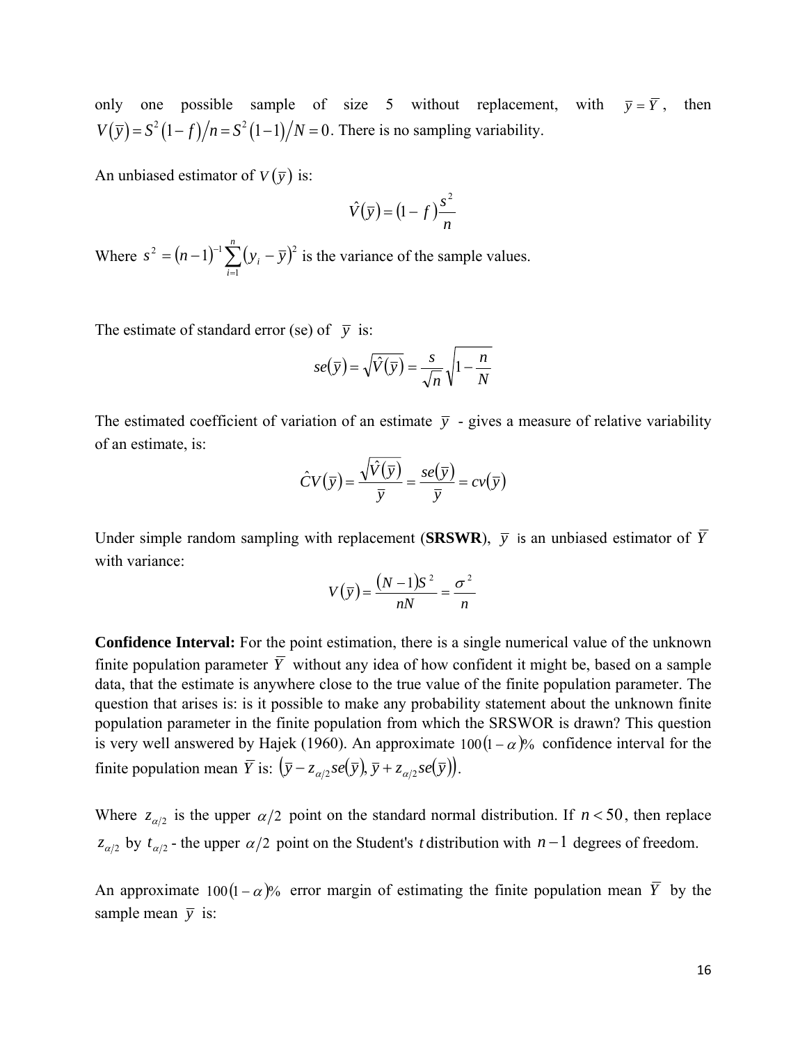only one possible sample of size 5 without replacement, with  $\bar{y} = \bar{Y}$ , then  $V(\bar{y}) = S^2(1-f)/n = S^2(1-1)/N = 0$ . There is no sampling variability.

An unbiased estimator of  $V(\bar{y})$  is:

$$
\hat{V}(\bar{y}) = (1 - f)\frac{s^2}{n}
$$

Where  $s^2 = (n-1)^{-1} \sum_{i=1}^{n} (y_i - \overline{y})$ *i*  $s^2 = (n-1)^{-1} \sum_{i} (y_i - \overline{y})$ 1  $2^2 = (n-1)^{-1} \sum (y_i - \overline{y})^2$  is the variance of the sample values.

The estimate of standard error (se) of  $\bar{v}$  is:

$$
se(\overline{y}) = \sqrt{\hat{V}(\overline{y})} = \frac{s}{\sqrt{n}} \sqrt{1 - \frac{n}{N}}
$$

The estimated coefficient of variation of an estimate  $\bar{v}$  - gives a measure of relative variability of an estimate, is:

$$
\hat{C}V(\overline{y}) = \frac{\sqrt{\hat{V}(\overline{y})}}{\overline{y}} = \frac{se(\overline{y})}{\overline{y}} = cv(\overline{y})
$$

Under simple random sampling with replacement (**SRSWR**),  $\bar{v}$  is an unbiased estimator of  $\bar{Y}$ with variance:

$$
V(\overline{y}) = \frac{(N-1)S^2}{nN} = \frac{\sigma^2}{n}
$$

**Confidence Interval:** For the point estimation, there is a single numerical value of the unknown finite population parameter  $\overline{Y}$  without any idea of how confident it might be, based on a sample data, that the estimate is anywhere close to the true value of the finite population parameter. The question that arises is: is it possible to make any probability statement about the unknown finite population parameter in the finite population from which the SRSWOR is drawn? This question is very well answered by Hajek (1960). An approximate  $100(1 - \alpha)\%$  confidence interval for the finite population mean  $\overline{Y}$  is:  $(\overline{y} - z_{\alpha/2} s e(\overline{y}), \overline{y} + z_{\alpha/2} s e(\overline{y})).$ 

Where  $z_{\alpha/2}$  is the upper  $\alpha/2$  point on the standard normal distribution. If  $n < 50$ , then replace  $z_{\alpha/2}$  by  $t_{\alpha/2}$  - the upper  $\alpha/2$  point on the Student's *t* distribution with  $n-1$  degrees of freedom.

An approximate  $100(1-\alpha)\%$  error margin of estimating the finite population mean  $\overline{Y}$  by the sample mean  $\bar{y}$  is: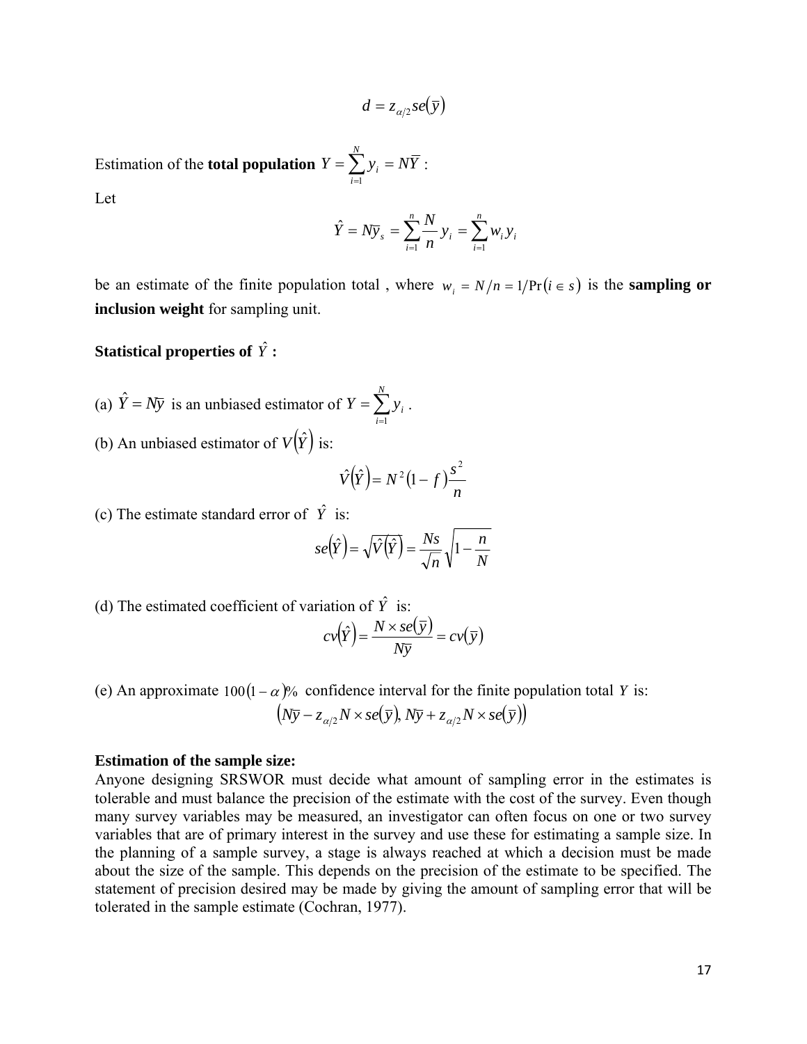$$
d=z_{\alpha/2} s e(\bar{y})
$$

Estimation of the **total population**  $Y = \sum y_i = NY$ *N*  $=\sum_{i=1}^{ } y_i = N \overline{Y}$  :

Let

$$
\hat{Y} = N\overline{y}_s = \sum_{i=1}^n \frac{N}{n} y_i = \sum_{i=1}^n w_i y_i
$$

be an estimate of the finite population total, where  $w_i = N/n = 1/\Pr(i \in s)$  is the **sampling or inclusion weight** for sampling unit.

**Statistical properties of** *Y*ˆ **:**

- (a)  $\hat{Y} = N\overline{y}$  is an unbiased estimator of  $Y = \sum_{i=1}^{N}$ *N i*  $Y = \sum y_i$ 1
- (b) An unbiased estimator of  $V(\hat{Y})$  is:

$$
\hat{V}(\hat{Y}) = N^2 (1 - f) \frac{s^2}{n}
$$

.

(c) The estimate standard error of  $\hat{Y}$  is:

$$
se(\hat{Y}) = \sqrt{\hat{V}(\hat{Y})} = \frac{Ns}{\sqrt{n}} \sqrt{1 - \frac{n}{N}}
$$

(d) The estimated coefficient of variation of  $\hat{Y}$  is:

$$
cv(\hat{Y}) = \frac{N \times se(\overline{y})}{N\overline{y}} = cv(\overline{y})
$$

(e) An approximate  $100(1 - \alpha)\%$  confidence interval for the finite population total *Y* is:  $(N\overline{y} - z_{\alpha/2}N \times se(\overline{y}), N\overline{y} + z_{\alpha/2}N \times se(\overline{y}))$ 

#### **Estimation of the sample size:**

Anyone designing SRSWOR must decide what amount of sampling error in the estimates is tolerable and must balance the precision of the estimate with the cost of the survey. Even though many survey variables may be measured, an investigator can often focus on one or two survey variables that are of primary interest in the survey and use these for estimating a sample size. In the planning of a sample survey, a stage is always reached at which a decision must be made about the size of the sample. This depends on the precision of the estimate to be specified. The statement of precision desired may be made by giving the amount of sampling error that will be tolerated in the sample estimate (Cochran, 1977).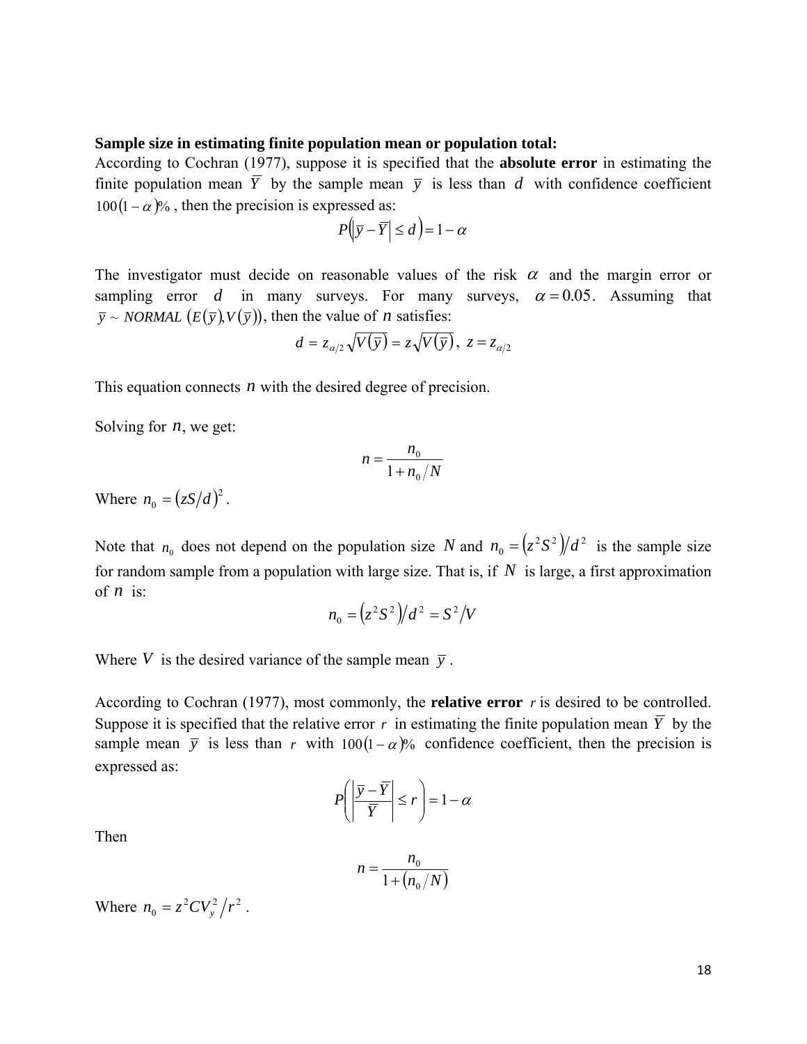#### **Sample size in estimating finite population mean or population total:**

According to Cochran (1977), suppose it is specified that the **absolute error** in estimating the finite population mean  $\overline{Y}$  by the sample mean  $\overline{y}$  is less than *d* with confidence coefficient  $100(1 - \alpha)\%$ , then the precision is expressed as:

$$
P(|\bar{y} - \bar{Y}| \le d) = 1 - \alpha
$$

The investigator must decide on reasonable values of the risk  $\alpha$  and the margin error or sampling error *d* in many surveys. For many surveys,  $\alpha = 0.05$ . Assuming that  $\overline{y}$  ~ *NORMAL*  $(E(\overline{y}), V(\overline{y}))$ , then the value of *n* satisfies:

$$
d = z_{\alpha/2} \sqrt{V(\overline{y})} = z \sqrt{V(\overline{y})}, \ z = z_{\alpha/2}
$$

This equation connects *n* with the desired degree of precision.

Solving for *n*, we get:

$$
n = \frac{n_0}{1 + n_0/N}
$$

Where  $n_0 = (zS/d)^2$ .

Note that  $n_0$  does not depend on the population size *N* and  $n_0 = (z^2 S^2)/d^2$  is the sample size for random sample from a population with large size. That is, if *N* is large, a first approximation of  $n$  is:

$$
n_0 = \left(\frac{z^2 S^2}{d^2} = S^2 / V\right)
$$

Where *V* is the desired variance of the sample mean  $\bar{y}$ .

According to Cochran (1977), most commonly, the **relative error** *r* is desired to be controlled. Suppose it is specified that the relative error r in estimating the finite population mean  $\overline{Y}$  by the sample mean  $\bar{y}$  is less than *r* with 100(1 –  $\alpha$ )% confidence coefficient, then the precision is expressed as:

$$
P\left(\left|\frac{\overline{y} - \overline{Y}}{\overline{Y}}\right| \le r\right) = 1 - \alpha
$$

Then

$$
n = \frac{n_0}{1 + (n_0/N)}
$$

Where  $n_0 = z^2 C V_y^2 / r^2$ .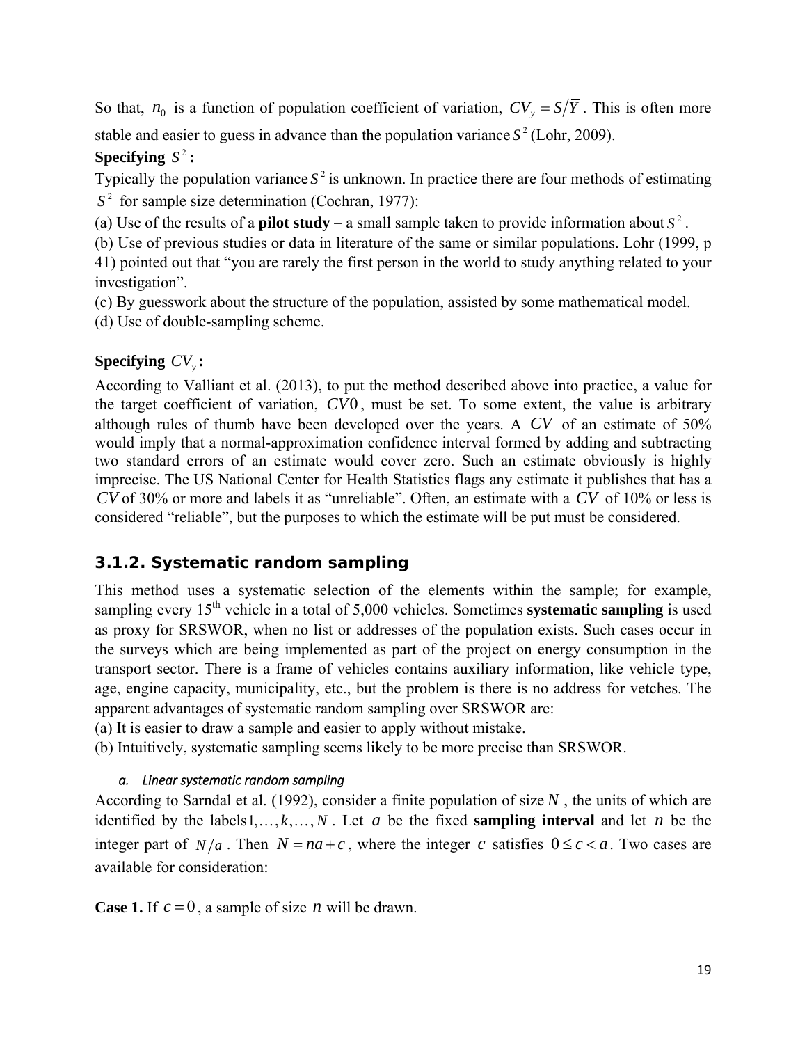<span id="page-20-0"></span>So that,  $n_0$  is a function of population coefficient of variation,  $CV_y = S/\overline{Y}$ . This is often more

stable and easier to guess in advance than the population variance  $S^2$  (Lohr, 2009).

### **Specifying**  $S^2$ :

Typically the population variance  $S^2$  is unknown. In practice there are four methods of estimating  $S<sup>2</sup>$  for sample size determination (Cochran, 1977):

(a) Use of the results of a **pilot study** – a small sample taken to provide information about  $S^2$ .

(b) Use of previous studies or data in literature of the same or similar populations. Lohr (1999, p 41) pointed out that "you are rarely the first person in the world to study anything related to your investigation".

(c) By guesswork about the structure of the population, assisted by some mathematical model.

(d) Use of double-sampling scheme.

### **Specifying**  $CV_{\nu}$ :

According to Valliant et al. (2013), to put the method described above into practice, a value for the target coefficient of variation, *CV*0 , must be set. To some extent, the value is arbitrary although rules of thumb have been developed over the years. A *CV* of an estimate of 50% would imply that a normal-approximation confidence interval formed by adding and subtracting two standard errors of an estimate would cover zero. Such an estimate obviously is highly imprecise. The US National Center for Health Statistics flags any estimate it publishes that has a *CV* of 30% or more and labels it as "unreliable". Often, an estimate with a *CV* of 10% or less is considered "reliable", but the purposes to which the estimate will be put must be considered.

## *3.1.2. Systematic random sampling*

This method uses a systematic selection of the elements within the sample; for example, sampling every 15<sup>th</sup> vehicle in a total of 5,000 vehicles. Sometimes **systematic sampling** is used as proxy for SRSWOR, when no list or addresses of the population exists. Such cases occur in the surveys which are being implemented as part of the project on energy consumption in the transport sector. There is a frame of vehicles contains auxiliary information, like vehicle type, age, engine capacity, municipality, etc., but the problem is there is no address for vetches. The apparent advantages of systematic random sampling over SRSWOR are:

(a) It is easier to draw a sample and easier to apply without mistake.

(b) Intuitively, systematic sampling seems likely to be more precise than SRSWOR.

### *a. Linear systematic random sampling*

According to Sarndal et al. (1992), consider a finite population of size  $N$ , the units of which are identified by the labels1,..., $k$ ,..., $N$ . Let  $a$  be the fixed **sampling interval** and let  $n$  be the integer part of  $N/a$ . Then  $N = na + c$ , where the integer *c* satisfies  $0 \le c < a$ . Two cases are available for consideration:

**Case 1.** If  $c = 0$ , a sample of size *n* will be drawn.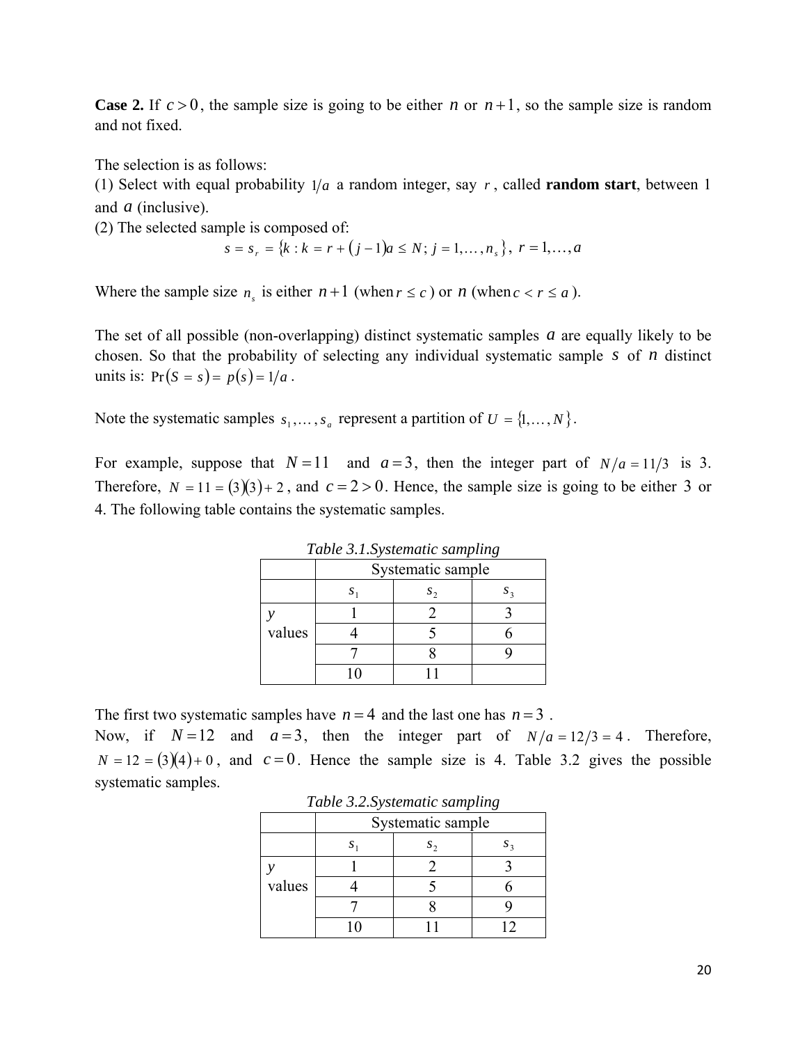<span id="page-21-0"></span>**Case 2.** If  $c > 0$ , the sample size is going to be either *n* or  $n+1$ , so the sample size is random and not fixed.

The selection is as follows:

(1) Select with equal probability  $1/a$  a random integer, say r, called **random start**, between 1 and *a* (inclusive).

(2) The selected sample is composed of:

$$
s = sr = {k : k = r + (j - 1)a \le N; j = 1, ..., ns}, r = 1, ..., a
$$

Where the sample size  $n_e$  is either  $n+1$  (when  $r \leq c$ ) or  $n$  (when  $c < r \leq a$ ).

The set of all possible (non-overlapping) distinct systematic samples *a* are equally likely to be chosen. So that the probability of selecting any individual systematic sample *s* of *n* distinct units is:  $Pr(S = s) = p(s) = 1/a$ .

Note the systematic samples  $s_1, \ldots, s_n$  represent a partition of  $U = \{1, \ldots, N\}$ .

For example, suppose that  $N=11$  and  $a=3$ , then the integer part of  $N/a = 11/3$  is 3. Therefore,  $N = 11 = (3)(3) + 2$ , and  $c = 2 > 0$ . Hence, the sample size is going to be either 3 or 4. The following table contains the systematic samples.

| <i>Lable 3.1.Systematic sampling</i> |  |                   |  |  |  |  |  |  |
|--------------------------------------|--|-------------------|--|--|--|--|--|--|
|                                      |  | Systematic sample |  |  |  |  |  |  |
|                                      |  | $S_{\mathcal{D}}$ |  |  |  |  |  |  |
|                                      |  |                   |  |  |  |  |  |  |
| values                               |  |                   |  |  |  |  |  |  |
|                                      |  |                   |  |  |  |  |  |  |
|                                      |  |                   |  |  |  |  |  |  |

*Table 3.1.Systematic sampling* 

The first two systematic samples have  $n = 4$  and the last one has  $n = 3$ .

Now, if  $N=12$  and  $a=3$ , then the integer part of  $N/a = 12/3 = 4$ . Therefore,  $N = 12 = (3)(4) + 0$ , and  $c = 0$ . Hence the sample size is 4. Table 3.2 gives the possible systematic samples.

| $\frac{1}{2}$ and $\frac{1}{2}$ is a series in the series of $\frac{1}{2}$ |                   |  |  |  |  |  |  |  |  |
|----------------------------------------------------------------------------|-------------------|--|--|--|--|--|--|--|--|
|                                                                            | Systematic sample |  |  |  |  |  |  |  |  |
|                                                                            |                   |  |  |  |  |  |  |  |  |
|                                                                            |                   |  |  |  |  |  |  |  |  |
| values                                                                     |                   |  |  |  |  |  |  |  |  |
|                                                                            |                   |  |  |  |  |  |  |  |  |
|                                                                            |                   |  |  |  |  |  |  |  |  |

*Table 3.2.Systematic sampling*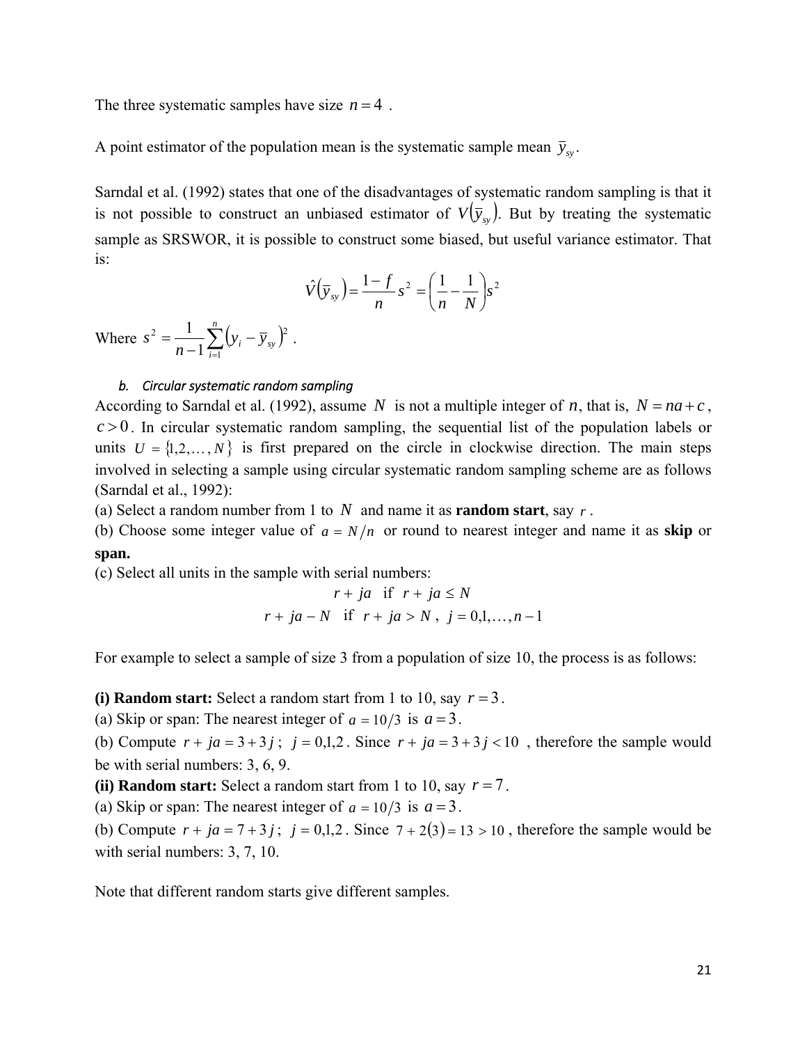<span id="page-22-0"></span>The three systematic samples have size  $n = 4$ .

A point estimator of the population mean is the systematic sample mean  $\bar{y}_{sy}$ .

Sarndal et al. (1992) states that one of the disadvantages of systematic random sampling is that it is not possible to construct an unbiased estimator of  $V(\bar{y}_s)$ . But by treating the systematic sample as SRSWOR, it is possible to construct some biased, but useful variance estimator. That is:

$$
\hat{V}(\overline{y}_{sy}) = \frac{1-f}{n} s^2 = \left(\frac{1}{n} - \frac{1}{N}\right) s^2
$$

Where  $s^2 = \frac{1}{n-1} \sum_{i=1}^{\infty} (y_i - \overline{y}_{sy})$ *n i*  $\frac{1}{n-1}\sum_{i=1}^{n}(y_i - \overline{y}_{sy})$ *s* 1 2  $\frac{1}{2}$   $\sum (n \pi)^2$ 1  $\frac{1}{\sqrt{2}}\sum_{i=1}^{n}(y_i-\bar{y}_{sv})^2$ .

#### *b. Circular systematic random sampling*

According to Sarndal et al. (1992), assume *N* is not a multiple integer of *n*, that is,  $N = na + c$ ,  $c > 0$ . In circular systematic random sampling, the sequential list of the population labels or units  $U = \{1, 2, ..., N\}$  is first prepared on the circle in clockwise direction. The main steps involved in selecting a sample using circular systematic random sampling scheme are as follows (Sarndal et al., 1992):

(a) Select a random number from 1 to *N* and name it as **random start**, say *r* .

(b) Choose some integer value of  $a = N/n$  or round to nearest integer and name it as **skip** or **span.** 

(c) Select all units in the sample with serial numbers:

$$
r + ja \quad \text{if} \quad r + ja \le N
$$
\n
$$
r + ja - N \quad \text{if} \quad r + ja > N \,, \quad j = 0, 1, \dots, n - 1
$$

For example to select a sample of size 3 from a population of size 10, the process is as follows:

**(i) Random start:** Select a random start from 1 to 10, say  $r = 3$ .

(a) Skip or span: The nearest integer of  $a = 10/3$  is  $a = 3$ .

(b) Compute  $r + ja = 3 + 3j$ ;  $j = 0,1,2$ . Since  $r + ja = 3 + 3j < 10$ , therefore the sample would be with serial numbers: 3, 6, 9.

**(ii) Random start:** Select a random start from 1 to 10, say  $r = 7$ .

(a) Skip or span: The nearest integer of  $a = 10/3$  is  $a = 3$ .

(b) Compute  $r + ja = 7 + 3j$ ;  $j = 0,1,2$ . Since  $7 + 2(3) = 13 > 10$ , therefore the sample would be with serial numbers: 3, 7, 10.

Note that different random starts give different samples.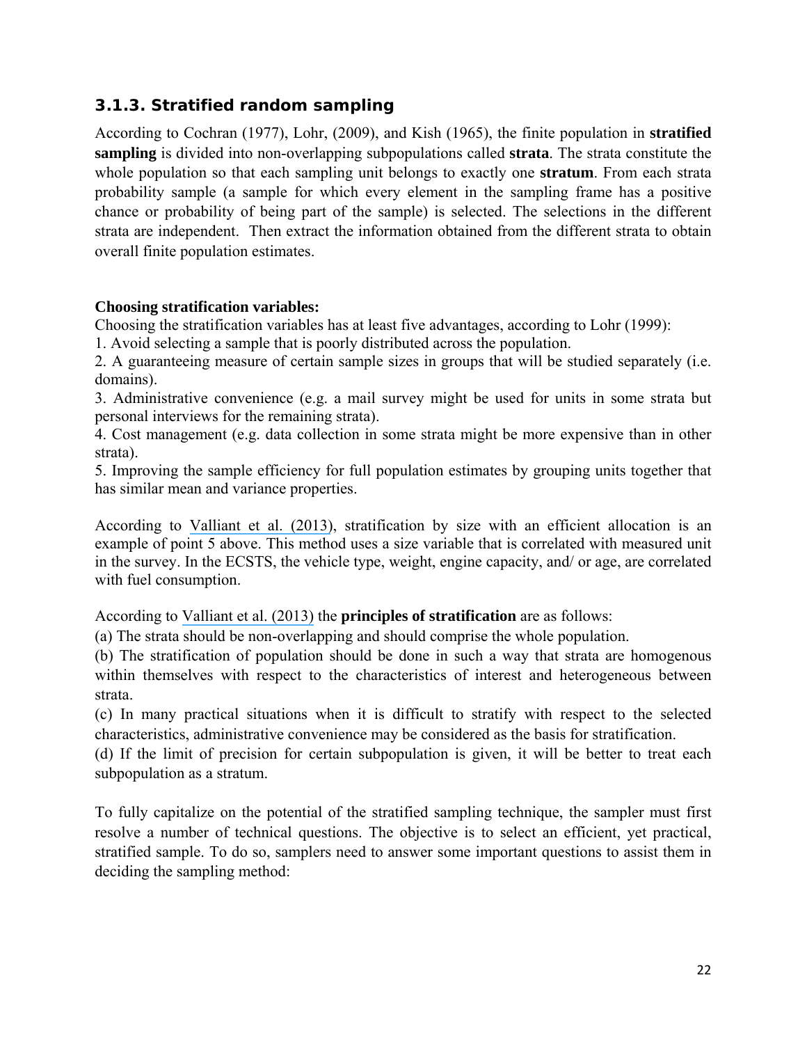### <span id="page-23-0"></span>*3.1.3. Stratified random sampling*

According to Cochran (1977), Lohr, (2009), and Kish (1965), the finite population in **stratified sampling** is divided into non-overlapping subpopulations called **strata**. The strata constitute the whole population so that each sampling unit belongs to exactly one **stratum**. From each strata probability sample (a sample for which every element in the sampling frame has a positive chance or probability of being part of the sample) is selected. The selections in the different strata are independent. Then extract the information obtained from the different strata to obtain overall finite population estimates.

#### **Choosing stratification variables:**

Choosing the stratification variables has at least five advantages, according to Lohr (1999):

1. Avoid selecting a sample that is poorly distributed across the population.

2. A guaranteeing measure of certain sample sizes in groups that will be studied separately (i.e. domains).

3. Administrative convenience (e.g. a mail survey might be used for units in some strata but personal interviews for the remaining strata).

4. Cost management (e.g. data collection in some strata might be more expensive than in other strata).

5. Improving the sample efficiency for full population estimates by grouping units together that has similar mean and variance properties.

According to [Valliant et al. \(2013\)](https://www.researchgate.net/publication/264962052_Practical_Tools_for_Designing_and_Weighting_Survey_Samples?el=1_x_8&enrichId=rgreq-fda677c61fd774d007298727f6625c97-XXX&enrichSource=Y292ZXJQYWdlOzI4MTI2OTMyNjtBUzoyNjY2MzUwNTU0NjQ0NDhAMTQ0MDU4MjE1OTA3OA==), stratification by size with an efficient allocation is an example of point 5 above. This method uses a size variable that is correlated with measured unit in the survey. In the ECSTS, the vehicle type, weight, engine capacity, and/ or age, are correlated with fuel consumption.

According to [Valliant et al. \(2013\)](https://www.researchgate.net/publication/264962052_Practical_Tools_for_Designing_and_Weighting_Survey_Samples?el=1_x_8&enrichId=rgreq-fda677c61fd774d007298727f6625c97-XXX&enrichSource=Y292ZXJQYWdlOzI4MTI2OTMyNjtBUzoyNjY2MzUwNTU0NjQ0NDhAMTQ0MDU4MjE1OTA3OA==) the **principles of stratification** are as follows:

(a) The strata should be non-overlapping and should comprise the whole population.

(b) The stratification of population should be done in such a way that strata are homogenous within themselves with respect to the characteristics of interest and heterogeneous between strata.

(c) In many practical situations when it is difficult to stratify with respect to the selected characteristics, administrative convenience may be considered as the basis for stratification.

(d) If the limit of precision for certain subpopulation is given, it will be better to treat each subpopulation as a stratum.

To fully capitalize on the potential of the stratified sampling technique, the sampler must first resolve a number of technical questions. The objective is to select an efficient, yet practical, stratified sample. To do so, samplers need to answer some important questions to assist them in deciding the sampling method: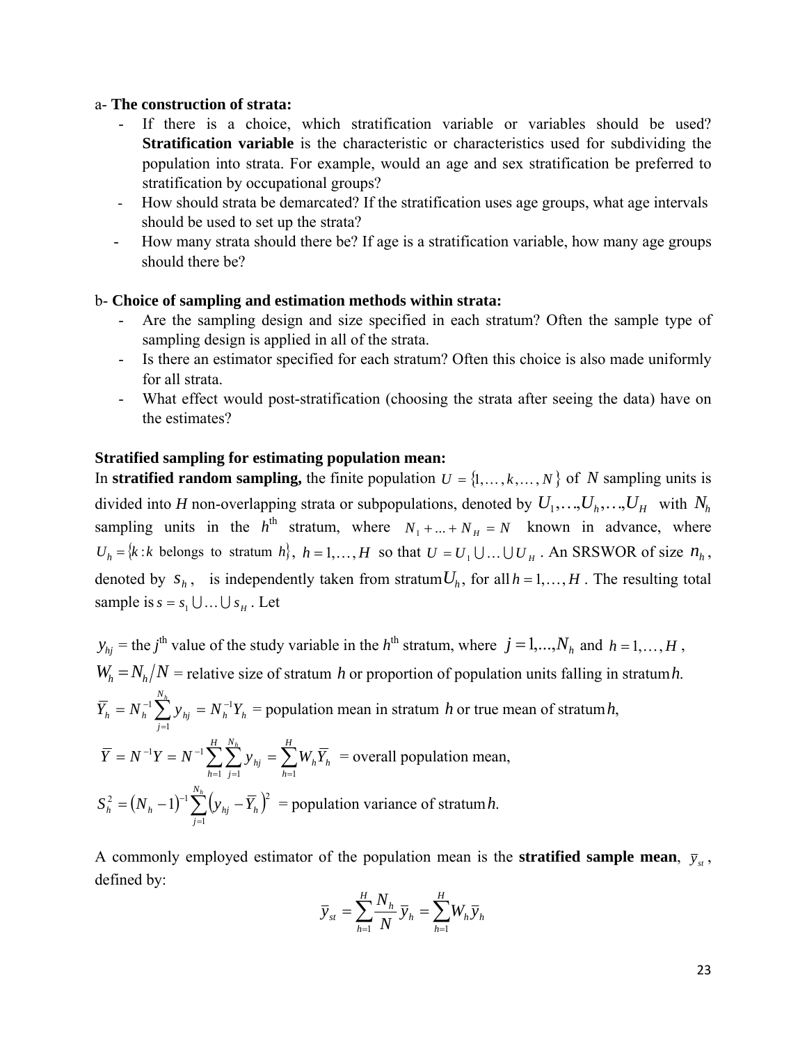#### a- **The construction of strata:**

- If there is a choice, which stratification variable or variables should be used? **Stratification variable** is the characteristic or characteristics used for subdividing the population into strata. For example, would an age and sex stratification be preferred to stratification by occupational groups?
- How should strata be demarcated? If the stratification uses age groups, what age intervals should be used to set up the strata?
- How many strata should there be? If age is a stratification variable, how many age groups should there be?

#### b- **Choice of sampling and estimation methods within strata:**

- Are the sampling design and size specified in each stratum? Often the sample type of sampling design is applied in all of the strata.
- Is there an estimator specified for each stratum? Often this choice is also made uniformly for all strata.
- What effect would post-stratification (choosing the strata after seeing the data) have on the estimates?

#### **Stratified sampling for estimating population mean:**

In **stratified random sampling,** the finite population  $U = \{1, \ldots, k, \ldots, N\}$  of *N* sampling units is divided into *H* non-overlapping strata or subpopulations, denoted by  $U_1, \ldots, U_h, \ldots, U_H$  with  $N_h$ sampling units in the  $h^{th}$  stratum, where  $N_1 + ... + N_H = N$  known in advance, where  $U_h = \{k : k \text{ belongs to stratum } h\},\ h = 1,\ldots,H \text{ so that } U = U_1 \cup \ldots \cup U_H$ . An SRSWOR of size  $n_h$ , denoted by  $s_h$ , is independently taken from stratum  $U_h$ , for all  $h = 1, \dots, H$ . The resulting total sample is  $s = s_1 \cup ... \cup s_n$ . Let

$$
y_{hj} = \text{the } j^{\text{th}} \text{ value of the study variable in the } h^{\text{th}} \text{ stratum, where } j = 1,...,N_h \text{ and } h = 1,...,H,
$$
  
\n
$$
W_h = N_h / N = \text{relative size of stratum } h \text{ or proportion of population units falling in stratum } h.
$$
  
\n
$$
\overline{Y}_h = N_h^{-1} \sum_{j=1}^{N_h} y_{hj} = N_h^{-1} Y_h = \text{population mean in stratum } h \text{ or true mean of stratum } h,
$$
  
\n
$$
\overline{Y} = N^{-1} Y = N^{-1} \sum_{h=1}^{H} \sum_{j=1}^{N_h} y_{hj} = \sum_{h=1}^{H} W_h \overline{Y}_h = \text{overall population mean},
$$
  
\n
$$
S_h^2 = (N_h - 1)^{-1} \sum_{j=1}^{N_h} (y_{hj} - \overline{Y}_h)^2 = \text{population variance of stratum } h.
$$

A commonly employed estimator of the population mean is the **stratified sample mean**,  $\bar{y}_x$ , defined by:

$$
\overline{y}_{st} = \sum_{h=1}^{H} \frac{N_h}{N} \overline{y}_h = \sum_{h=1}^{H} W_h \overline{y}_h
$$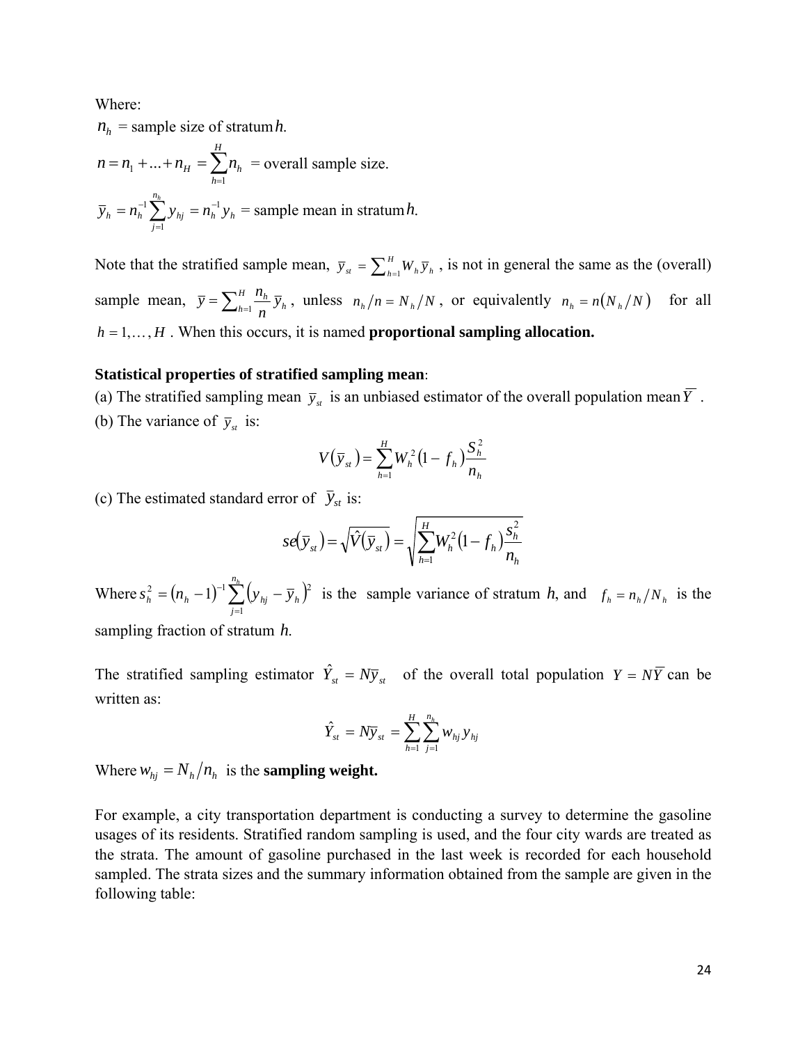Where:

 $n_h$  = sample size of stratum*h*.  $=n_1 + ... + n_H = \sum_{h=1}$ *H h*  $n = n_1 + ... + n_H = \sum n_h$ 1  $n_1 + ... + n_H = \sum n_h$  = overall sample size. *h h n j*  $\overline{y}_h = n_h^{-1} \sum_{j}^{n_h} y_{hj} = n_h^{-1} y$ 1  $1$   $\sum$   $\ldots$   $\ldots$   $\ldots$   $\ldots$  $= n_h^{-1} \sum_{j=1}^{n} y_{hj} = n_h^{-1} y_h =$  sample mean in stratum *h*.

Note that the stratified sample mean,  $\bar{y}_{st} = \sum_{h=1}^{H} W_h \bar{y}_h$ , is not in general the same as the (overall) sample mean,  $\bar{y} = \sum_{h=1}^{H} \frac{n_h}{n} \bar{y}_h$ *n*  $\overline{y} = \sum_{h=1}^{H} \frac{n_h}{n} \overline{y}_h$ , unless  $n_h/n = N_h/N$ , or equivalently  $n_h = n(N_h/N)$  for all  $h = 1, \ldots, H$ . When this occurs, it is named **proportional sampling allocation.** 

#### **Statistical properties of stratified sampling mean**:

(a) The stratified sampling mean  $\bar{y}_{st}$  is an unbiased estimator of the overall population mean  $\bar{Y}$ . (b) The variance of  $\bar{y}_s$  is:

$$
V(\bar{y}_{st}) = \sum_{h=1}^{H} W_h^2 (1 - f_h) \frac{S_h^2}{n_h}
$$

(c) The estimated standard error of  $\bar{y}_{st}$  is:

$$
se(\overline{y}_{st}) = \sqrt{\hat{V}(\overline{y}_{st})} = \sqrt{\sum_{h=1}^{H} W_h^2 (1 - f_h) \frac{s_h^2}{n_h}}
$$

Where  $s_h^2 = (n_h - 1)^{-1} \sum_{j=1}^{n_h} (y_{hj} - \overline{y}_h)$ *j*  $s_h^2 = (n_h - 1)^{-1} \sum_{j} (y_{hj} - \overline{y}_{hj})$ 1  $\sum_{h}^{2} = (n_h - 1)^{-1} \sum_{h}^{n} (y_{hj} - \overline{y}_h)^2$  is the sample variance of stratum *h*, and  $f_h = n_h/N_h$  is the sampling fraction of stratum *h*.

The stratified sampling estimator  $\hat{Y}_{st} = N\bar{y}_{st}$  of the overall total population  $Y = N\bar{Y}$  can be written as:

$$
\hat{Y}_{st} = N \bar{y}_{st} = \sum_{h=1}^{H} \sum_{j=1}^{n_h} w_{hj} y_{hj}
$$

Where  $w_{hi} = N_h / n_h$  is the **sampling weight.** 

For example, a city transportation department is conducting a survey to determine the gasoline usages of its residents. Stratified random sampling is used, and the four city wards are treated as the strata. The amount of gasoline purchased in the last week is recorded for each household sampled. The strata sizes and the summary information obtained from the sample are given in the following table: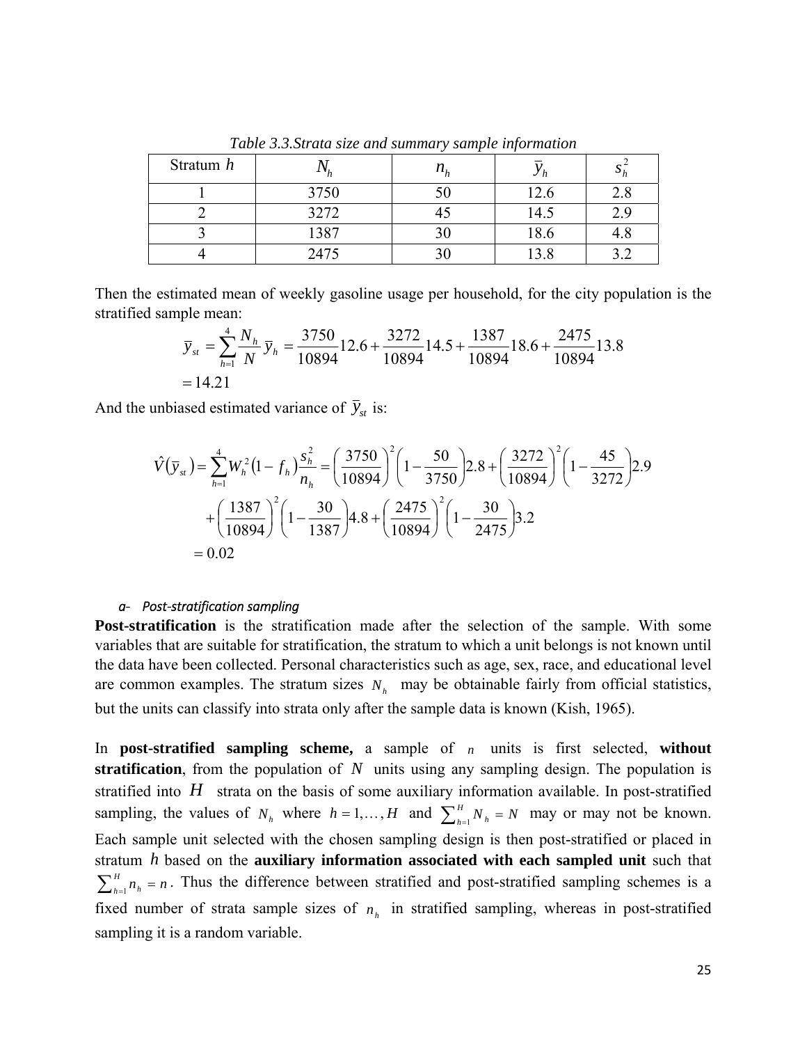<span id="page-26-0"></span>

| Stratum h |      | $n_h^{}$ |      |     |
|-----------|------|----------|------|-----|
|           | 3750 |          | 12.6 |     |
|           | 3272 |          | 14.5 | , u |
|           | 1387 |          | 18.6 |     |
|           | 2475 |          | 13.8 |     |

*Table 3.3.Strata size and summary sample information* 

Then the estimated mean of weekly gasoline usage per household, for the city population is the stratified sample mean:

$$
\overline{y}_{st} = \sum_{h=1}^{4} \frac{N_h}{N} \overline{y}_h = \frac{3750}{10894} 12.6 + \frac{3272}{10894} 14.5 + \frac{1387}{10894} 18.6 + \frac{2475}{10894} 13.8
$$
  
= 14.21

And the unbiased estimated variance of  $\bar{y}_{st}$  is:

$$
\hat{V}(\bar{y}_{st}) = \sum_{h=1}^{4} W_h^2 (1 - f_h) \frac{s_h^2}{n_h} = \left(\frac{3750}{10894}\right)^2 \left(1 - \frac{50}{3750}\right) 2.8 + \left(\frac{3272}{10894}\right)^2 \left(1 - \frac{45}{3272}\right) 2.9
$$

$$
+ \left(\frac{1387}{10894}\right)^2 \left(1 - \frac{30}{1387}\right) 4.8 + \left(\frac{2475}{10894}\right)^2 \left(1 - \frac{30}{2475}\right) 3.2
$$

$$
= 0.02
$$

#### *a‐ Post‐stratification sampling*

**Post-stratification** is the stratification made after the selection of the sample. With some variables that are suitable for stratification, the stratum to which a unit belongs is not known until the data have been collected. Personal characteristics such as age, sex, race, and educational level are common examples. The stratum sizes  $N<sub>h</sub>$  may be obtainable fairly from official statistics, but the units can classify into strata only after the sample data is known (Kish, 1965).

In **post-stratified sampling scheme,** a sample of *n* units is first selected, **without stratification**, from the population of *N* units using any sampling design. The population is stratified into *H* strata on the basis of some auxiliary information available. In post-stratified sampling, the values of  $N_h$  where  $h = 1, ..., H$  and  $\sum_{h=1}^{H} N_h = N$  may or may not be known. Each sample unit selected with the chosen sampling design is then post-stratified or placed in stratum *h* based on the **auxiliary information associated with each sampled unit** such that  $\sum_{h=1}^{H} n_h = n$ . Thus the difference between stratified and post-stratified sampling schemes is a fixed number of strata sample sizes of  $n<sub>h</sub>$  in stratified sampling, whereas in post-stratified sampling it is a random variable.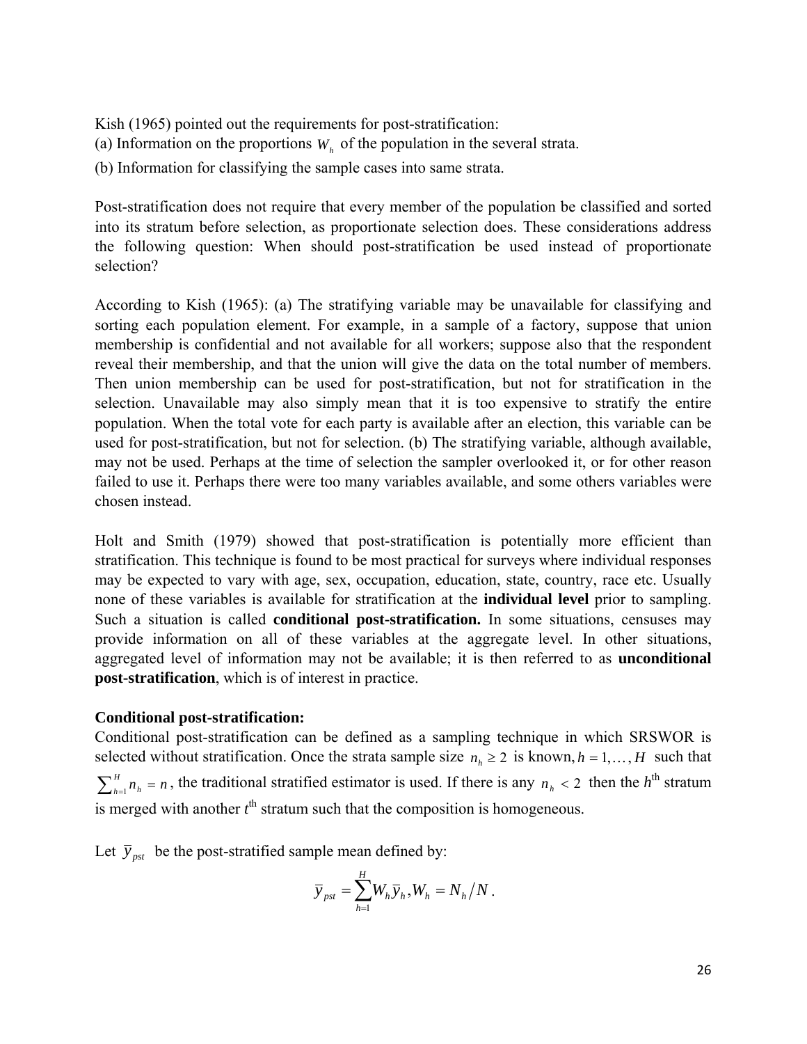Kish (1965) pointed out the requirements for post-stratification:

- (a) Information on the proportions  $W<sub>h</sub>$  of the population in the several strata.
- (b) Information for classifying the sample cases into same strata.

Post-stratification does not require that every member of the population be classified and sorted into its stratum before selection, as proportionate selection does. These considerations address the following question: When should post-stratification be used instead of proportionate selection?

According to Kish (1965): (a) The stratifying variable may be unavailable for classifying and sorting each population element. For example, in a sample of a factory, suppose that union membership is confidential and not available for all workers; suppose also that the respondent reveal their membership, and that the union will give the data on the total number of members. Then union membership can be used for post-stratification, but not for stratification in the selection. Unavailable may also simply mean that it is too expensive to stratify the entire population. When the total vote for each party is available after an election, this variable can be used for post-stratification, but not for selection. (b) The stratifying variable, although available, may not be used. Perhaps at the time of selection the sampler overlooked it, or for other reason failed to use it. Perhaps there were too many variables available, and some others variables were chosen instead.

Holt and Smith (1979) showed that post-stratification is potentially more efficient than stratification. This technique is found to be most practical for surveys where individual responses may be expected to vary with age, sex, occupation, education, state, country, race etc. Usually none of these variables is available for stratification at the **individual level** prior to sampling. Such a situation is called **conditional post-stratification.** In some situations, censuses may provide information on all of these variables at the aggregate level. In other situations, aggregated level of information may not be available; it is then referred to as **unconditional post-stratification**, which is of interest in practice.

#### **Conditional post-stratification:**

Conditional post-stratification can be defined as a sampling technique in which SRSWOR is selected without stratification. Once the strata sample size  $n_h \geq 2$  is known,  $h = 1, \dots, H$  such that  $\sum_{h=1}^{H} n_h = n$ , the traditional stratified estimator is used. If there is any  $n_h < 2$  then the *h*<sup>th</sup> stratum is merged with another  $t<sup>th</sup>$  stratum such that the composition is homogeneous.

Let  $\bar{y}_{\text{post}}$  be the post-stratified sample mean defined by:

$$
\overline{y}_{\text{pst}} = \sum_{h=1}^{H} W_h \overline{y}_h, W_h = N_h / N.
$$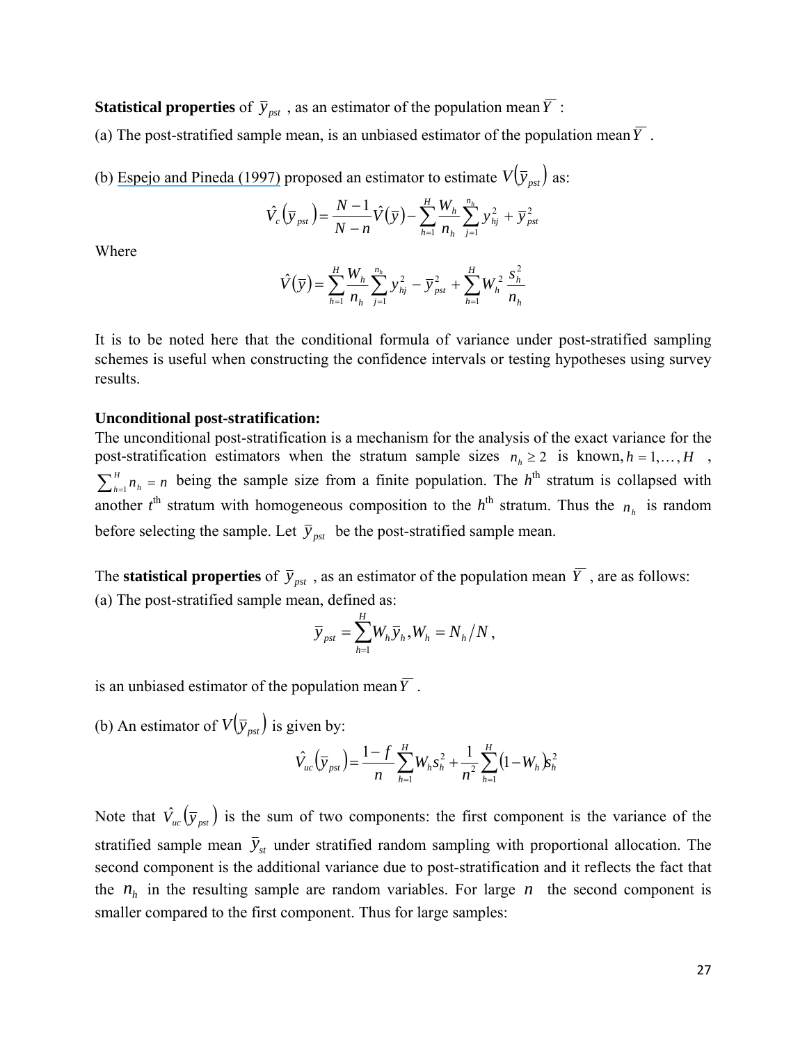**Statistical properties** of  $\bar{y}_{\text{psf}}$ , as an estimator of the population mean  $\bar{Y}$ :

(a) The post-stratified sample mean, is an unbiased estimator of the population mean  $\overline{Y}$ .

(b) [Espejo and Pineda \(1997\)](https://www.researchgate.net/publication/266351714_On_variance_estimation_for_poststratification_a_review?el=1_x_8&enrichId=rgreq-fda677c61fd774d007298727f6625c97-XXX&enrichSource=Y292ZXJQYWdlOzI4MTI2OTMyNjtBUzoyNjY2MzUwNTU0NjQ0NDhAMTQ0MDU4MjE1OTA3OA==) proposed an estimator to estimate  $V(\bar{y}_{pst})$  as:

$$
\hat{V}_c(\bar{y}_{pst}) = \frac{N-1}{N-n}\hat{V}(\bar{y}) - \sum_{h=1}^{H} \frac{W_h}{n_h} \sum_{j=1}^{n_h} y_{hj}^2 + \bar{y}_{pst}^2
$$

Where

$$
\hat{V}(\bar{y}) = \sum_{h=1}^{H} \frac{W_h}{n_h} \sum_{j=1}^{n_h} y_{hj}^2 - \bar{y}_{pst}^2 + \sum_{h=1}^{H} W_h^2 \frac{s_h^2}{n_h}
$$

It is to be noted here that the conditional formula of variance under post-stratified sampling schemes is useful when constructing the confidence intervals or testing hypotheses using survey results.

#### **Unconditional post-stratification:**

The unconditional post-stratification is a mechanism for the analysis of the exact variance for the post-stratification estimators when the stratum sample sizes  $n_h \ge 2$  is known,  $h = 1, ..., H$ ,  $\sum_{h=1}^{H} n_h = n$  being the sample size from a finite population. The *h*<sup>th</sup> stratum is collapsed with another  $t^{\text{th}}$  stratum with homogeneous composition to the  $h^{\text{th}}$  stratum. Thus the  $n_h$  is random before selecting the sample. Let  $\bar{y}_{pst}$  be the post-stratified sample mean.

The **statistical properties** of  $\bar{y}_{\text{pst}}$ , as an estimator of the population mean  $\bar{Y}$ , are as follows: (a) The post-stratified sample mean, defined as:

$$
\overline{y}_{\text{pst}} = \sum_{h=1}^{H} W_h \overline{y}_h, W_h = N_h / N,
$$

is an unbiased estimator of the population mean  $\overline{Y}$ .

(b) An estimator of  $V(\bar{y}_{pst})$  is given by:

$$
\hat{V}_{uc}(\bar{y}_{pst}) = \frac{1-f}{n} \sum_{h=1}^{H} W_h s_h^2 + \frac{1}{n^2} \sum_{h=1}^{H} (1 - W_h) s_h^2
$$

Note that  $\hat{V}_{uc}(\bar{y}_{pst})$  is the sum of two components: the first component is the variance of the stratified sample mean  $\bar{y}_{st}$  under stratified random sampling with proportional allocation. The second component is the additional variance due to post-stratification and it reflects the fact that the  $n_h$  in the resulting sample are random variables. For large  $n$  the second component is smaller compared to the first component. Thus for large samples: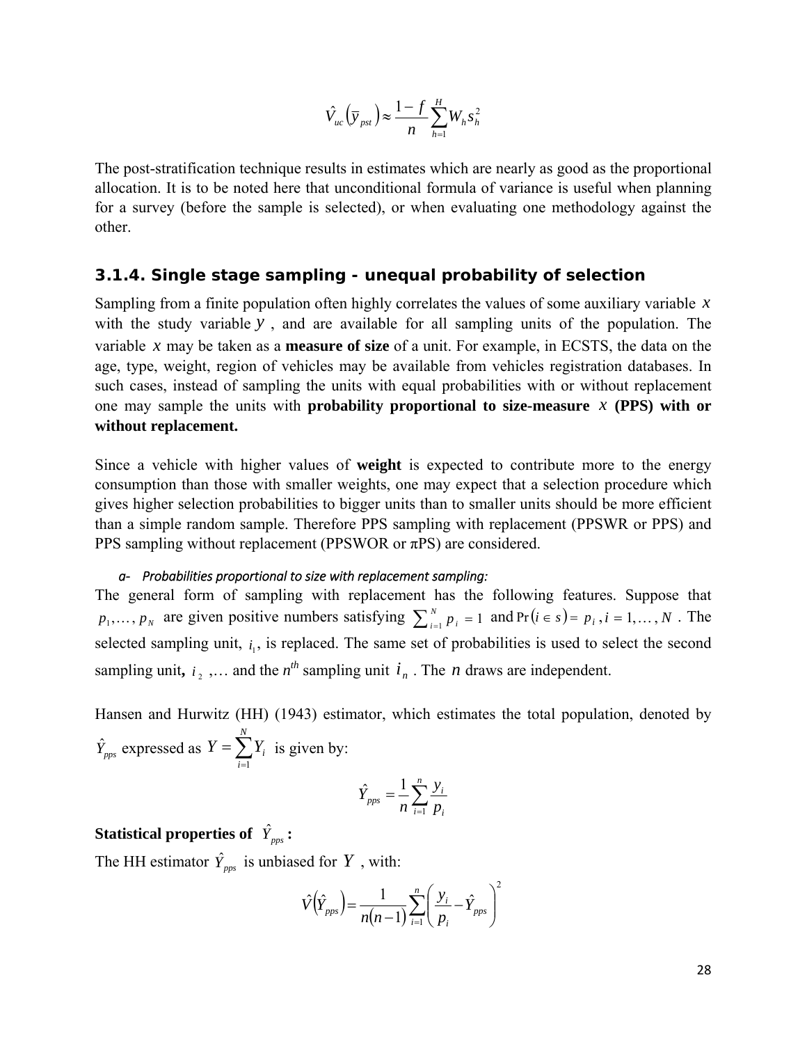$$
\hat{V}_{uc}(\bar{y}_{pst}) \approx \frac{1-f}{n} \sum_{h=1}^{H} W_h s_h^2
$$

<span id="page-29-0"></span>The post-stratification technique results in estimates which are nearly as good as the proportional allocation. It is to be noted here that unconditional formula of variance is useful when planning for a survey (before the sample is selected), or when evaluating one methodology against the other.

#### *3.1.4. Single stage sampling - unequal probability of selection*

Sampling from a finite population often highly correlates the values of some auxiliary variable *x* with the study variable *y* , and are available for all sampling units of the population. The variable *x* may be taken as a **measure of size** of a unit. For example, in ECSTS, the data on the age, type, weight, region of vehicles may be available from vehicles registration databases. In such cases, instead of sampling the units with equal probabilities with or without replacement one may sample the units with **probability proportional to size-measure** *x* **(PPS) with or without replacement.** 

Since a vehicle with higher values of **weight** is expected to contribute more to the energy consumption than those with smaller weights, one may expect that a selection procedure which gives higher selection probabilities to bigger units than to smaller units should be more efficient than a simple random sample. Therefore PPS sampling with replacement (PPSWR or PPS) and PPS sampling without replacement (PPSWOR or πPS) are considered.

#### *a‐ Probabilities proportional to size with replacement sampling:*

The general form of sampling with replacement has the following features. Suppose that  $p_1, \ldots, p_N$  are given positive numbers satisfying  $\sum_{i=1}^N p_i = 1$  and  $Pr(i \in s) = p_i, i = 1, \ldots, N$ . The selected sampling unit,  $i_1$ , is replaced. The same set of probabilities is used to select the second sampling unit,  $i_2$ , ... and the  $n^{th}$  sampling unit  $i_n$ . The *n* draws are independent.

Hansen and Hurwitz (HH) (1943) estimator, which estimates the total population, denoted by  $\hat{Y}_{pps}$  expressed as  $Y = \sum_{i=1}^{n}$ *N i*  $Y = \sum Y_i$ 1 is given by:

$$
\hat{Y}_{pps} = \frac{1}{n} \sum_{i=1}^{n} \frac{y_i}{p_i}
$$

## Statistical properties of  $\hat{Y}_{\textit{pps}}$  :

The HH estimator  $\hat{Y}_{\text{pps}}$  is unbiased for  $Y$ , with:

$$
\hat{V}(\hat{Y}_{pps}) = \frac{1}{n(n-1)} \sum_{i=1}^{n} \left(\frac{y_i}{p_i} - \hat{Y}_{pps}\right)^2
$$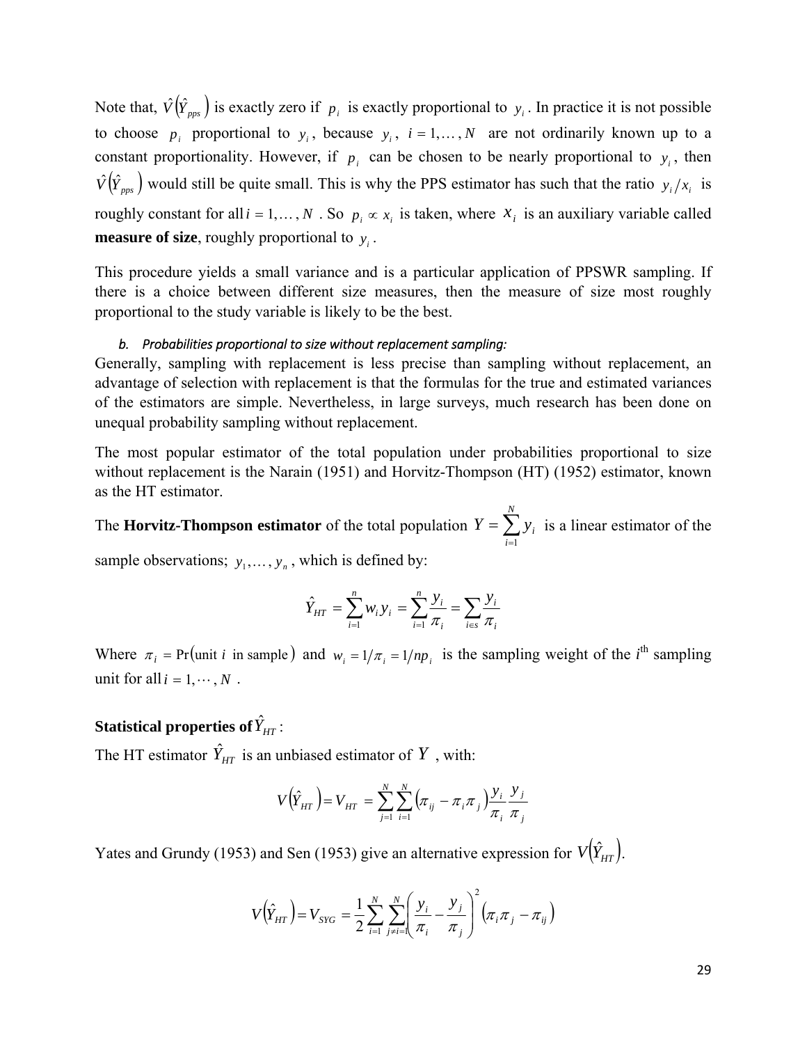<span id="page-30-0"></span>Note that,  $\hat{V}(\hat{Y}_{pos})$  is exactly zero if  $p_i$  is exactly proportional to  $y_i$ . In practice it is not possible to choose  $p_i$  proportional to  $y_i$ , because  $y_i$ ,  $i = 1,..., N$  are not ordinarily known up to a constant proportionality. However, if  $p_i$  can be chosen to be nearly proportional to  $y_i$ , then  $\hat{V}(\hat{Y}_{\text{p}_{\text{p}_{\text{p}}}})$  would still be quite small. This is why the PPS estimator has such that the ratio  $y_i/x_i$  is roughly constant for all  $i = 1, ..., N$ . So  $p_i \propto x_i$  is taken, where  $x_i$  is an auxiliary variable called **measure of size**, roughly proportional to  $y_i$ .

This procedure yields a small variance and is a particular application of PPSWR sampling. If there is a choice between different size measures, then the measure of size most roughly proportional to the study variable is likely to be the best.

#### *b. Probabilities proportional to size without replacement sampling:*

Generally, sampling with replacement is less precise than sampling without replacement, an advantage of selection with replacement is that the formulas for the true and estimated variances of the estimators are simple. Nevertheless, in large surveys, much research has been done on unequal probability sampling without replacement.

The most popular estimator of the total population under probabilities proportional to size without replacement is the Narain (1951) and Horvitz-Thompson (HT) (1952) estimator, known as the HT estimator.

The **Horvitz-Thompson estimator** of the total population  $Y = \sum_{i=1}^{n}$ *N i*  $Y = \sum y_i$ 1 is a linear estimator of the sample observations;  $v_{1}$ ,  $v_{2}$ , which is defined by:

$$
y_1, \ldots, y_n
$$
, where  $x$  is defined by:

$$
\hat{Y}_{HT} = \sum_{i=1}^{n} w_i y_i = \sum_{i=1}^{n} \frac{y_i}{\pi_i} = \sum_{i \in s} \frac{y_i}{\pi_i}
$$

Where  $\pi_i$  = Pr (unit *i* in sample) and  $w_i = 1/\pi_i = 1/np_i$  is the sampling weight of the *i*<sup>th</sup> sampling unit for all  $i = 1, \dots, N$ .

## ${\bf Statistical}$  properties of  $\hat{Y}_{\scriptscriptstyle{HT}}$  :

The HT estimator  $\hat{Y}_{HT}$  is an unbiased estimator of  $Y$ , with:

$$
V(\hat{Y}_{HT}) = V_{HT} = \sum_{j=1}^{N} \sum_{i=1}^{N} (\pi_{ij} - \pi_i \pi_j) \frac{y_i}{\pi_i} \frac{y_j}{\pi_j}
$$

Yates and Grundy (1953) and Sen (1953) give an alternative expression for  $V(\hat{Y}_{HT})$ .

$$
V(\hat{Y}_{HT}) = V_{STG} = \frac{1}{2} \sum_{i=1}^{N} \sum_{j \neq i=1}^{N} \left( \frac{y_i}{\pi_i} - \frac{y_j}{\pi_j} \right)^2 \left( \pi_i \pi_j - \pi_{ij} \right)
$$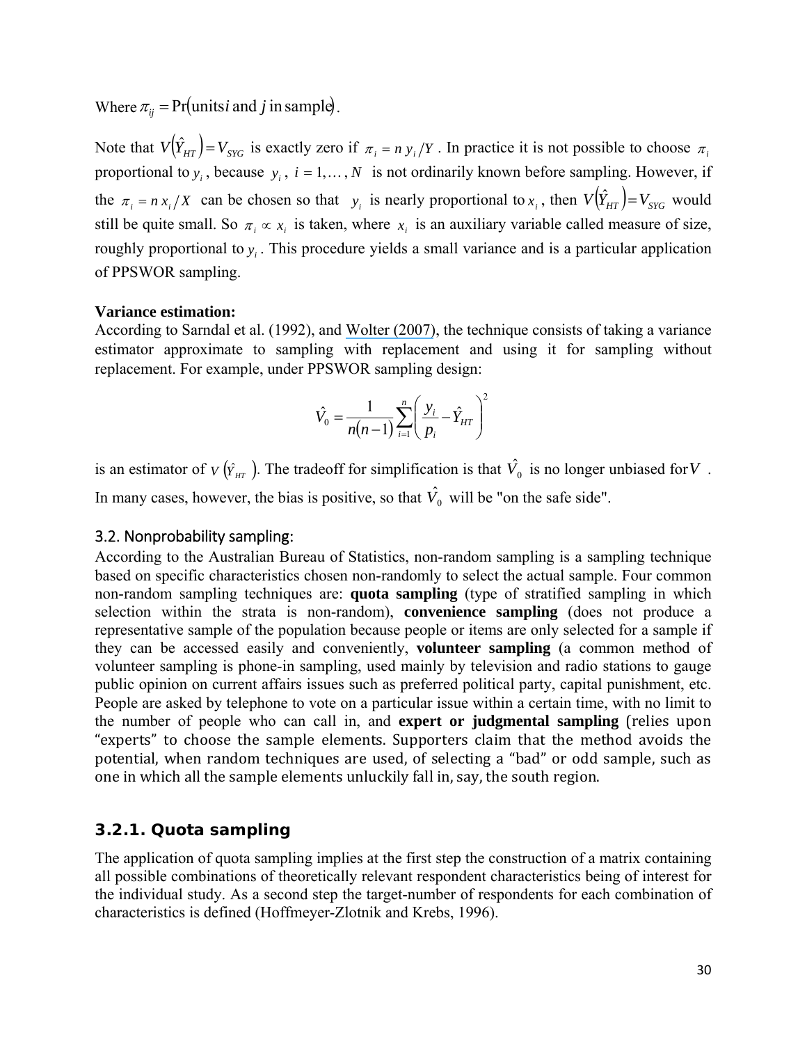<span id="page-31-0"></span>Where  $\pi_{ii}$  = Pr (units*i* and *j* in sample).

Note that  $V(\hat{Y}_{HT}) = V_{STG}$  is exactly zero if  $\pi_i = n y_i/Y$ . In practice it is not possible to choose  $\pi_i$ proportional to  $y_i$ , because  $y_i$ ,  $i = 1,..., N$  is not ordinarily known before sampling. However, if the  $\pi_i = n x_i / X$  can be chosen so that  $y_i$  is nearly proportional to  $x_i$ , then  $V(\hat{Y}_{HT}) = V_{STG}$  would still be quite small. So  $\pi_i \propto x_i$  is taken, where  $x_i$  is an auxiliary variable called measure of size, roughly proportional to  $y_i$ . This procedure yields a small variance and is a particular application of PPSWOR sampling.

#### **Variance estimation:**

According to Sarndal et al. (1992), and [Wolter \(2007\)](https://www.researchgate.net/publication/260138224_An_Introduction_to_Variance_Estimation?el=1_x_8&enrichId=rgreq-fda677c61fd774d007298727f6625c97-XXX&enrichSource=Y292ZXJQYWdlOzI4MTI2OTMyNjtBUzoyNjY2MzUwNTU0NjQ0NDhAMTQ0MDU4MjE1OTA3OA==), the technique consists of taking a variance estimator approximate to sampling with replacement and using it for sampling without replacement. For example, under PPSWOR sampling design:

$$
\hat{V}_0 = \frac{1}{n(n-1)} \sum_{i=1}^n \left( \frac{y_i}{p_i} - \hat{Y}_{HT} \right)^2
$$

is an estimator of  $V(\hat{Y}_{HT})$ . The tradeoff for simplification is that  $\hat{V}_0$  is no longer unbiased for V. In many cases, however, the bias is positive, so that  $\hat{V}_0$  will be "on the safe side".

#### 3.2. Nonprobability sampling:

According to the Australian Bureau of Statistics, non-random sampling is a sampling technique based on specific characteristics chosen non-randomly to select the actual sample. Four common non-random sampling techniques are: **quota sampling** (type of stratified sampling in which selection within the strata is non-random), **convenience sampling** (does not produce a representative sample of the population because people or items are only selected for a sample if they can be accessed easily and conveniently, **volunteer sampling** (a common method of volunteer sampling is phone-in sampling, used mainly by television and radio stations to gauge public opinion on current affairs issues such as preferred political party, capital punishment, etc. People are asked by telephone to vote on a particular issue within a certain time, with no limit to the number of people who can call in, and **expert or judgmental sampling** (relies upon "experts" to choose the sample elements. Supporters claim that the method avoids the potential, when random techniques are used, of selecting a "bad" or odd sample, such as one in which all the sample elements unluckily fall in, say, the south region.

#### *3.2.1. Quota sampling*

The application of quota sampling implies at the first step the construction of a matrix containing all possible combinations of theoretically relevant respondent characteristics being of interest for the individual study. As a second step the target-number of respondents for each combination of characteristics is defined (Hoffmeyer-Zlotnik and Krebs, 1996).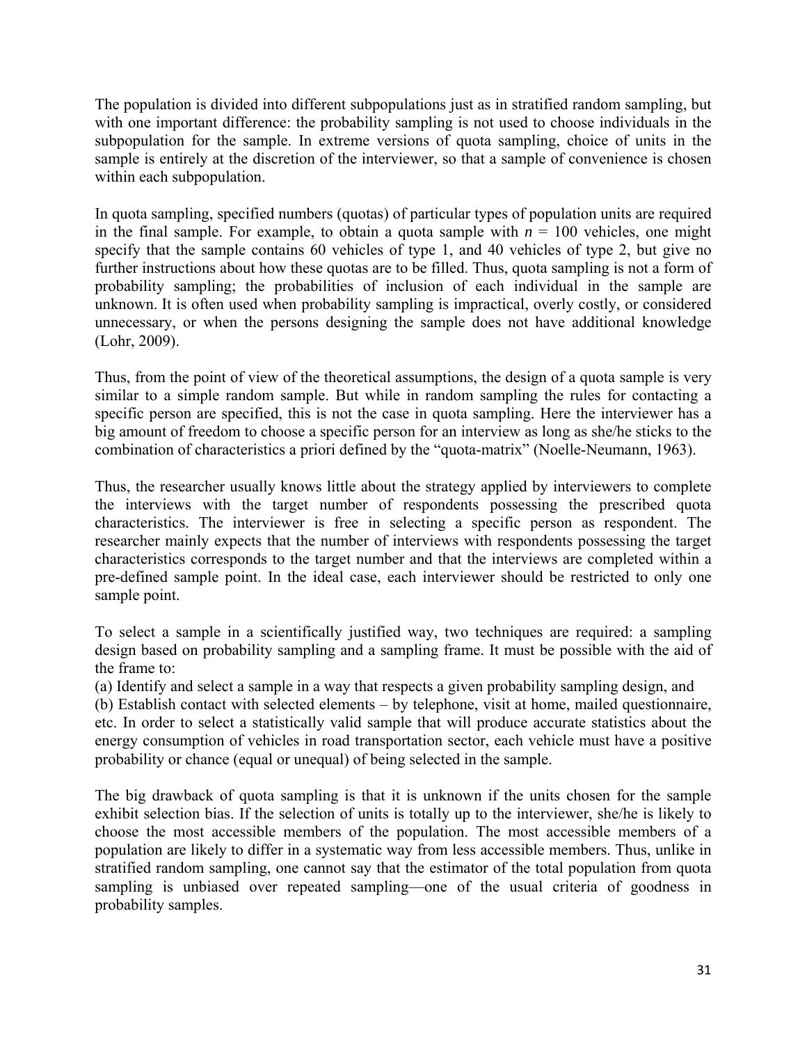<span id="page-32-0"></span>The population is divided into different subpopulations just as in stratified random sampling, but with one important difference: the probability sampling is not used to choose individuals in the subpopulation for the sample. In extreme versions of quota sampling, choice of units in the sample is entirely at the discretion of the interviewer, so that a sample of convenience is chosen within each subpopulation.

In quota sampling, specified numbers (quotas) of particular types of population units are required in the final sample. For example, to obtain a quota sample with  $n = 100$  vehicles, one might specify that the sample contains 60 vehicles of type 1, and 40 vehicles of type 2, but give no further instructions about how these quotas are to be filled. Thus, quota sampling is not a form of probability sampling; the probabilities of inclusion of each individual in the sample are unknown. It is often used when probability sampling is impractical, overly costly, or considered unnecessary, or when the persons designing the sample does not have additional knowledge (Lohr, 2009).

Thus, from the point of view of the theoretical assumptions, the design of a quota sample is very similar to a simple random sample. But while in random sampling the rules for contacting a specific person are specified, this is not the case in quota sampling. Here the interviewer has a big amount of freedom to choose a specific person for an interview as long as she/he sticks to the combination of characteristics a priori defined by the "quota-matrix" (Noelle-Neumann, 1963).

Thus, the researcher usually knows little about the strategy applied by interviewers to complete the interviews with the target number of respondents possessing the prescribed quota characteristics. The interviewer is free in selecting a specific person as respondent. The researcher mainly expects that the number of interviews with respondents possessing the target characteristics corresponds to the target number and that the interviews are completed within a pre-defined sample point. In the ideal case, each interviewer should be restricted to only one sample point.

To select a sample in a scientifically justified way, two techniques are required: a sampling design based on probability sampling and a sampling frame. It must be possible with the aid of the frame to:

(a) Identify and select a sample in a way that respects a given probability sampling design, and

(b) Establish contact with selected elements – by telephone, visit at home, mailed questionnaire, etc. In order to select a statistically valid sample that will produce accurate statistics about the energy consumption of vehicles in road transportation sector, each vehicle must have a positive probability or chance (equal or unequal) of being selected in the sample.

The big drawback of quota sampling is that it is unknown if the units chosen for the sample exhibit selection bias. If the selection of units is totally up to the interviewer, she/he is likely to choose the most accessible members of the population. The most accessible members of a population are likely to differ in a systematic way from less accessible members. Thus, unlike in stratified random sampling, one cannot say that the estimator of the total population from quota sampling is unbiased over repeated sampling—one of the usual criteria of goodness in probability samples.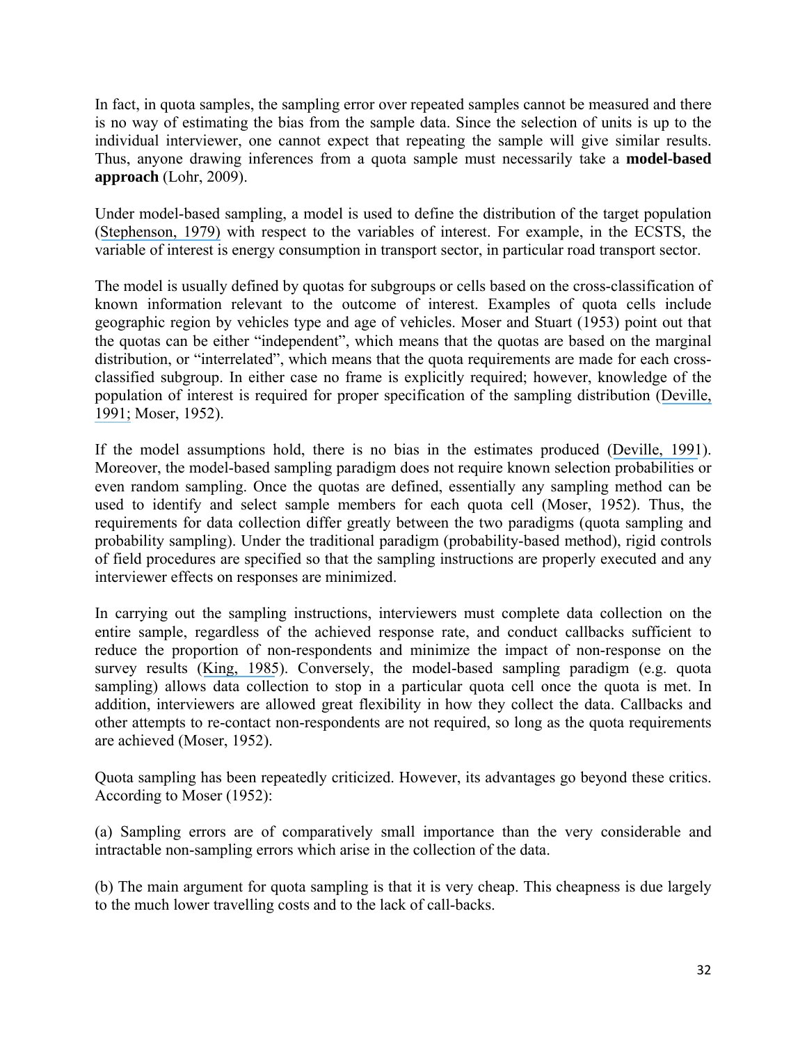In fact, in quota samples, the sampling error over repeated samples cannot be measured and there is no way of estimating the bias from the sample data. Since the selection of units is up to the individual interviewer, one cannot expect that repeating the sample will give similar results. Thus, anyone drawing inferences from a quota sample must necessarily take a **model-based approach** (Lohr, 2009).

Under model-based sampling, a model is used to define the distribution of the target population ([Stephenson, 1979\)](https://www.researchgate.net/publication/249277532_Probability_Sampling_With_Quotas_An_Experiment?el=1_x_8&enrichId=rgreq-fda677c61fd774d007298727f6625c97-XXX&enrichSource=Y292ZXJQYWdlOzI4MTI2OTMyNjtBUzoyNjY2MzUwNTU0NjQ0NDhAMTQ0MDU4MjE1OTA3OA==) with respect to the variables of interest. For example, in the ECSTS, the variable of interest is energy consumption in transport sector, in particular road transport sector.

The model is usually defined by quotas for subgroups or cells based on the cross-classification of known information relevant to the outcome of interest. Examples of quota cells include geographic region by vehicles type and age of vehicles. Moser and Stuart (1953) point out that the quotas can be either "independent", which means that the quotas are based on the marginal distribution, or "interrelated", which means that the quota requirements are made for each crossclassified subgroup. In either case no frame is explicitly required; however, knowledge of the population of interest is required for proper specification of the sampling distribution ([Deville,](https://www.researchgate.net/publication/285734855_A_theory_of_quota_surveys?el=1_x_8&enrichId=rgreq-fda677c61fd774d007298727f6625c97-XXX&enrichSource=Y292ZXJQYWdlOzI4MTI2OTMyNjtBUzoyNjY2MzUwNTU0NjQ0NDhAMTQ0MDU4MjE1OTA3OA==) [1991;](https://www.researchgate.net/publication/285734855_A_theory_of_quota_surveys?el=1_x_8&enrichId=rgreq-fda677c61fd774d007298727f6625c97-XXX&enrichSource=Y292ZXJQYWdlOzI4MTI2OTMyNjtBUzoyNjY2MzUwNTU0NjQ0NDhAMTQ0MDU4MjE1OTA3OA==) Moser, 1952).

If the model assumptions hold, there is no bias in the estimates produced ([Deville, 1991](https://www.researchgate.net/publication/285734855_A_theory_of_quota_surveys?el=1_x_8&enrichId=rgreq-fda677c61fd774d007298727f6625c97-XXX&enrichSource=Y292ZXJQYWdlOzI4MTI2OTMyNjtBUzoyNjY2MzUwNTU0NjQ0NDhAMTQ0MDU4MjE1OTA3OA==)). Moreover, the model-based sampling paradigm does not require known selection probabilities or even random sampling. Once the quotas are defined, essentially any sampling method can be used to identify and select sample members for each quota cell (Moser, 1952). Thus, the requirements for data collection differ greatly between the two paradigms (quota sampling and probability sampling). Under the traditional paradigm (probability-based method), rigid controls of field procedures are specified so that the sampling instructions are properly executed and any interviewer effects on responses are minimized.

In carrying out the sampling instructions, interviewers must complete data collection on the entire sample, regardless of the achieved response rate, and conduct callbacks sufficient to reduce the proportion of non-respondents and minimize the impact of non-response on the survey results ([King, 1985](https://www.researchgate.net/publication/241721836_Surveys_Combining_Probability_and_Quota_Methods_of_Sampling?el=1_x_8&enrichId=rgreq-fda677c61fd774d007298727f6625c97-XXX&enrichSource=Y292ZXJQYWdlOzI4MTI2OTMyNjtBUzoyNjY2MzUwNTU0NjQ0NDhAMTQ0MDU4MjE1OTA3OA==)). Conversely, the model-based sampling paradigm (e.g. quota sampling) allows data collection to stop in a particular quota cell once the quota is met. In addition, interviewers are allowed great flexibility in how they collect the data. Callbacks and other attempts to re-contact non-respondents are not required, so long as the quota requirements are achieved (Moser, 1952).

Quota sampling has been repeatedly criticized. However, its advantages go beyond these critics. According to Moser (1952):

(a) Sampling errors are of comparatively small importance than the very considerable and intractable non-sampling errors which arise in the collection of the data.

(b) The main argument for quota sampling is that it is very cheap. This cheapness is due largely to the much lower travelling costs and to the lack of call-backs.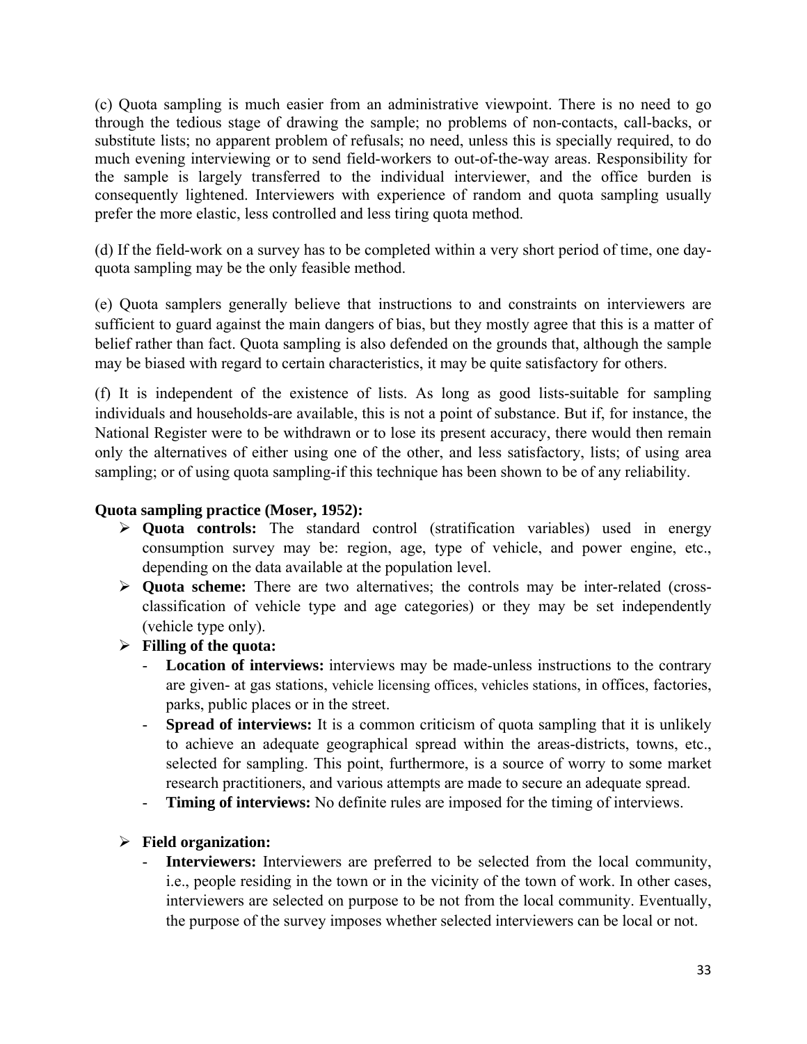(c) Quota sampling is much easier from an administrative viewpoint. There is no need to go through the tedious stage of drawing the sample; no problems of non-contacts, call-backs, or substitute lists; no apparent problem of refusals; no need, unless this is specially required, to do much evening interviewing or to send field-workers to out-of-the-way areas. Responsibility for the sample is largely transferred to the individual interviewer, and the office burden is consequently lightened. Interviewers with experience of random and quota sampling usually prefer the more elastic, less controlled and less tiring quota method.

(d) If the field-work on a survey has to be completed within a very short period of time, one dayquota sampling may be the only feasible method.

(e) Quota samplers generally believe that instructions to and constraints on interviewers are sufficient to guard against the main dangers of bias, but they mostly agree that this is a matter of belief rather than fact. Quota sampling is also defended on the grounds that, although the sample may be biased with regard to certain characteristics, it may be quite satisfactory for others.

(f) It is independent of the existence of lists. As long as good lists-suitable for sampling individuals and households-are available, this is not a point of substance. But if, for instance, the National Register were to be withdrawn or to lose its present accuracy, there would then remain only the alternatives of either using one of the other, and less satisfactory, lists; of using area sampling; or of using quota sampling-if this technique has been shown to be of any reliability.

#### **Quota sampling practice (Moser, 1952):**

- **Quota controls:** The standard control (stratification variables) used in energy consumption survey may be: region, age, type of vehicle, and power engine, etc., depending on the data available at the population level.
- **Quota scheme:** There are two alternatives; the controls may be inter-related (crossclassification of vehicle type and age categories) or they may be set independently (vehicle type only).
- **Filling of the quota:** 
	- **Location of interviews:** interviews may be made-unless instructions to the contrary are given- at gas stations, vehicle licensing offices, vehicles stations, in offices, factories, parks, public places or in the street.
	- **Spread of interviews:** It is a common criticism of quota sampling that it is unlikely to achieve an adequate geographical spread within the areas-districts, towns, etc., selected for sampling. This point, furthermore, is a source of worry to some market research practitioners, and various attempts are made to secure an adequate spread.
	- **Timing of interviews:** No definite rules are imposed for the timing of interviews.

#### **Field organization:**

**Interviewers:** Interviewers are preferred to be selected from the local community, i.e., people residing in the town or in the vicinity of the town of work. In other cases, interviewers are selected on purpose to be not from the local community. Eventually, the purpose of the survey imposes whether selected interviewers can be local or not.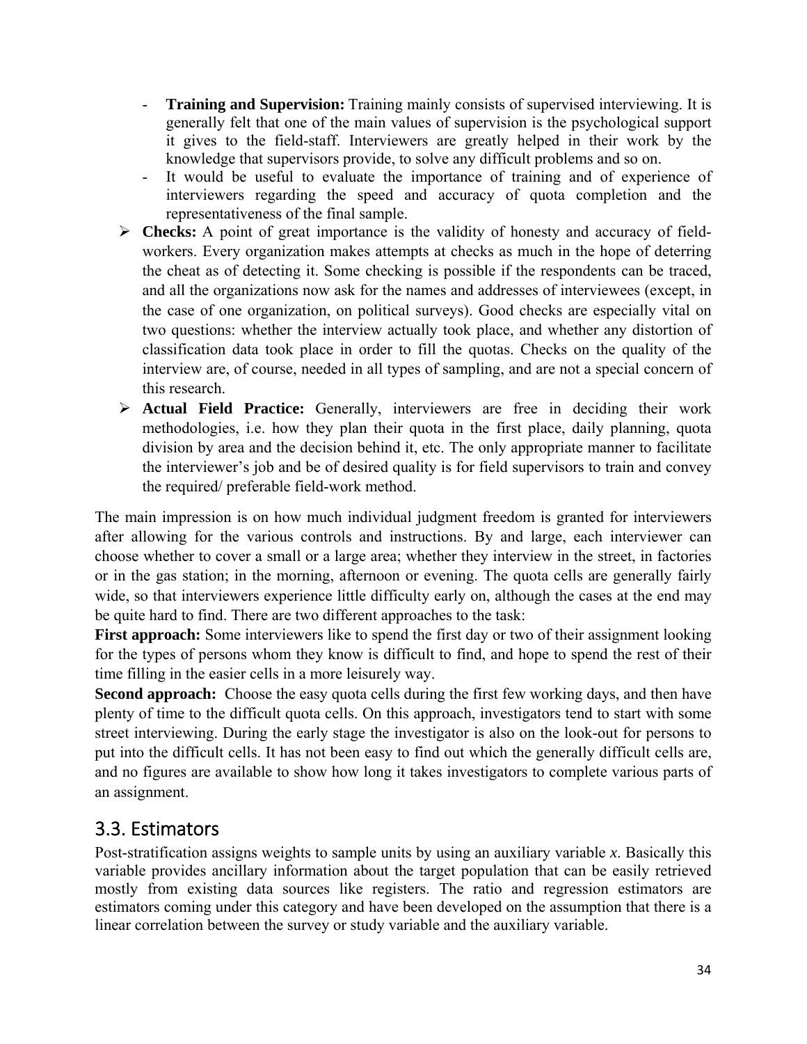- **Training and Supervision:** Training mainly consists of supervised interviewing. It is generally felt that one of the main values of supervision is the psychological support it gives to the field-staff. Interviewers are greatly helped in their work by the knowledge that supervisors provide, to solve any difficult problems and so on.
- It would be useful to evaluate the importance of training and of experience of interviewers regarding the speed and accuracy of quota completion and the representativeness of the final sample.
- **Checks:** A point of great importance is the validity of honesty and accuracy of fieldworkers. Every organization makes attempts at checks as much in the hope of deterring the cheat as of detecting it. Some checking is possible if the respondents can be traced, and all the organizations now ask for the names and addresses of interviewees (except, in the case of one organization, on political surveys). Good checks are especially vital on two questions: whether the interview actually took place, and whether any distortion of classification data took place in order to fill the quotas. Checks on the quality of the interview are, of course, needed in all types of sampling, and are not a special concern of this research.
- **Actual Field Practice:** Generally, interviewers are free in deciding their work methodologies, i.e. how they plan their quota in the first place, daily planning, quota division by area and the decision behind it, etc. The only appropriate manner to facilitate the interviewer's job and be of desired quality is for field supervisors to train and convey the required/ preferable field-work method.

The main impression is on how much individual judgment freedom is granted for interviewers after allowing for the various controls and instructions. By and large, each interviewer can choose whether to cover a small or a large area; whether they interview in the street, in factories or in the gas station; in the morning, afternoon or evening. The quota cells are generally fairly wide, so that interviewers experience little difficulty early on, although the cases at the end may be quite hard to find. There are two different approaches to the task:

First approach: Some interviewers like to spend the first day or two of their assignment looking for the types of persons whom they know is difficult to find, and hope to spend the rest of their time filling in the easier cells in a more leisurely way.

**Second approach:** Choose the easy quota cells during the first few working days, and then have plenty of time to the difficult quota cells. On this approach, investigators tend to start with some street interviewing. During the early stage the investigator is also on the look-out for persons to put into the difficult cells. It has not been easy to find out which the generally difficult cells are, and no figures are available to show how long it takes investigators to complete various parts of an assignment.

## 3.3. Estimators

Post-stratification assigns weights to sample units by using an auxiliary variable *x*. Basically this variable provides ancillary information about the target population that can be easily retrieved mostly from existing data sources like registers. The ratio and regression estimators are estimators coming under this category and have been developed on the assumption that there is a linear correlation between the survey or study variable and the auxiliary variable.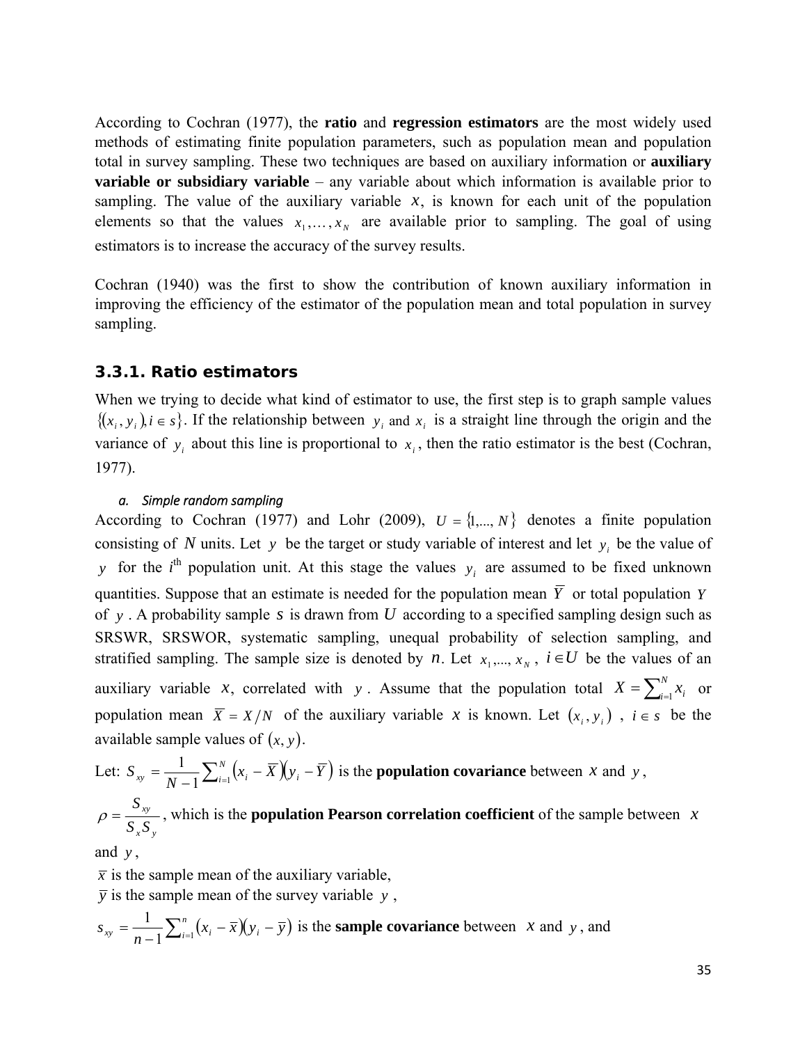<span id="page-36-0"></span>According to Cochran (1977), the **ratio** and **regression estimators** are the most widely used methods of estimating finite population parameters, such as population mean and population total in survey sampling. These two techniques are based on auxiliary information or **auxiliary variable or subsidiary variable** – any variable about which information is available prior to sampling. The value of the auxiliary variable  $x$ , is known for each unit of the population elements so that the values  $x_1, \ldots, x_N$  are available prior to sampling. The goal of using estimators is to increase the accuracy of the survey results.

Cochran (1940) was the first to show the contribution of known auxiliary information in improving the efficiency of the estimator of the population mean and total population in survey sampling.

#### *3.3.1. Ratio estimators*

When we trying to decide what kind of estimator to use, the first step is to graph sample values  $\{(x_i, y_i)\}\$ i  $\in$  *s* $\}$ . If the relationship between  $y_i$  and  $x_i$  is a straight line through the origin and the variance of  $y_i$  about this line is proportional to  $x_i$ , then the ratio estimator is the best (Cochran, 1977).

#### *a. Simple random sampling*

According to Cochran (1977) and Lohr (2009),  $U = \{1, ..., N\}$  denotes a finite population consisting of *N* units. Let *y* be the target or study variable of interest and let  $y_i$  be the value of *y* for the *i*<sup>th</sup> population unit. At this stage the values  $y_i$  are assumed to be fixed unknown quantities. Suppose that an estimate is needed for the population mean  $\overline{Y}$  or total population *Y* of *y* . A probability sample *s* is drawn from *U* according to a specified sampling design such as SRSWR, SRSWOR, systematic sampling, unequal probability of selection sampling, and stratified sampling. The sample size is denoted by *n*. Let  $x_1, ..., x_N$ ,  $i \in U$  be the values of an auxiliary variable *x*, correlated with *y*. Assume that the population total  $X = \sum_{i=1}^{N} x_i$  or population mean  $\overline{X} = X/N$  of the auxiliary variable *x* is known. Let  $(x_i, y_i)$ ,  $i \in s$  be the available sample values of  $(x, y)$ .

Let: 
$$
S_{xy} = \frac{1}{N-1} \sum_{i=1}^{N} (x_i - \overline{X})(y_i - \overline{Y})
$$
 is the **population covariance** between *x* and *y*,  
\n $\rho = \frac{S_{xy}}{S_x S_y}$ , which is the **population Pearson correlation coefficient** of the sample between *x*

and *y* ,

 $\bar{x}$  is the sample mean of the auxiliary variable,

 $\overline{y}$  is the sample mean of the survey variable  $y$ ,

$$
s_{xy} = \frac{1}{n-1} \sum_{i=1}^{n} (x_i - \overline{x})(y_i - \overline{y})
$$
 is the **sample covariance** between *x* and *y*, and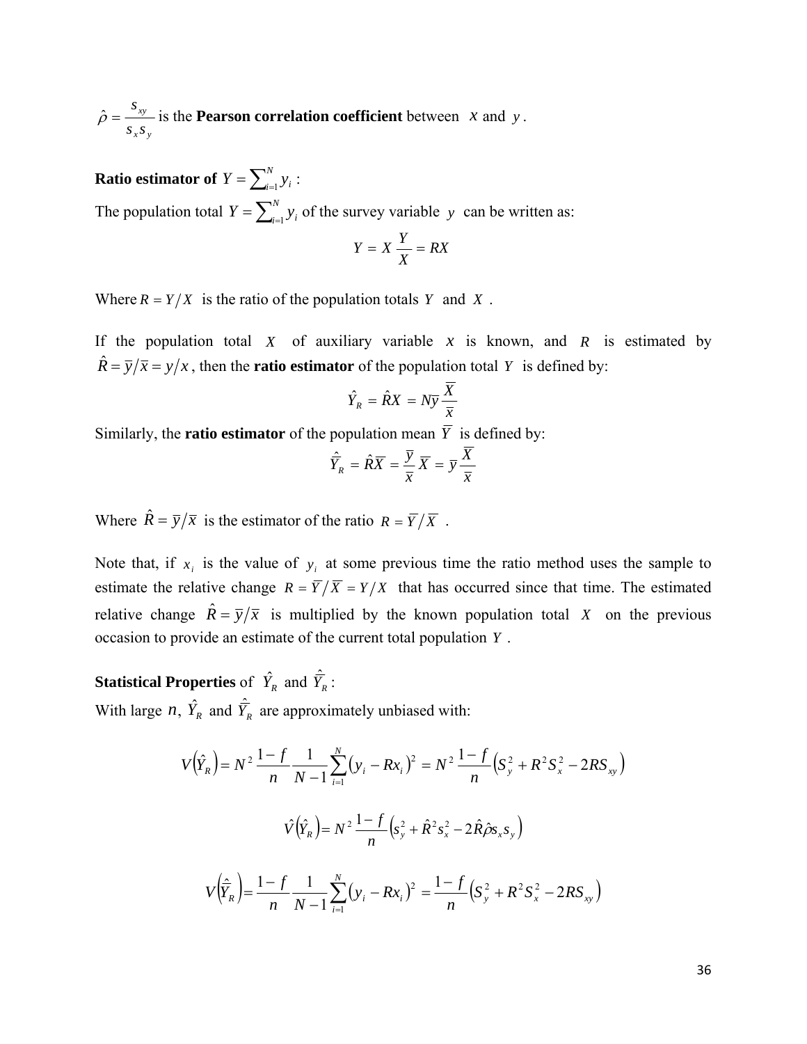*x y xy s s*  $\hat{\rho} = \frac{s_{xy}}{s}$  is the **Pearson correlation coefficient** between *x* and *y*.

# **Ratio estimator of**  $Y = \sum_{i=1}^{N} y_i$ :

The population total  $Y = \sum_{i=1}^{N} y_i$  of the survey variable *y* can be written as:

$$
Y = X\frac{Y}{X} = RX
$$

Where  $R = Y/X$  is the ratio of the population totals *Y* and *X*.

If the population total  $X$  of auxiliary variable  $x$  is known, and  $R$  is estimated by  $\hat{R} = \overline{y}/\overline{x} = y/x$ , then the **ratio estimator** of the population total *Y* is defined by:

$$
\hat{Y}_R = \hat{R}X = N\overline{y}\frac{\overline{X}}{\overline{x}}
$$

Similarly, the **ratio estimator** of the population mean  $\overline{Y}$  is defined by:

$$
\hat{\overline{Y}}_R = \hat{R}\overline{X} = \frac{\overline{y}}{\overline{x}}\overline{X} = \overline{y}\frac{\overline{X}}{\overline{x}}
$$

Where  $\hat{R} = \overline{y}/\overline{x}$  is the estimator of the ratio  $R = \overline{Y}/\overline{X}$ .

Note that, if  $x_i$  is the value of  $y_i$  at some previous time the ratio method uses the sample to estimate the relative change  $R = \overline{Y}/\overline{X} = Y/X$  that has occurred since that time. The estimated relative change  $\hat{R} = \overline{y}/\overline{x}$  is multiplied by the known population total *X* on the previous occasion to provide an estimate of the current total population *Y* .

**Statistical Properties** of  $\hat{Y}_R$  and  $\hat{\overline{Y}}_R$ : With large *n*,  $\hat{Y}_R$  and  $\hat{Y}_R$  are approximately unbiased with:

$$
V(\hat{Y}_R) = N^2 \frac{1 - f}{n} \frac{1}{N - 1} \sum_{i=1}^N (y_i - Rx_i)^2 = N^2 \frac{1 - f}{n} (S_y^2 + R^2 S_x^2 - 2RS_{xy})
$$

$$
\hat{V}(\hat{Y}_R) = N^2 \frac{1 - f}{n} (S_y^2 + \hat{R}^2 S_x^2 - 2\hat{R}\hat{\rho}S_x S_y)
$$

$$
V(\hat{Y}_R) = \frac{1 - f}{n} \frac{1}{N - 1} \sum_{i=1}^N (y_i - Rx_i)^2 = \frac{1 - f}{n} (S_y^2 + R^2 S_x^2 - 2RS_{xy})
$$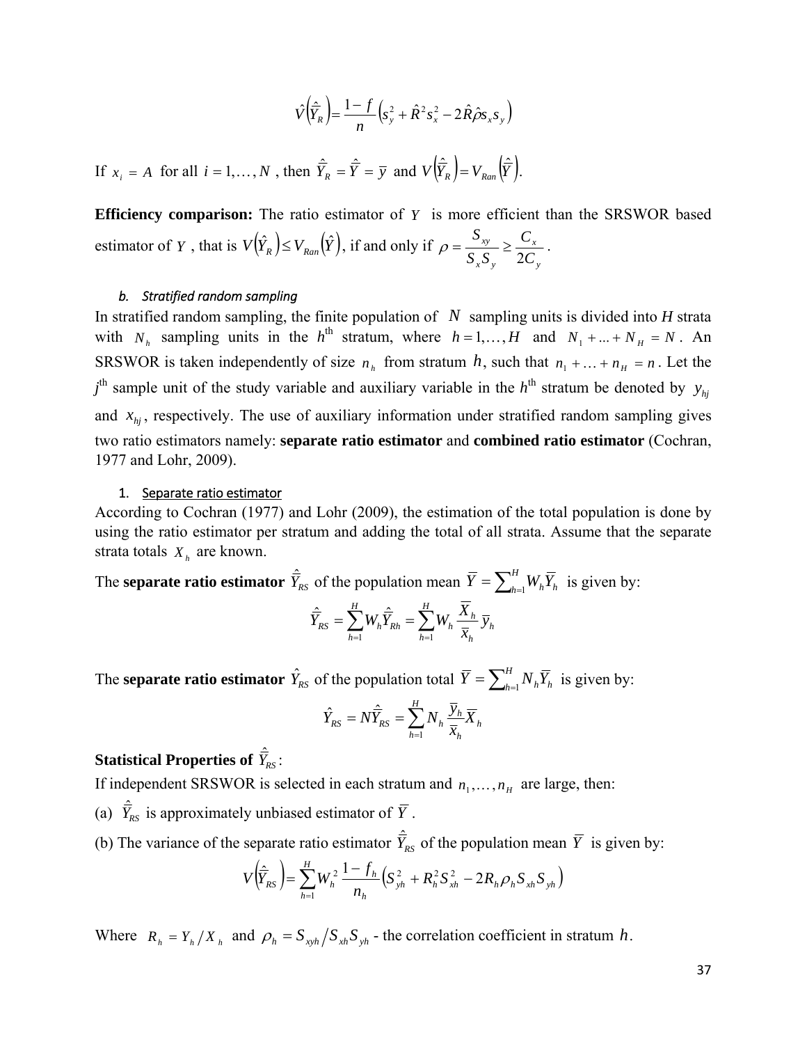$$
\hat{V}(\hat{\overline{Y}}_{R}) = \frac{1 - f}{n} \left( s_{y}^{2} + \hat{R}^{2} s_{x}^{2} - 2 \hat{R} \hat{\rho} s_{x} s_{y} \right)
$$

<span id="page-38-0"></span>If  $x_i = A$  for all  $i = 1,..., N$ , then  $\hat{\overline{Y}}_R = \hat{\overline{Y}} = \overline{y}$  and  $V(\hat{\overline{Y}}_R) = V_{Ran}(\hat{\overline{Y}})$ .

**Efficiency comparison:** The ratio estimator of *Y* is more efficient than the SRSWOR based estimator of *Y*, that is  $V(\hat{Y}_R) \leq V_{Ran}(\hat{Y})$ , if and only if *y x x y xy C C S S S*  $\rho = \frac{S_{xy}}{S_x S_y} \ge \frac{C_x}{2C_y}.$ 

#### *b. Stratified random sampling*

In stratified random sampling, the finite population of *N* sampling units is divided into *H* strata with  $N_h$  sampling units in the  $h^{th}$  stratum, where  $h = 1,..., H$  and  $N_1 + ... + N_H = N$ . An SRSWOR is taken independently of size  $n_h$  from stratum *h*, such that  $n_1 + ... + n_H = n$ . Let the  $j<sup>th</sup>$  sample unit of the study variable and auxiliary variable in the  $h<sup>th</sup>$  stratum be denoted by  $y_{hj}$ and  $x_{hi}$ , respectively. The use of auxiliary information under stratified random sampling gives two ratio estimators namely: **separate ratio estimator** and **combined ratio estimator** (Cochran, 1977 and Lohr, 2009).

#### 1. Separate ratio estimator

According to Cochran (1977) and Lohr (2009), the estimation of the total population is done by using the ratio estimator per stratum and adding the total of all strata. Assume that the separate strata totals  $X_h$  are known.

The **separate ratio estimator**  $\hat{\overline{Y}}_{RS}$  of the population mean  $\overline{Y} = \sum_{h=1}^{H} W_h \overline{Y}_h$  is given by:  $=\sum_{h=1}W_{h}\overline{\stackrel{\cdot}{Y}}_{Rh}=\sum_{h=1}% W_{h}^{\ast}\overline{\stackrel{\cdot}{Y}}_{Rh}$ *H h*  $\overline{h}$   $\frac{A_h}{\overline{h}} \overline{y}_h$ *h H h*  $Y_{RS} = \sum_{h=1} W_h Y_{Rh} = \sum_{h=1} W_h \frac{X_h}{\overline{X}_h} \overline{y}$  $\hat{\overline{Y}}_{RS} = \sum_{l}^{H} W_{l} \hat{\overline{Y}}_{Rh} = \sum_{l}^{H} W_{l} \frac{\overline{X}}{I}$  $h=1$  $\hat{\vec{r}}$   $=$   $\sum_{i=1}^{n}$   $W \hat{\vec{v}}$ 

The **separate ratio estimator**  $\hat{Y}_{RS}$  of the population total  $\overline{Y} = \sum_{h=1}^{H} N_h \overline{Y}_h$  is given by:

$$
\hat{Y}_{RS} = N\hat{\overline{Y}}_{RS} = \sum_{h=1}^{H} N_h \frac{\overline{y}_h}{\overline{x}_h} \overline{X}_h
$$

## Statistical Properties of  $\hat{\bar{Y}}_{\!\scriptscriptstyle R\!S}$  :

If independent SRSWOR is selected in each stratum and  $n_1, \ldots, n_H$  are large, then:

(a)  $\hat{Y}_{RS}$  is approximately unbiased estimator of  $\overline{Y}$ .

(b) The variance of the separate ratio estimator  $\hat{\overline{Y}}_{RS}$  of the population mean  $\overline{Y}$  is given by:

$$
V(\hat{\overline{Y}}_{RS}) = \sum_{h=1}^{H} W_h^2 \frac{1 - f_h}{n_h} \Big(S_{yh}^2 + R_h^2 S_{xh}^2 - 2R_h \rho_h S_{xh} S_{yh}\Big)
$$

Where  $R_h = Y_h / X_h$  and  $\rho_h = S_{xvh} / S_{xh} S_{yh}$  - the correlation coefficient in stratum *h*.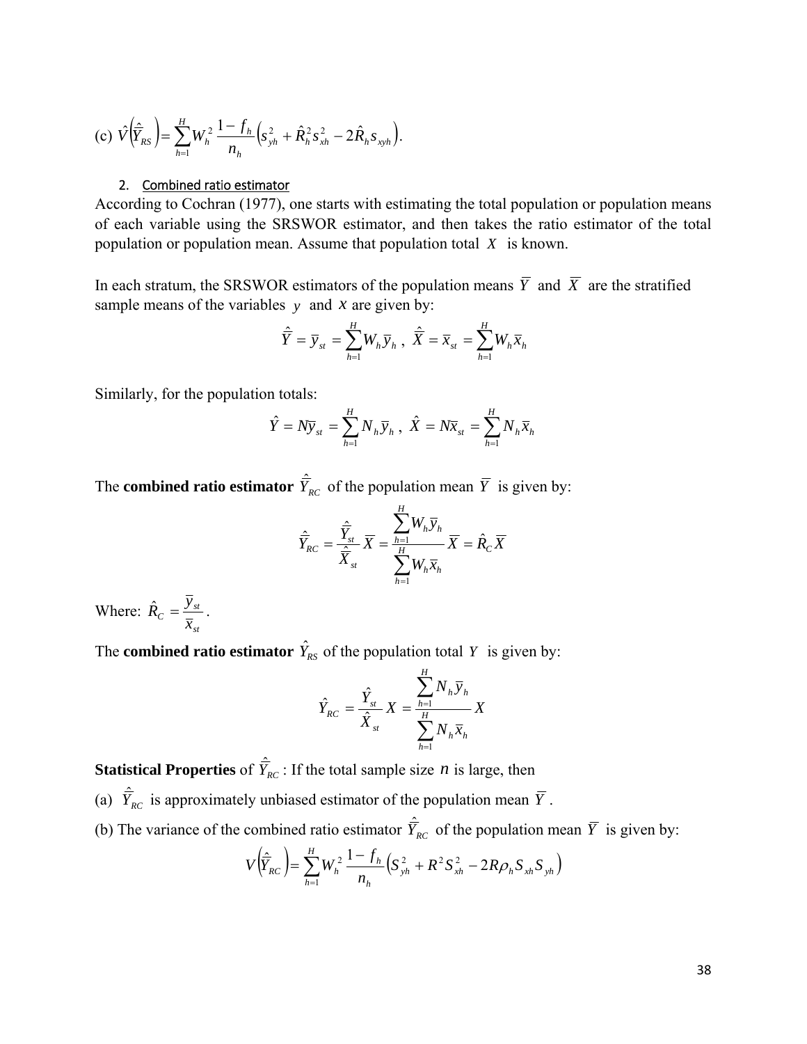<span id="page-39-0"></span>(c) 
$$
\hat{V}(\hat{\overline{Y}}_{RS}) = \sum_{h=1}^{H} W_h^2 \frac{1 - f_h}{n_h} \left(s_{yh}^2 + \hat{R}_h^2 s_{xh}^2 - 2\hat{R}_h s_{xyh}\right).
$$

#### 2. Combined ratio estimator

According to Cochran (1977), one starts with estimating the total population or population means of each variable using the SRSWOR estimator, and then takes the ratio estimator of the total population or population mean. Assume that population total *X* is known.

In each stratum, the SRSWOR estimators of the population means  $\overline{Y}$  and  $\overline{X}$  are the stratified sample means of the variables  $y$  and  $x$  are given by:

$$
\hat{\overline{Y}} = \overline{y}_{st} = \sum_{h=1}^{H} W_h \overline{y}_h , \quad \hat{\overline{X}} = \overline{x}_{st} = \sum_{h=1}^{H} W_h \overline{x}_h
$$

Similarly, for the population totals:

$$
\hat{Y} = N\overline{y}_{st} = \sum_{h=1}^{H} N_h \overline{y}_h, \ \hat{X} = N\overline{x}_{st} = \sum_{h=1}^{H} N_h \overline{x}_h
$$

The **combined ratio estimator**  $\hat{Y}_{RC}$  of the population mean  $\overline{Y}$  is given by:

$$
\hat{\overline{Y}}_{RC} = \frac{\hat{\overline{Y}}_{st}}{\hat{\overline{X}}_{st}} \overline{X} = \frac{\sum_{h=1}^{H} W_h \overline{y}_h}{\sum_{h=1}^{H} W_h \overline{x}_h} \overline{X} = \hat{R}_C \overline{X}
$$

Where: *st*  $\frac{y_{st}}{x_{st}}$  $\hat{R}_C = \frac{\overline{y}_{st}}{2}$ .

The **combined ratio estimator**  $\hat{Y}_{RS}$  of the population total *Y* is given by:

$$
\hat{Y}_{RC} = \frac{\hat{Y}_{st}}{\hat{X}_{st}} X = \frac{\sum_{h=1}^{H} N_h \overline{y}_h}{\sum_{h=1}^{H} N_h \overline{x}_h} X
$$

**Statistical Properties** of  $\hat{\overline{Y}}_{RC}$ : If the total sample size *n* is large, then

- (a)  $\hat{Y}_{RC}$  is approximately unbiased estimator of the population mean  $\overline{Y}$ .
- (b) The variance of the combined ratio estimator  $\hat{Y}_{RC}$  of the population mean  $\overline{Y}$  is given by:

$$
V(\hat{\overline{Y}}_{RC}) = \sum_{h=1}^{H} W_h^2 \frac{1 - f_h}{n_h} \Big( S_{yh}^2 + R^2 S_{xh}^2 - 2R \rho_h S_{xh} S_{yh} \Big)
$$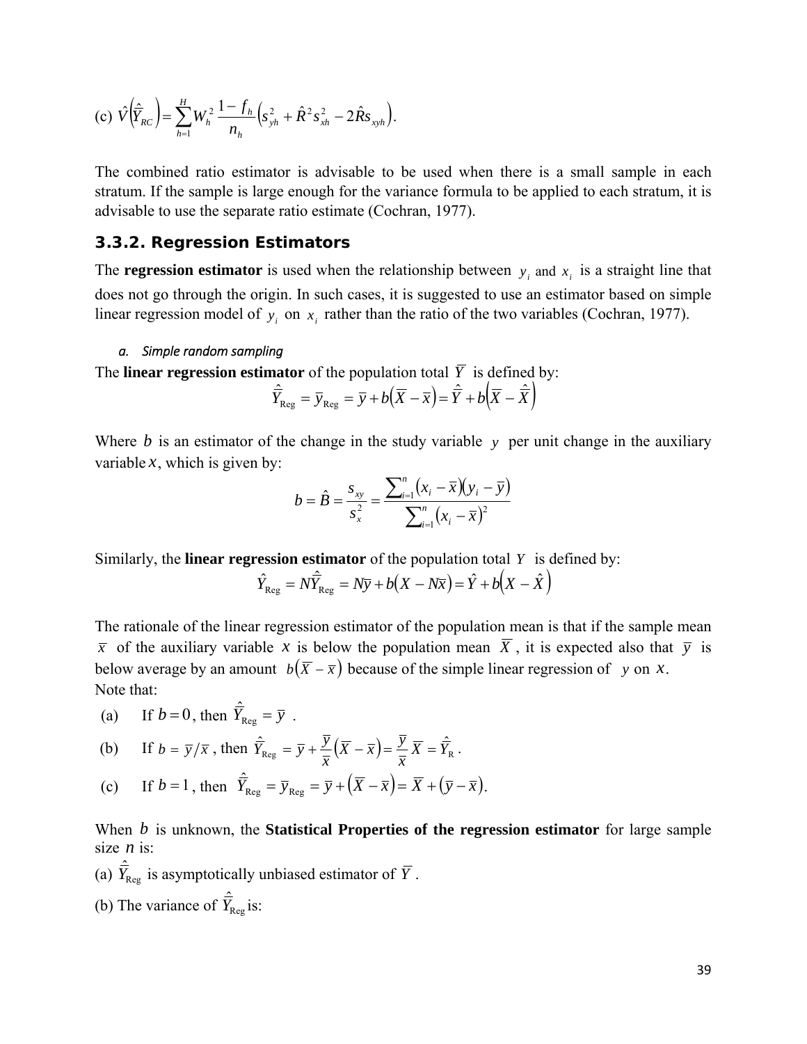<span id="page-40-0"></span>(c) 
$$
\hat{V}(\hat{\overline{Y}}_{RC}) = \sum_{h=1}^{H} W_h^2 \frac{1 - f_h}{n_h} \left(s_{yh}^2 + \hat{R}^2 s_{xh}^2 - 2\hat{R}s_{xyh}\right).
$$

The combined ratio estimator is advisable to be used when there is a small sample in each stratum. If the sample is large enough for the variance formula to be applied to each stratum, it is advisable to use the separate ratio estimate (Cochran, 1977).

#### *3.3.2. Regression Estimators*

The **regression estimator** is used when the relationship between  $y_i$  and  $x_i$  is a straight line that does not go through the origin. In such cases, it is suggested to use an estimator based on simple linear regression model of  $y_i$  on  $x_i$  rather than the ratio of the two variables (Cochran, 1977).

#### *a. Simple random sampling*

The **linear regression estimator** of the population total  $\overline{Y}$  is defined by:

$$
\hat{\overline{Y}}_{\text{Reg}} = \overline{y}_{\text{Reg}} = \overline{y} + b(\overline{X} - \overline{x}) = \hat{\overline{Y}} + b(\overline{X} - \hat{\overline{X}})
$$

Where *b* is an estimator of the change in the study variable *y* per unit change in the auxiliary variable  $x$ , which is given by:

$$
b = \hat{B} = \frac{s_{xy}}{s_x^2} = \frac{\sum_{i=1}^{n} (x_i - \overline{x})(y_i - \overline{y})}{\sum_{i=1}^{n} (x_i - \overline{x})^2}
$$

Similarly, the **linear regression estimator** of the population total *Y* is defined by:

$$
\hat{Y}_{\text{Reg}} = N\hat{\overline{Y}}_{\text{Reg}} = N\overline{y} + b(X - N\overline{x}) = \hat{Y} + b(X - \hat{X})
$$

The rationale of the linear regression estimator of the population mean is that if the sample mean  $\overline{x}$  of the auxiliary variable *x* is below the population mean  $\overline{X}$ , it is expected also that  $\overline{y}$  is below average by an amount  $b(\bar{X} - \bar{x})$  because of the simple linear regression of *y* on *x*. Note that:

(a) If 
$$
b = 0
$$
, then  $\hat{Y}_{\text{Reg}} = \overline{y}$ .

(b) If 
$$
b = \overline{y}/\overline{x}
$$
, then  $\hat{Y}_{\text{Reg}} = \overline{y} + \frac{\overline{y}}{\overline{x}} (\overline{X} - \overline{x}) = \frac{\overline{y}}{\overline{x}} \overline{X} = \hat{Y}_{\text{R}}$ .

(c) If  $b = 1$ , then  $\hat{\overline{Y}}_{\text{Reg}} = \overline{y}_{\text{Reg}} = \overline{y} + (\overline{X} - \overline{x}) = \overline{X} + (\overline{y} - \overline{x})$ .

When *b* is unknown, the **Statistical Properties of the regression estimator** for large sample size *n* is:

(a)  $\hat{Y}_{\text{Reg}}$  is asymptotically unbiased estimator of  $\overline{Y}$ .

(b) The variance of  $\hat{Y}_{\text{Reg}}$  is: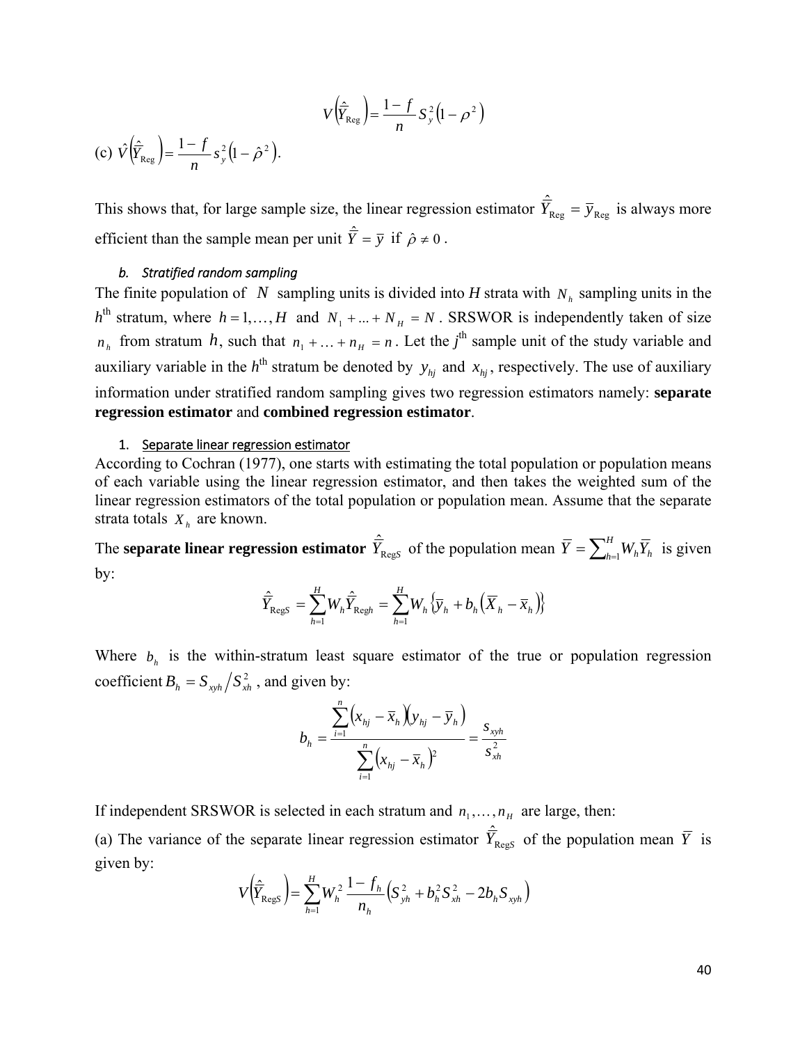$$
V\left(\widehat{\overline{Y}}_{\text{Reg}}\right) = \frac{1-f}{n} S_y^2 \left(1 - \rho^2\right)
$$

<span id="page-41-0"></span>(c)  $\hat{V}(\hat{\overline{Y}}_{\text{Reg}}) = \frac{1 - f}{n} s_y^2 (1 - \hat{\rho}^2)$  $\hat{V}(\hat{\overline{Y}}_{\text{Re} \sigma}) = \frac{1 - f}{\sigma^2} s_v^2 (1 - \hat{\rho}^2).$ 

This shows that, for large sample size, the linear regression estimator  $\hat{\overline{Y}}_{Reg} = \overline{y}_{Reg}$  is always more efficient than the sample mean per unit  $\hat{Y} = \overline{y}$  if  $\hat{\rho} \neq 0$ .

#### *b. Stratified random sampling*

The finite population of *N* sampling units is divided into *H* strata with  $N<sub>h</sub>$  sampling units in the  $h<sup>th</sup>$  stratum, where  $h = 1,..., H$  and  $N_1 + ... + N_H = N$ . SRSWOR is independently taken of size *n*<sub>*h*</sub> from stratum *h*, such that  $n_1 + \ldots + n_H = n$ . Let the *j*<sup>th</sup> sample unit of the study variable and auxiliary variable in the  $h<sup>th</sup>$  stratum be denoted by  $y_{hj}$  and  $x_{hj}$ , respectively. The use of auxiliary information under stratified random sampling gives two regression estimators namely: **separate regression estimator** and **combined regression estimator**.

#### 1. Separate linear regression estimator

According to Cochran (1977), one starts with estimating the total population or population means of each variable using the linear regression estimator, and then takes the weighted sum of the linear regression estimators of the total population or population mean. Assume that the separate strata totals  $X_h$  are known.

The **separate linear regression estimator**  $\hat{Y}_{\text{RegS}}$  of the population mean  $\overline{Y} = \sum_{h=1}^{H} W_h \overline{Y}_h$  is given by:

$$
\hat{\overline{Y}}_{\text{RegS}} = \sum_{h=1}^{H} W_h \hat{\overline{Y}}_{\text{Regh}} = \sum_{h=1}^{H} W_h \{ \overline{y}_h + b_h (\overline{X}_h - \overline{x}_h) \}
$$

Where  $b<sub>h</sub>$  is the within-stratum least square estimator of the true or population regression coefficient  $B_h = S_{xwh} / S_{xh}^2$ , and given by:

$$
b_{h} = \frac{\sum_{i=1}^{n} (x_{hj} - \overline{x}_{h})(y_{hj} - \overline{y}_{h})}{\sum_{i=1}^{n} (x_{hj} - \overline{x}_{h})^{2}} = \frac{s_{xyh}}{s_{xh}^{2}}
$$

If independent SRSWOR is selected in each stratum and  $n_1, \ldots, n_\mu$  are large, then:

(a) The variance of the separate linear regression estimator  $\hat{Y}_{\text{RegS}}$  of the population mean  $\overline{Y}$  is given by:

$$
V(\hat{\overline{Y}}_{\text{RegS}}) = \sum_{h=1}^{H} W_h^2 \, \frac{1 - f_h}{n_h} \Big( S_{yh}^2 + b_h^2 S_{xh}^2 - 2b_h S_{xyh} \Big)
$$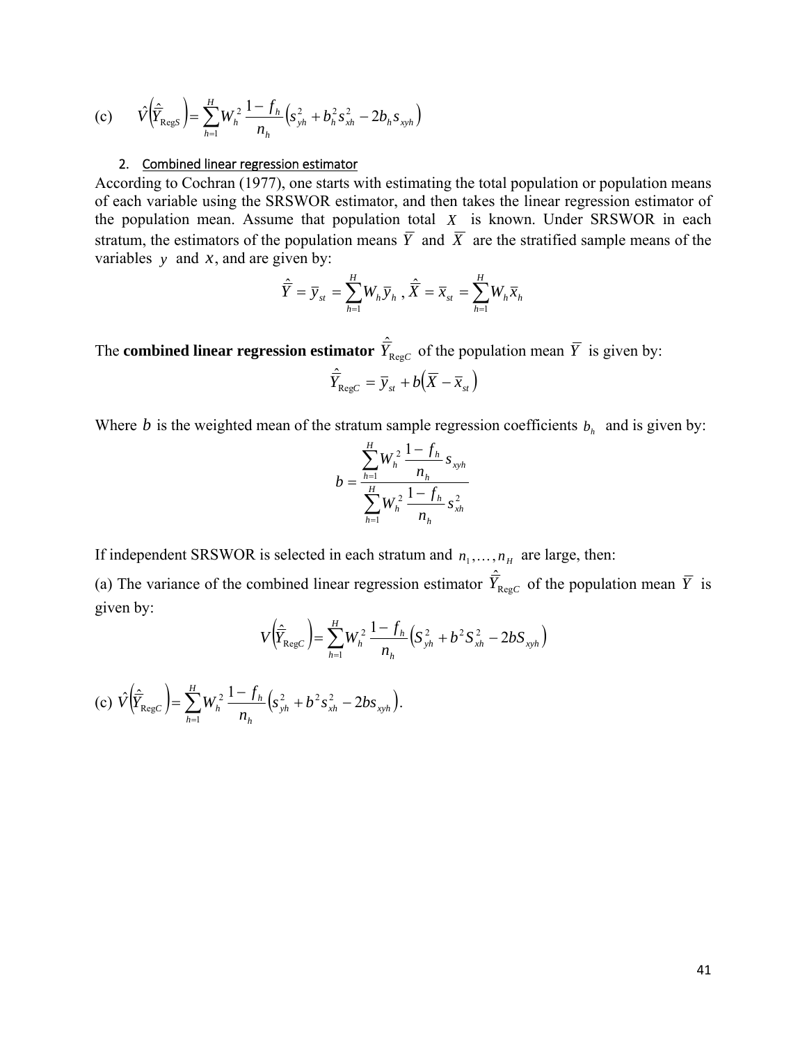<span id="page-42-0"></span>(c) 
$$
\hat{V}(\hat{\overline{Y}}_{\text{RegS}}) = \sum_{h=1}^{H} W_h^2 \frac{1 - f_h}{n_h} \left( s_{yh}^2 + b_h^2 s_{xh}^2 - 2b_h s_{xyh} \right)
$$

#### 2. Combined linear regression estimator

According to Cochran (1977), one starts with estimating the total population or population means of each variable using the SRSWOR estimator, and then takes the linear regression estimator of the population mean. Assume that population total *X* is known. Under SRSWOR in each stratum, the estimators of the population means  $\overline{Y}$  and  $\overline{X}$  are the stratified sample means of the variables *y* and *x*, and are given by:

$$
\hat{\overline{Y}} = \overline{y}_{st} = \sum_{h=1}^{H} W_h \overline{y}_h, \quad \hat{\overline{X}} = \overline{x}_{st} = \sum_{h=1}^{H} W_h \overline{x}_h
$$

The **combined linear regression estimator**  $\hat{Y}_{\text{RegC}}$  of the population mean  $\overline{Y}$  is given by:

$$
\hat{\overline{Y}}_{\text{Reg}C} = \overline{y}_{st} + b(\overline{X} - \overline{x}_{st})
$$

Where *b* is the weighted mean of the stratum sample regression coefficients  $b<sub>h</sub>$  and is given by:

$$
b = \frac{\sum_{h=1}^{H} W_h^2}{\sum_{h=1}^{H} W_h^2} \frac{1 - f_h}{n_h} s_{xyh} \over n_h
$$

If independent SRSWOR is selected in each stratum and  $n_1, \ldots, n_H$  are large, then:

(a) The variance of the combined linear regression estimator  $\hat{Y}_{\text{RegC}}$  of the population mean  $\overline{Y}$  is given by:

$$
V\left(\hat{\overline{Y}}_{\text{Reg}c}\right) = \sum_{h=1}^{H} W_h^2 \frac{1 - f_h}{n_h} \left(S_{yh}^2 + b^2 S_{xh}^2 - 2b S_{xyh}\right)
$$

(c) 
$$
\hat{V}(\hat{\overline{Y}}_{\text{RegC}}) = \sum_{h=1}^{H} W_h^2 \frac{1 - f_h}{n_h} (s_{yh}^2 + b^2 s_{xh}^2 - 2bs_{xyh}).
$$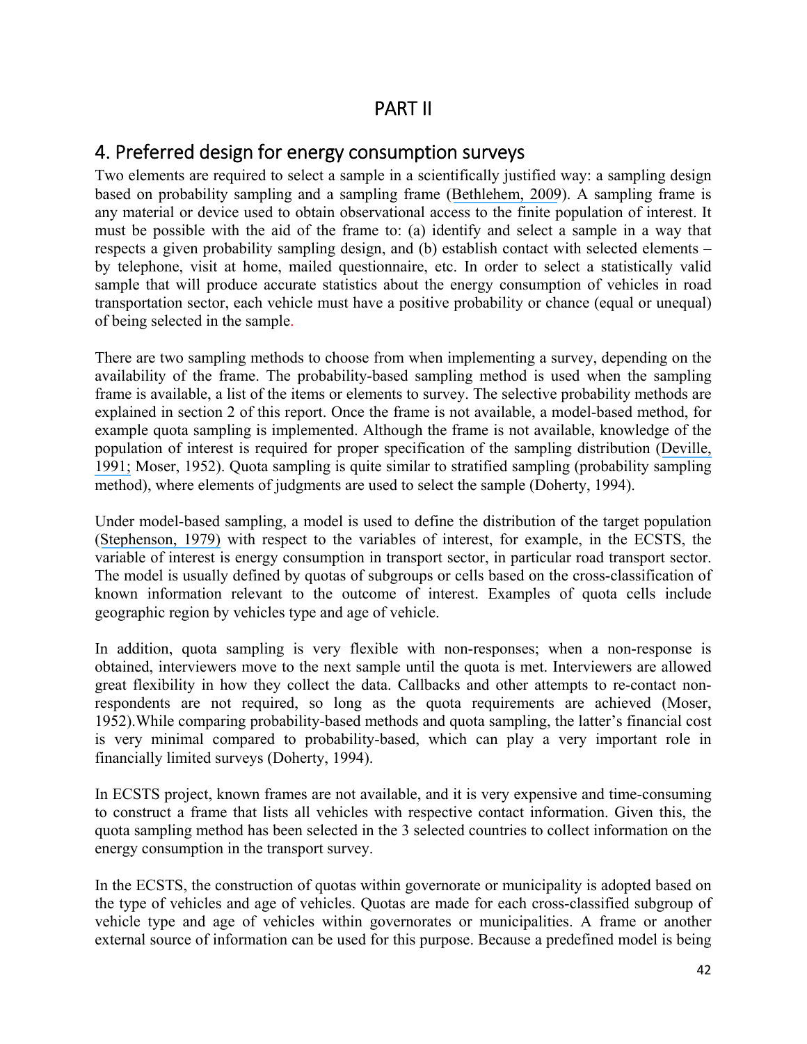## PART II

## <span id="page-43-0"></span>4. Preferred design for energy consumption surveys

Two elements are required to select a sample in a scientifically justified way: a sampling design based on probability sampling and a sampling frame ([Bethlehem, 2009](https://www.researchgate.net/publication/224773052_Applied_Survey_Methods_A_Statistical_Perspective?el=1_x_8&enrichId=rgreq-fda677c61fd774d007298727f6625c97-XXX&enrichSource=Y292ZXJQYWdlOzI4MTI2OTMyNjtBUzoyNjY2MzUwNTU0NjQ0NDhAMTQ0MDU4MjE1OTA3OA==)). A sampling frame is any material or device used to obtain observational access to the finite population of interest. It must be possible with the aid of the frame to: (a) identify and select a sample in a way that respects a given probability sampling design, and (b) establish contact with selected elements – by telephone, visit at home, mailed questionnaire, etc. In order to select a statistically valid sample that will produce accurate statistics about the energy consumption of vehicles in road transportation sector, each vehicle must have a positive probability or chance (equal or unequal) of being selected in the sample.

There are two sampling methods to choose from when implementing a survey, depending on the availability of the frame. The probability-based sampling method is used when the sampling frame is available, a list of the items or elements to survey. The selective probability methods are explained in section 2 of this report. Once the frame is not available, a model-based method, for example quota sampling is implemented. Although the frame is not available, knowledge of the population of interest is required for proper specification of the sampling distribution ([Deville,](https://www.researchgate.net/publication/285734855_A_theory_of_quota_surveys?el=1_x_8&enrichId=rgreq-fda677c61fd774d007298727f6625c97-XXX&enrichSource=Y292ZXJQYWdlOzI4MTI2OTMyNjtBUzoyNjY2MzUwNTU0NjQ0NDhAMTQ0MDU4MjE1OTA3OA==) [1991;](https://www.researchgate.net/publication/285734855_A_theory_of_quota_surveys?el=1_x_8&enrichId=rgreq-fda677c61fd774d007298727f6625c97-XXX&enrichSource=Y292ZXJQYWdlOzI4MTI2OTMyNjtBUzoyNjY2MzUwNTU0NjQ0NDhAMTQ0MDU4MjE1OTA3OA==) Moser, 1952). Quota sampling is quite similar to stratified sampling (probability sampling method), where elements of judgments are used to select the sample (Doherty, 1994).

Under model-based sampling, a model is used to define the distribution of the target population ([Stephenson, 1979\)](https://www.researchgate.net/publication/249277532_Probability_Sampling_With_Quotas_An_Experiment?el=1_x_8&enrichId=rgreq-fda677c61fd774d007298727f6625c97-XXX&enrichSource=Y292ZXJQYWdlOzI4MTI2OTMyNjtBUzoyNjY2MzUwNTU0NjQ0NDhAMTQ0MDU4MjE1OTA3OA==) with respect to the variables of interest, for example, in the ECSTS, the variable of interest is energy consumption in transport sector, in particular road transport sector. The model is usually defined by quotas of subgroups or cells based on the cross-classification of known information relevant to the outcome of interest. Examples of quota cells include geographic region by vehicles type and age of vehicle.

In addition, quota sampling is very flexible with non-responses; when a non-response is obtained, interviewers move to the next sample until the quota is met. Interviewers are allowed great flexibility in how they collect the data. Callbacks and other attempts to re-contact nonrespondents are not required, so long as the quota requirements are achieved (Moser, 1952).While comparing probability-based methods and quota sampling, the latter's financial cost is very minimal compared to probability-based, which can play a very important role in financially limited surveys (Doherty, 1994).

In ECSTS project, known frames are not available, and it is very expensive and time-consuming to construct a frame that lists all vehicles with respective contact information. Given this, the quota sampling method has been selected in the 3 selected countries to collect information on the energy consumption in the transport survey.

In the ECSTS, the construction of quotas within governorate or municipality is adopted based on the type of vehicles and age of vehicles. Quotas are made for each cross-classified subgroup of vehicle type and age of vehicles within governorates or municipalities. A frame or another external source of information can be used for this purpose. Because a predefined model is being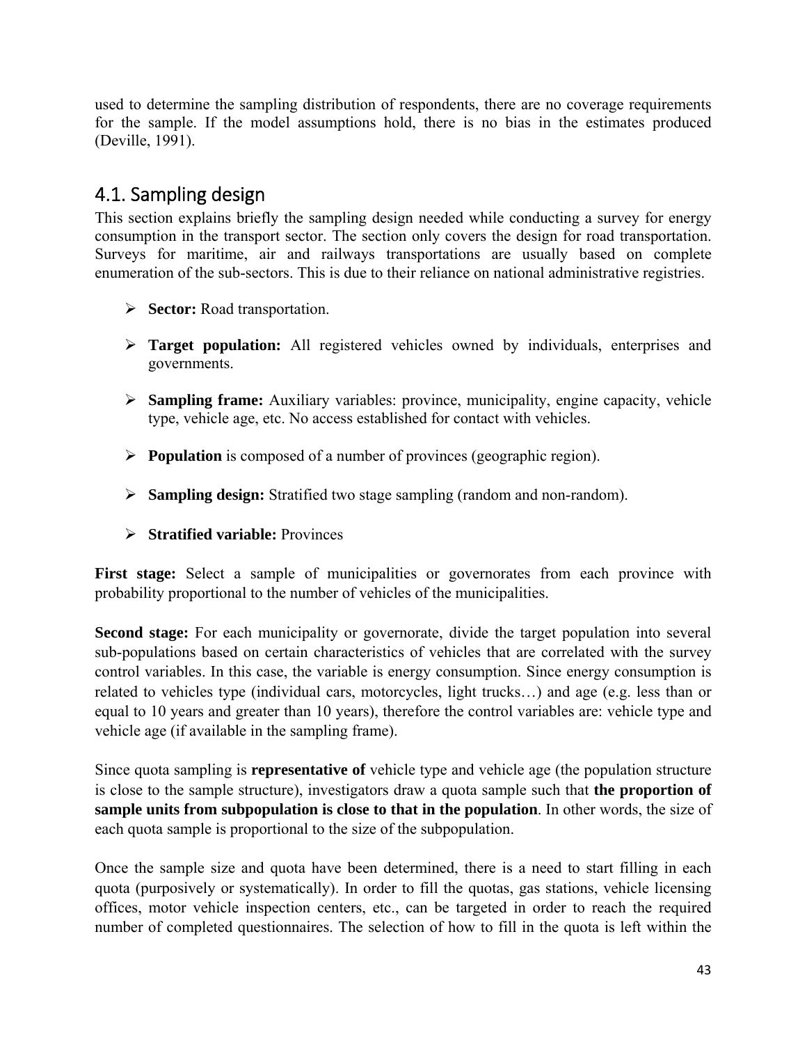<span id="page-44-0"></span>used to determine the sampling distribution of respondents, there are no coverage requirements for the sample. If the model assumptions hold, there is no bias in the estimates produced (Deville, 1991).

## 4.1. Sampling design

This section explains briefly the sampling design needed while conducting a survey for energy consumption in the transport sector. The section only covers the design for road transportation. Surveys for maritime, air and railways transportations are usually based on complete enumeration of the sub-sectors. This is due to their reliance on national administrative registries.

- **Sector:** Road transportation.
- **Target population:** All registered vehicles owned by individuals, enterprises and governments.
- **Sampling frame:** Auxiliary variables: province, municipality, engine capacity, vehicle type, vehicle age, etc. No access established for contact with vehicles.
- **Population** is composed of a number of provinces (geographic region).
- **Sampling design:** Stratified two stage sampling (random and non-random).
- **Stratified variable:** Provinces

**First stage:** Select a sample of municipalities or governorates from each province with probability proportional to the number of vehicles of the municipalities.

**Second stage:** For each municipality or governorate, divide the target population into several sub-populations based on certain characteristics of vehicles that are correlated with the survey control variables. In this case, the variable is energy consumption. Since energy consumption is related to vehicles type (individual cars, motorcycles, light trucks…) and age (e.g. less than or equal to 10 years and greater than 10 years), therefore the control variables are: vehicle type and vehicle age (if available in the sampling frame).

Since quota sampling is **representative of** vehicle type and vehicle age (the population structure is close to the sample structure), investigators draw a quota sample such that **the proportion of sample units from subpopulation is close to that in the population**. In other words, the size of each quota sample is proportional to the size of the subpopulation.

Once the sample size and quota have been determined, there is a need to start filling in each quota (purposively or systematically). In order to fill the quotas, gas stations, vehicle licensing offices, motor vehicle inspection centers, etc., can be targeted in order to reach the required number of completed questionnaires. The selection of how to fill in the quota is left within the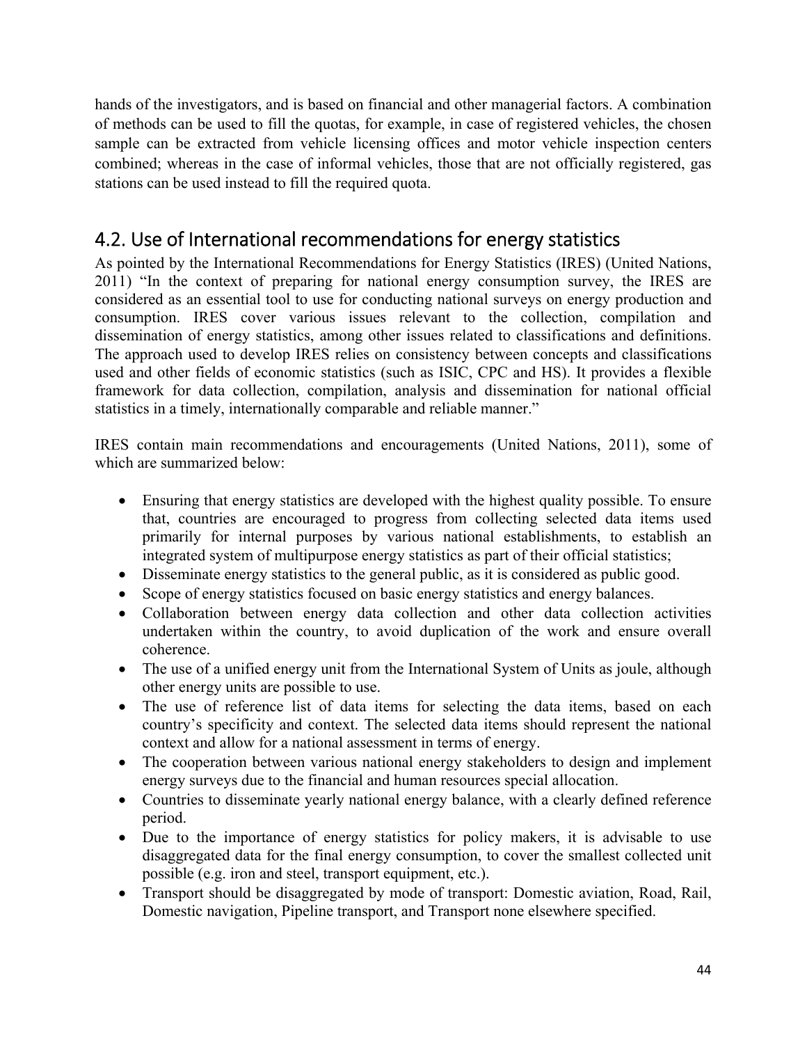<span id="page-45-0"></span>hands of the investigators, and is based on financial and other managerial factors. A combination of methods can be used to fill the quotas, for example, in case of registered vehicles, the chosen sample can be extracted from vehicle licensing offices and motor vehicle inspection centers combined; whereas in the case of informal vehicles, those that are not officially registered, gas stations can be used instead to fill the required quota.

## 4.2. Use of International recommendations for energy statistics

As pointed by the International Recommendations for Energy Statistics (IRES) (United Nations, 2011) "In the context of preparing for national energy consumption survey, the IRES are considered as an essential tool to use for conducting national surveys on energy production and consumption. IRES cover various issues relevant to the collection, compilation and dissemination of energy statistics, among other issues related to classifications and definitions. The approach used to develop IRES relies on consistency between concepts and classifications used and other fields of economic statistics (such as ISIC, CPC and HS). It provides a flexible framework for data collection, compilation, analysis and dissemination for national official statistics in a timely, internationally comparable and reliable manner."

IRES contain main recommendations and encouragements (United Nations, 2011), some of which are summarized below:

- Ensuring that energy statistics are developed with the highest quality possible. To ensure that, countries are encouraged to progress from collecting selected data items used primarily for internal purposes by various national establishments, to establish an integrated system of multipurpose energy statistics as part of their official statistics;
- Disseminate energy statistics to the general public, as it is considered as public good.
- Scope of energy statistics focused on basic energy statistics and energy balances.
- Collaboration between energy data collection and other data collection activities undertaken within the country, to avoid duplication of the work and ensure overall coherence.
- The use of a unified energy unit from the International System of Units as joule, although other energy units are possible to use.
- The use of reference list of data items for selecting the data items, based on each country's specificity and context. The selected data items should represent the national context and allow for a national assessment in terms of energy.
- The cooperation between various national energy stakeholders to design and implement energy surveys due to the financial and human resources special allocation.
- Countries to disseminate yearly national energy balance, with a clearly defined reference period.
- Due to the importance of energy statistics for policy makers, it is advisable to use disaggregated data for the final energy consumption, to cover the smallest collected unit possible (e.g. iron and steel, transport equipment, etc.).
- Transport should be disaggregated by mode of transport: Domestic aviation, Road, Rail, Domestic navigation, Pipeline transport, and Transport none elsewhere specified.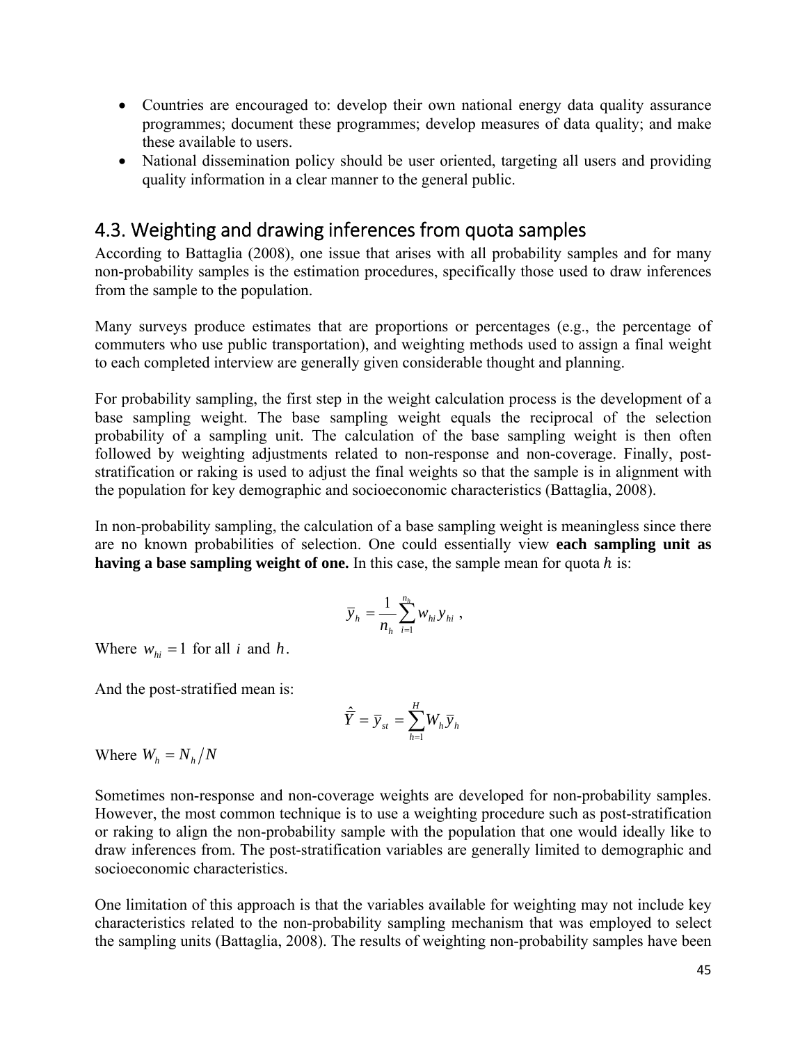- <span id="page-46-0"></span> Countries are encouraged to: develop their own national energy data quality assurance programmes; document these programmes; develop measures of data quality; and make these available to users.
- National dissemination policy should be user oriented, targeting all users and providing quality information in a clear manner to the general public.

## 4.3. Weighting and drawing inferences from quota samples

According to Battaglia (2008), one issue that arises with all probability samples and for many non-probability samples is the estimation procedures, specifically those used to draw inferences from the sample to the population.

Many surveys produce estimates that are proportions or percentages (e.g., the percentage of commuters who use public transportation), and weighting methods used to assign a final weight to each completed interview are generally given considerable thought and planning.

For probability sampling, the first step in the weight calculation process is the development of a base sampling weight. The base sampling weight equals the reciprocal of the selection probability of a sampling unit. The calculation of the base sampling weight is then often followed by weighting adjustments related to non-response and non-coverage. Finally, poststratification or raking is used to adjust the final weights so that the sample is in alignment with the population for key demographic and socioeconomic characteristics (Battaglia, 2008).

In non-probability sampling, the calculation of a base sampling weight is meaningless since there are no known probabilities of selection. One could essentially view **each sampling unit as having a base sampling weight of one.** In this case, the sample mean for quota  $h$  is:

$$
\overline{y}_h = \frac{1}{n_h} \sum_{i=1}^{n_h} w_{hi} y_{hi} ,
$$

Where  $w_{hi} = 1$  for all *i* and *h*.

And the post-stratified mean is:

$$
\hat{\overline{Y}} = \overline{y}_{st} = \sum_{h=1}^{H} W_h \overline{y}_h
$$

Where  $W_h = N_h/N$ 

Sometimes non-response and non-coverage weights are developed for non-probability samples. However, the most common technique is to use a weighting procedure such as post-stratification or raking to align the non-probability sample with the population that one would ideally like to draw inferences from. The post-stratification variables are generally limited to demographic and socioeconomic characteristics.

One limitation of this approach is that the variables available for weighting may not include key characteristics related to the non-probability sampling mechanism that was employed to select the sampling units (Battaglia, 2008). The results of weighting non-probability samples have been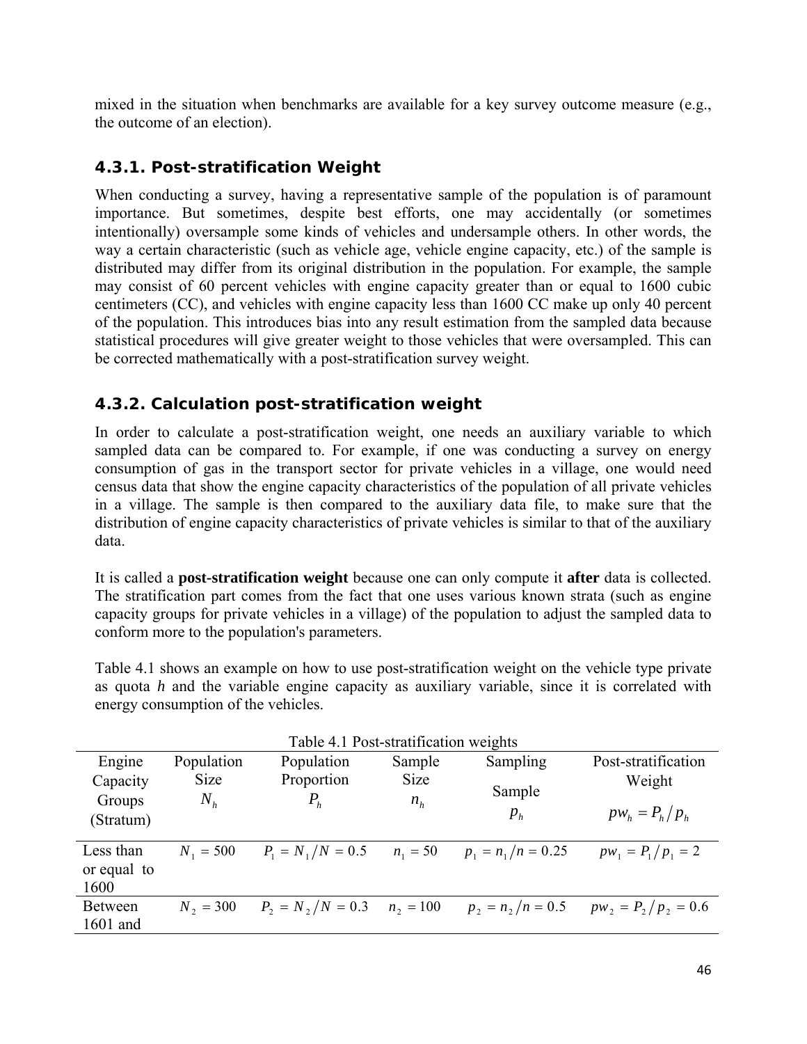<span id="page-47-0"></span>mixed in the situation when benchmarks are available for a key survey outcome measure (e.g., the outcome of an election).

### *4.3.1. Post-stratification Weight*

When conducting a survey, having a representative sample of the population is of paramount importance. But sometimes, despite best efforts, one may accidentally (or sometimes intentionally) oversample some kinds of vehicles and undersample others. In other words, the way a certain characteristic (such as vehicle age, vehicle engine capacity, etc.) of the sample is distributed may differ from its original distribution in the population. For example, the sample may consist of 60 percent vehicles with engine capacity greater than or equal to 1600 cubic centimeters (CC), and vehicles with engine capacity less than 1600 CC make up only 40 percent of the population. This introduces bias into any result estimation from the sampled data because statistical procedures will give greater weight to those vehicles that were oversampled. This can be corrected mathematically with a post-stratification survey weight.

### *4.3.2. Calculation post-stratification weight*

In order to calculate a post-stratification weight, one needs an auxiliary variable to which sampled data can be compared to. For example, if one was conducting a survey on energy consumption of gas in the transport sector for private vehicles in a village, one would need census data that show the engine capacity characteristics of the population of all private vehicles in a village. The sample is then compared to the auxiliary data file, to make sure that the distribution of engine capacity characteristics of private vehicles is similar to that of the auxiliary data.

It is called a **post-stratification weight** because one can only compute it **after** data is collected. The stratification part comes from the fact that one uses various known strata (such as engine capacity groups for private vehicles in a village) of the population to adjust the sampled data to conform more to the population's parameters.

Table 4.1 shows an example on how to use post-stratification weight on the vehicle type private as quota *h* and the variable engine capacity as auxiliary variable, since it is correlated with energy consumption of the vehicles.

|             | Table 4.1 Post-stratification weights |                                 |             |                      |                        |  |
|-------------|---------------------------------------|---------------------------------|-------------|----------------------|------------------------|--|
| Engine      | Population                            | Population                      | Sample      | Sampling             | Post-stratification    |  |
| Capacity    | Size                                  | Proportion                      | <b>Size</b> |                      | Weight                 |  |
| Groups      | $N_h$                                 | $P_h$                           | $n_h$       | Sample               |                        |  |
| (Stratum)   |                                       |                                 |             | $p_{h}$              | $pw_h = P_h/p_h$       |  |
|             |                                       |                                 |             |                      |                        |  |
| Less than   | $N_1 = 500$                           | $P_1 = N_1/N = 0.5$             | $n_1 = 50$  | $p_1 = n_1/n = 0.25$ | $pw_1 = P_1/p_1 = 2$   |  |
| or equal to |                                       |                                 |             |                      |                        |  |
| 1600        |                                       |                                 |             |                      |                        |  |
| Between     | $N_2 = 300$                           | $P_2 = N_2/N = 0.3$ $n_2 = 100$ |             | $p_2 = n_2/n = 0.5$  | $pw_2 = P_2/p_2 = 0.6$ |  |
| 1601 and    |                                       |                                 |             |                      |                        |  |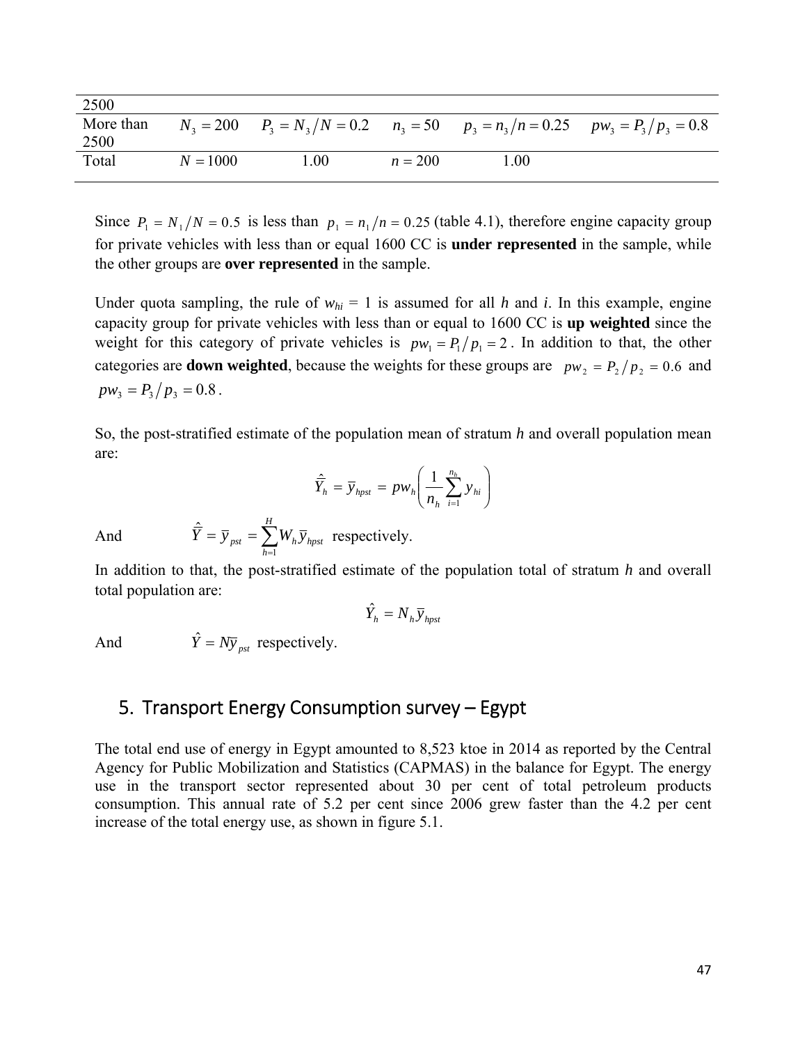<span id="page-48-0"></span>

| 2500              |            |      |           |      |                                                                                        |
|-------------------|------------|------|-----------|------|----------------------------------------------------------------------------------------|
| More than<br>2500 |            |      |           |      | $N_3 = 200$ $P_3 = N_3/N = 0.2$ $n_3 = 50$ $p_3 = n_3/n = 0.25$ $pw_3 = P_3/p_3 = 0.8$ |
| Total             | $N = 1000$ | 1.00 | $n = 200$ | 00.1 |                                                                                        |

Since  $P_1 = N_1/N = 0.5$  is less than  $p_1 = n_1/n = 0.25$  (table 4.1), therefore engine capacity group for private vehicles with less than or equal 1600 CC is **under represented** in the sample, while the other groups are **over represented** in the sample.

Under quota sampling, the rule of  $w_{hi} = 1$  is assumed for all *h* and *i*. In this example, engine capacity group for private vehicles with less than or equal to 1600 CC is **up weighted** since the weight for this category of private vehicles is  $pw_1 = P_1/p_1 = 2$ . In addition to that, the other categories are **down weighted**, because the weights for these groups are  $pw_2 = P_2 / p_2 = 0.6$  and  $pw_3 = P_3/p_3 = 0.8$ .

So, the post-stratified estimate of the population mean of stratum *h* and overall population mean are:

$$
\hat{\overline{Y}}_h = \overline{y}_{hpst} = pw_h \left( \frac{1}{n_h} \sum_{i=1}^{n_h} y_{hi} \right)
$$

And  $\overline{Y} = \overline{y}_{pst} = \sum_{h=1}^{t}$ 

In addition to that, the post-stratified estimate of the population total of stratum *h* and overall total population are:

$$
\hat{Y}_h = N_h \bar{y}_{hpst}
$$

And  $\hat{Y} = N y_{\text{post}}$  respectively.

*H*

 $\hat{\overline{Y}} = \overline{y}_{\text{net}} = \sum_{k=1}^{H} W_k \overline{y}_{\text{bnst}}$  respectively.

*h*  $\overline{Y} = \overline{y}_{pst} = \sum W_h \overline{y}_{hpst}$ 1

## 5. Transport Energy Consumption survey – Egypt

The total end use of energy in Egypt amounted to 8,523 ktoe in 2014 as reported by the Central Agency for Public Mobilization and Statistics (CAPMAS) in the balance for Egypt. The energy use in the transport sector represented about 30 per cent of total petroleum products consumption. This annual rate of 5.2 per cent since 2006 grew faster than the 4.2 per cent increase of the total energy use, as shown in figure 5.1.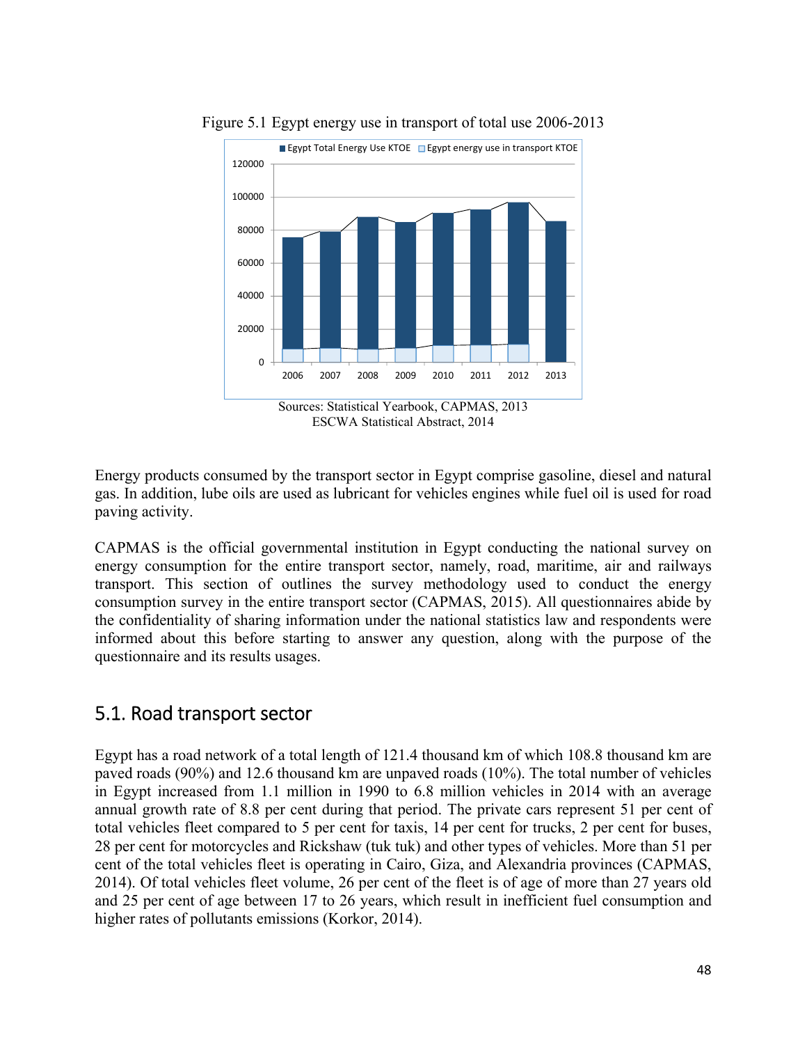

<span id="page-49-0"></span>Figure 5.1 Egypt energy use in transport of total use 2006-2013

Energy products consumed by the transport sector in Egypt comprise gasoline, diesel and natural gas. In addition, lube oils are used as lubricant for vehicles engines while fuel oil is used for road paving activity.

CAPMAS is the official governmental institution in Egypt conducting the national survey on energy consumption for the entire transport sector, namely, road, maritime, air and railways transport. This section of outlines the survey methodology used to conduct the energy consumption survey in the entire transport sector (CAPMAS, 2015). All questionnaires abide by the confidentiality of sharing information under the national statistics law and respondents were informed about this before starting to answer any question, along with the purpose of the questionnaire and its results usages.

## 5.1. Road transport sector

Egypt has a road network of a total length of 121.4 thousand km of which 108.8 thousand km are paved roads (90%) and 12.6 thousand km are unpaved roads (10%). The total number of vehicles in Egypt increased from 1.1 million in 1990 to 6.8 million vehicles in 2014 with an average annual growth rate of 8.8 per cent during that period. The private cars represent 51 per cent of total vehicles fleet compared to 5 per cent for taxis, 14 per cent for trucks, 2 per cent for buses, 28 per cent for motorcycles and Rickshaw (tuk tuk) and other types of vehicles. More than 51 per cent of the total vehicles fleet is operating in Cairo, Giza, and Alexandria provinces (CAPMAS, 2014). Of total vehicles fleet volume, 26 per cent of the fleet is of age of more than 27 years old and 25 per cent of age between 17 to 26 years, which result in inefficient fuel consumption and higher rates of pollutants emissions (Korkor, 2014).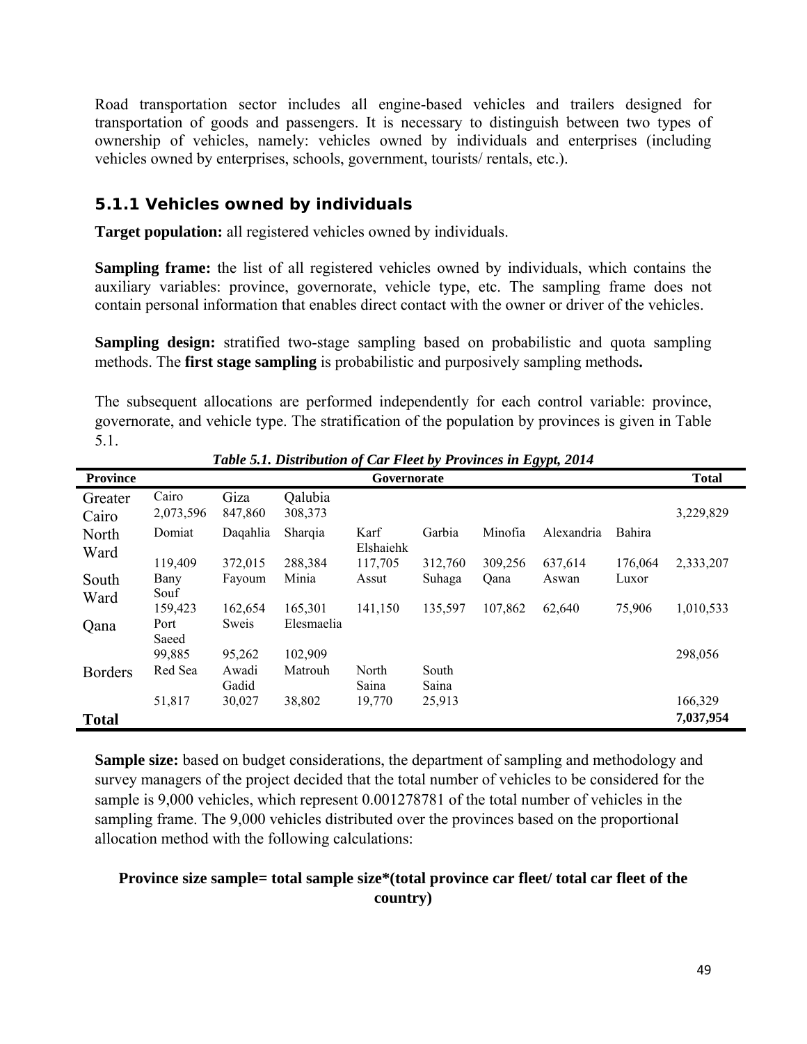<span id="page-50-0"></span>Road transportation sector includes all engine-based vehicles and trailers designed for transportation of goods and passengers. It is necessary to distinguish between two types of ownership of vehicles, namely: vehicles owned by individuals and enterprises (including vehicles owned by enterprises, schools, government, tourists/ rentals, etc.).

#### *5.1.1 Vehicles owned by individuals*

**Target population:** all registered vehicles owned by individuals.

**Sampling frame:** the list of all registered vehicles owned by individuals, which contains the auxiliary variables: province, governorate, vehicle type, etc. The sampling frame does not contain personal information that enables direct contact with the owner or driver of the vehicles.

**Sampling design:** stratified two-stage sampling based on probabilistic and quota sampling methods. The **first stage sampling** is probabilistic and purposively sampling methods**.** 

The subsequent allocations are performed independently for each control variable: province, governorate, and vehicle type. The stratification of the population by provinces is given in Table 5.1.

| <b>Province</b>  |                    |                 |                    | Governorate       |                |         | $\sim$ $\sim$ |         | <b>Total</b> |
|------------------|--------------------|-----------------|--------------------|-------------------|----------------|---------|---------------|---------|--------------|
| Greater<br>Cairo | Cairo<br>2,073,596 | Giza<br>847,860 | Qalubia<br>308,373 |                   |                |         |               |         | 3,229,829    |
| North<br>Ward    | Domiat             | Daqahlia        | Sharqia            | Karf<br>Elshaiehk | Garbia         | Minofia | Alexandria    | Bahira  |              |
|                  | 119,409            | 372,015         | 288,384            | 117,705           | 312,760        | 309,256 | 637,614       | 176,064 | 2,333,207    |
| South<br>Ward    | Bany<br>Souf       | Fayoum          | Minia              | Assut             | Suhaga         | Qana    | Aswan         | Luxor   |              |
|                  | 159,423            | 162,654         | 165,301            | 141,150           | 135,597        | 107,862 | 62,640        | 75,906  | 1,010,533    |
| Qana             | Port<br>Saeed      | Sweis           | Elesmaelia         |                   |                |         |               |         |              |
|                  | 99,885             | 95,262          | 102,909            |                   |                |         |               |         | 298,056      |
| <b>Borders</b>   | Red Sea            | Awadi<br>Gadid  | Matrouh            | North<br>Saina    | South<br>Saina |         |               |         |              |
|                  | 51,817             | 30,027          | 38,802             | 19,770            | 25,913         |         |               |         | 166,329      |
| <b>Total</b>     |                    |                 |                    |                   |                |         |               |         | 7,037,954    |

*Table 5.1. Distribution of Car Fleet by Provinces in Egypt, 2014* 

**Sample size:** based on budget considerations, the department of sampling and methodology and survey managers of the project decided that the total number of vehicles to be considered for the sample is 9,000 vehicles, which represent 0.001278781 of the total number of vehicles in the sampling frame. The 9,000 vehicles distributed over the provinces based on the proportional allocation method with the following calculations:

#### **Province size sample= total sample size\*(total province car fleet/ total car fleet of the country)**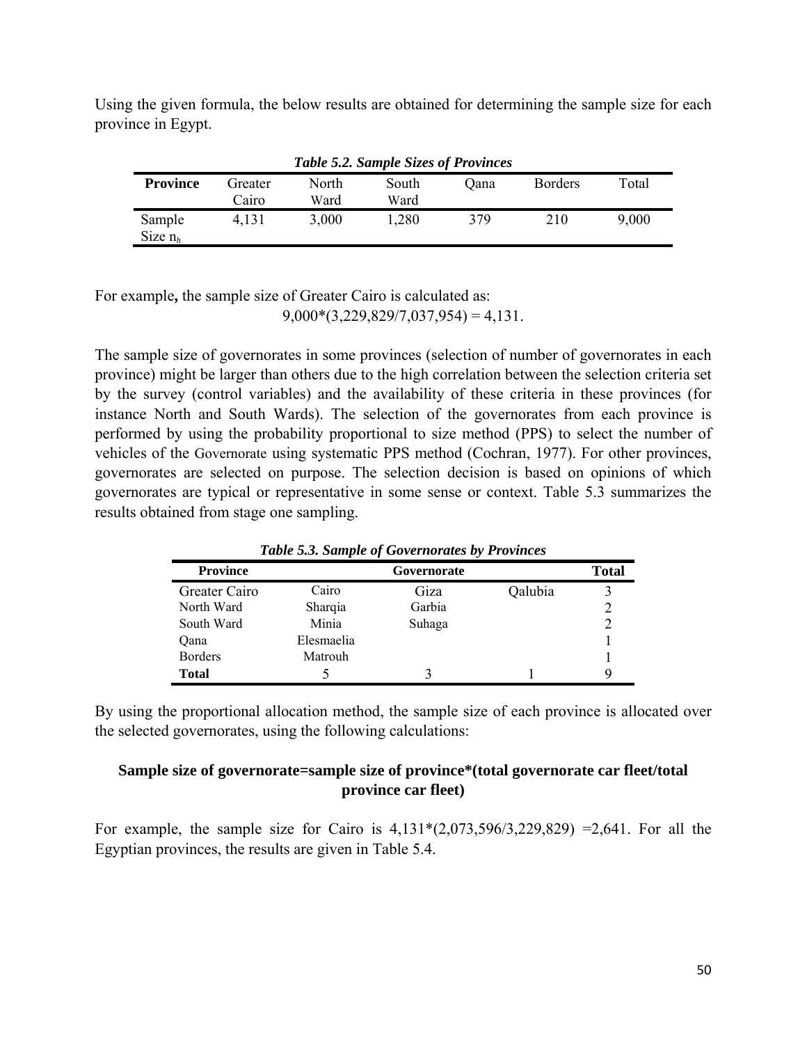Using the given formula, the below results are obtained for determining the sample size for each province in Egypt.

| <b>Table 5.2. Sample Sizes of Provinces</b> |                  |               |               |      |                |       |  |
|---------------------------------------------|------------------|---------------|---------------|------|----------------|-------|--|
| <b>Province</b>                             | Greater<br>Cairo | North<br>Ward | South<br>Ward | Oana | <b>Borders</b> | Total |  |
| Sample<br>Size $n_h$                        | 4,131            | 3,000         | 1,280         | 379  | 210            | 9,000 |  |

For example**,** the sample size of Greater Cairo is calculated as:  $9,000*(3,229,829/7,037,954) = 4,131.$ 

The sample size of governorates in some provinces (selection of number of governorates in each province) might be larger than others due to the high correlation between the selection criteria set by the survey (control variables) and the availability of these criteria in these provinces (for instance North and South Wards). The selection of the governorates from each province is performed by using the probability proportional to size method (PPS) to select the number of vehicles of the Governorate using systematic PPS method (Cochran, 1977). For other provinces, governorates are selected on purpose. The selection decision is based on opinions of which governorates are typical or representative in some sense or context. Table 5.3 summarizes the results obtained from stage one sampling.

| <b>Province</b> |            | Governorate |         | <b>Total</b> |
|-----------------|------------|-------------|---------|--------------|
| Greater Cairo   | Cairo      | Giza        | Qalubia |              |
| North Ward      | Sharqia    | Garbia      |         |              |
| South Ward      | Minia      | Suhaga      |         |              |
| Qana            | Elesmaelia |             |         |              |
| <b>Borders</b>  | Matrouh    |             |         |              |
| <b>Total</b>    |            |             |         |              |

*Table 5.3. Sample of Governorates by Provinces*

By using the proportional allocation method, the sample size of each province is allocated over the selected governorates, using the following calculations:

#### **Sample size of governorate=sample size of province\*(total governorate car fleet/total province car fleet)**

For example, the sample size for Cairo is  $4,131*(2,073,596/3,229,829) = 2,641$ . For all the Egyptian provinces, the results are given in Table 5.4.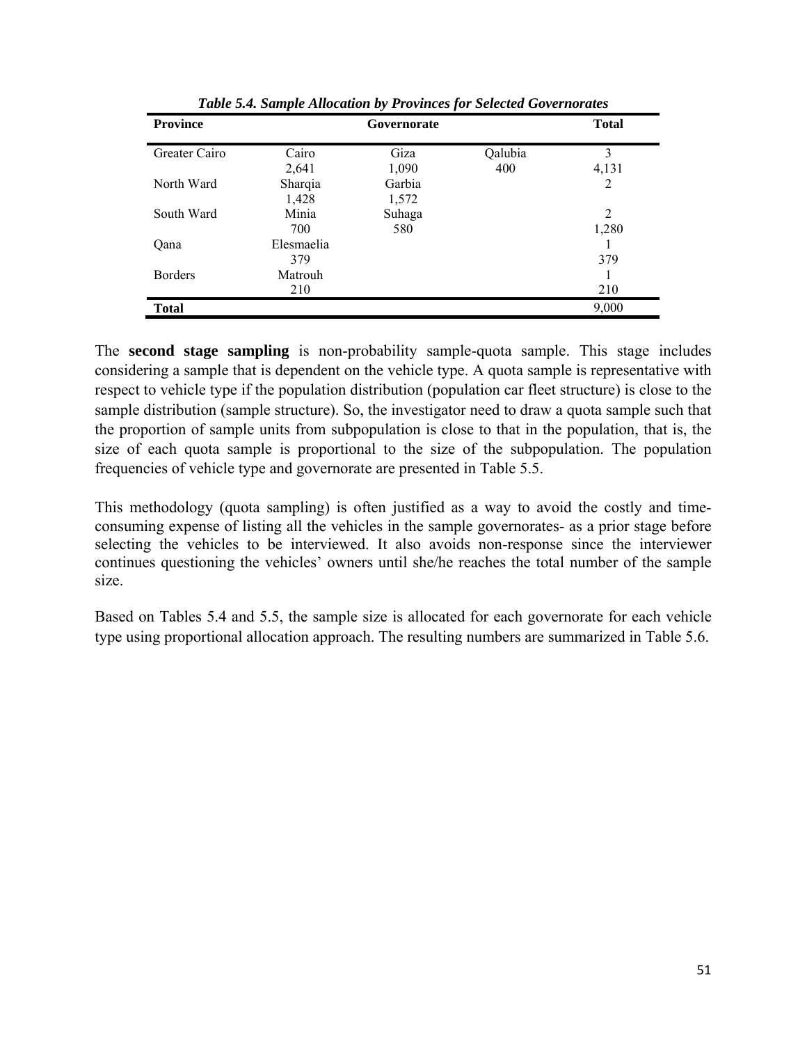| <b>Province</b> |            | <b>Total</b> |         |       |
|-----------------|------------|--------------|---------|-------|
| Greater Cairo   | Cairo      | Giza         | Qalubia | 3     |
|                 | 2,641      | 1,090        | 400     | 4,131 |
| North Ward      | Sharqia    | Garbia       |         | 2     |
|                 | 1,428      | 1,572        |         |       |
| South Ward      | Minia      | Suhaga       |         | 2     |
|                 | 700        | 580          |         | 1,280 |
| Oana            | Elesmaelia |              |         |       |
|                 | 379        |              |         | 379   |
| <b>Borders</b>  | Matrouh    |              |         |       |
|                 | 210        |              |         | 210   |
| <b>Total</b>    |            |              |         | 9,000 |

*Table 5.4. Sample Allocation by Provinces for Selected Governorates*

The **second stage sampling** is non-probability sample-quota sample. This stage includes considering a sample that is dependent on the vehicle type. A quota sample is representative with respect to vehicle type if the population distribution (population car fleet structure) is close to the sample distribution (sample structure). So, the investigator need to draw a quota sample such that the proportion of sample units from subpopulation is close to that in the population, that is, the size of each quota sample is proportional to the size of the subpopulation. The population frequencies of vehicle type and governorate are presented in Table 5.5.

This methodology (quota sampling) is often justified as a way to avoid the costly and timeconsuming expense of listing all the vehicles in the sample governorates- as a prior stage before selecting the vehicles to be interviewed. It also avoids non-response since the interviewer continues questioning the vehicles' owners until she/he reaches the total number of the sample size.

Based on Tables 5.4 and 5.5, the sample size is allocated for each governorate for each vehicle type using proportional allocation approach. The resulting numbers are summarized in Table 5.6.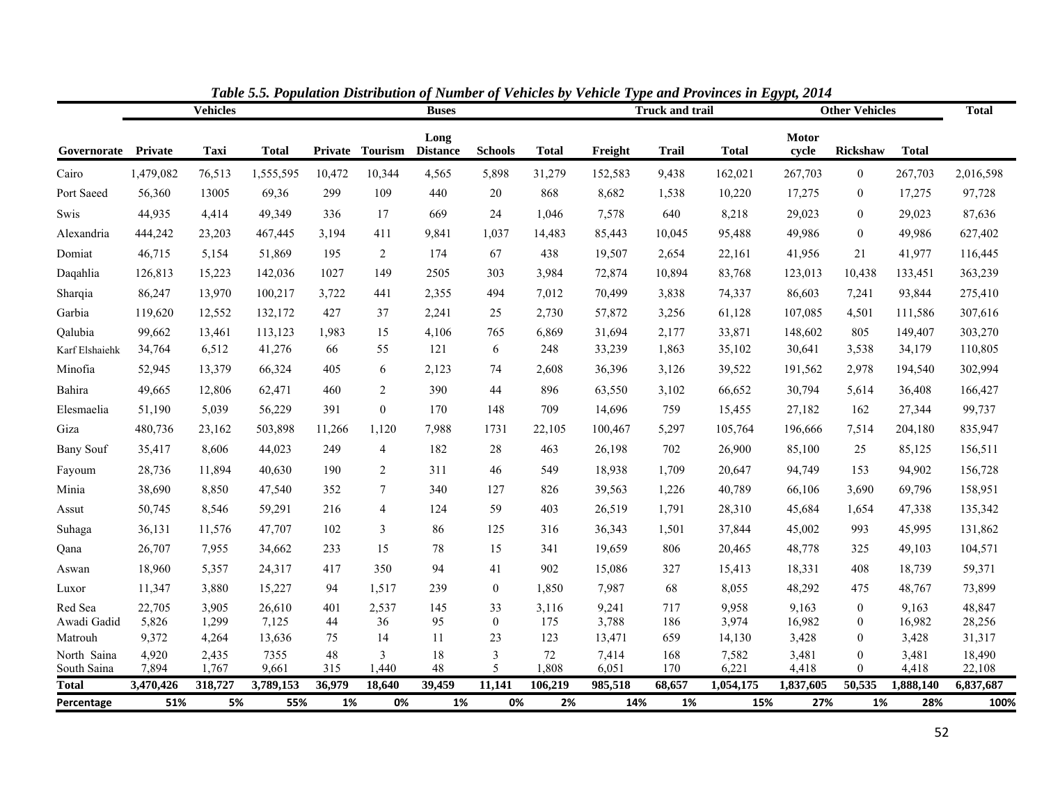|                             |                    | <b>Vehicles</b>  |                    |               |                  | <b>Buses</b>            |                          |                  |                  | <b>Truck and trail</b> |                    | <b>Other Vehicles</b> |                                  |                    | <b>Total</b>        |
|-----------------------------|--------------------|------------------|--------------------|---------------|------------------|-------------------------|--------------------------|------------------|------------------|------------------------|--------------------|-----------------------|----------------------------------|--------------------|---------------------|
| Governorate Private         |                    | Taxi             | <b>Total</b>       | Private       | <b>Tourism</b>   | Long<br><b>Distance</b> | <b>Schools</b>           | <b>Total</b>     | Freight          | <b>Trail</b>           | <b>Total</b>       | Motor<br>cycle        | Rickshaw                         | <b>Total</b>       |                     |
| Cairo                       | 1,479,082          | 76,513           | 1,555,595          | 10,472        | 10,344           | 4,565                   | 5,898                    | 31,279           | 152,583          | 9,438                  | 162,021            | 267,703               | $\boldsymbol{0}$                 | 267,703            | 2,016,598           |
| Port Saeed                  | 56,360             | 13005            | 69,36              | 299           | 109              | 440                     | 20                       | 868              | 8,682            | 1,538                  | 10,220             | 17,275                | $\boldsymbol{0}$                 | 17,275             | 97,728              |
| Swis                        | 44,935             | 4,414            | 49,349             | 336           | 17               | 669                     | 24                       | 1,046            | 7,578            | 640                    | 8,218              | 29,023                | $\boldsymbol{0}$                 | 29,023             | 87,636              |
| Alexandria                  | 444,242            | 23,203           | 467,445            | 3,194         | 411              | 9,841                   | 1,037                    | 14,483           | 85,443           | 10,045                 | 95,488             | 49,986                | $\mathbf{0}$                     | 49,986             | 627,402             |
| Domiat                      | 46,715             | 5,154            | 51,869             | 195           | $\overline{2}$   | 174                     | 67                       | 438              | 19,507           | 2,654                  | 22,161             | 41,956                | 21                               | 41,977             | 116,445             |
| Daqahlia                    | 126,813            | 15,223           | 142,036            | 1027          | 149              | 2505                    | 303                      | 3,984            | 72,874           | 10,894                 | 83,768             | 123,013               | 10,438                           | 133,451            | 363,239             |
| Sharqia                     | 86,247             | 13,970           | 100,217            | 3,722         | 441              | 2,355                   | 494                      | 7,012            | 70,499           | 3,838                  | 74,337             | 86,603                | 7,241                            | 93,844             | 275,410             |
| Garbia                      | 119,620            | 12,552           | 132,172            | 427           | 37               | 2,241                   | $25\,$                   | 2,730            | 57,872           | 3,256                  | 61,128             | 107,085               | 4,501                            | 111,586            | 307,616             |
| Qalubia                     | 99,662             | 13,461           | 113,123            | 1,983         | 15               | 4,106                   | 765                      | 6,869            | 31,694           | 2,177                  | 33,871             | 148,602               | 805                              | 149,407            | 303,270             |
| Karf Elshaiehk              | 34,764             | 6,512            | 41,276             | 66            | 55               | 121                     | 6                        | 248              | 33,239           | 1,863                  | 35,102             | 30,641                | 3,538                            | 34,179             | 110,805             |
| Minofia                     | 52,945             | 13,379           | 66,324             | 405           | 6                | 2,123                   | 74                       | 2,608            | 36,396           | 3,126                  | 39,522             | 191,562               | 2,978                            | 194,540            | 302,994             |
| Bahira                      | 49,665             | 12,806           | 62,471             | 460           | 2                | 390                     | 44                       | 896              | 63,550           | 3,102                  | 66,652             | 30,794                | 5,614                            | 36,408             | 166,427             |
| Elesmaelia                  | 51,190             | 5,039            | 56,229             | 391           | $\boldsymbol{0}$ | 170                     | 148                      | 709              | 14,696           | 759                    | 15,455             | 27,182                | 162                              | 27,344             | 99,737              |
| Giza                        | 480,736            | 23,162           | 503,898            | 11,266        | 1,120            | 7,988                   | 1731                     | 22,105           | 100,467          | 5,297                  | 105,764            | 196,666               | 7,514                            | 204,180            | 835,947             |
| <b>Bany Souf</b>            | 35,417             | 8,606            | 44,023             | 249           | $\overline{4}$   | 182                     | 28                       | 463              | 26,198           | 702                    | 26,900             | 85,100                | 25                               | 85,125             | 156,511             |
| Fayoum                      | 28,736             | 11,894           | 40,630             | 190           | 2                | 311                     | 46                       | 549              | 18,938           | 1,709                  | 20,647             | 94,749                | 153                              | 94,902             | 156,728             |
| Minia                       | 38,690             | 8,850            | 47,540             | 352           | $\tau$           | 340                     | 127                      | 826              | 39,563           | 1,226                  | 40,789             | 66,106                | 3,690                            | 69,796             | 158,951             |
| Assut                       | 50,745             | 8,546            | 59,291             | 216           | $\overline{4}$   | 124                     | 59                       | 403              | 26,519           | 1,791                  | 28,310             | 45,684                | 1,654                            | 47,338             | 135,342             |
| Suhaga                      | 36,131             | 11,576           | 47,707             | 102           | 3                | 86                      | 125                      | 316              | 36,343           | 1,501                  | 37,844             | 45,002                | 993                              | 45,995             | 131,862             |
| Qana                        | 26,707             | 7,955            | 34,662             | 233           | 15               | 78                      | 15                       | 341              | 19,659           | 806                    | 20,465             | 48,778                | 325                              | 49,103             | 104,571             |
| Aswan                       | 18,960             | 5,357            | 24,317             | 417           | 350              | 94                      | 41                       | 902              | 15,086           | 327                    | 15,413             | 18,331                | 408                              | 18,739             | 59,371              |
| Luxor                       | 11,347             | 3,880            | 15,227             | 94            | 1,517            | 239                     | $\boldsymbol{0}$         | 1,850            | 7,987            | 68                     | 8,055              | 48,292                | 475                              | 48,767             | 73,899              |
| Red Sea<br>Awadi Gadid      | 22,705<br>5,826    | 3,905<br>1,299   | 26,610<br>7,125    | 401<br>44     | 2,537<br>36      | 145<br>95               | 33<br>$\boldsymbol{0}$   | 3,116<br>175     | 9,241<br>3,788   | 717<br>186             | 9,958<br>3,974     | 9,163<br>16,982       | $\mathbf{0}$<br>$\boldsymbol{0}$ | 9,163<br>16,982    | 48,847<br>28,256    |
| Matrouh                     | 9,372              | 4,264            | 13,636             | 75            | 14               | 11                      | 23                       | 123              | 13,471           | 659                    | 14,130             | 3,428                 | $\boldsymbol{0}$                 | 3,428              | 31,317              |
| North Saina                 | 4,920              | 2,435            | 7355               | 48            | $\overline{3}$   | 18                      | $\mathfrak{Z}$           | 72               | 7,414            | 168                    | 7,582              | 3,481                 | $\boldsymbol{0}$                 | 3,481              | 18,490              |
| South Saina<br><b>Total</b> | 7,894<br>3,470,426 | 1,767<br>318,727 | 9,661<br>3,789,153 | 315<br>36,979 | 1,440<br>18,640  | 48<br>39,459            | 5<br>$\overline{11,141}$ | 1,808<br>106,219 | 6,051<br>985,518 | 170<br>68,657          | 6,221<br>1,054,175 | 4,418<br>1,837,605    | $\theta$<br>50,535               | 4,418<br>1,888,140 | 22,108<br>6,837,687 |
| Percentage                  | 51%                | 5%               | 55%                | 1%            | 0%               | 1%                      | 0%                       | 2%               | 14%              | 1%                     | 15%                | 27%                   | 1%                               | 28%                | 100%                |

*Table 5.5. Population Distribution of Number of Vehicles by Vehicle Type and Provinces in Egypt, 2014*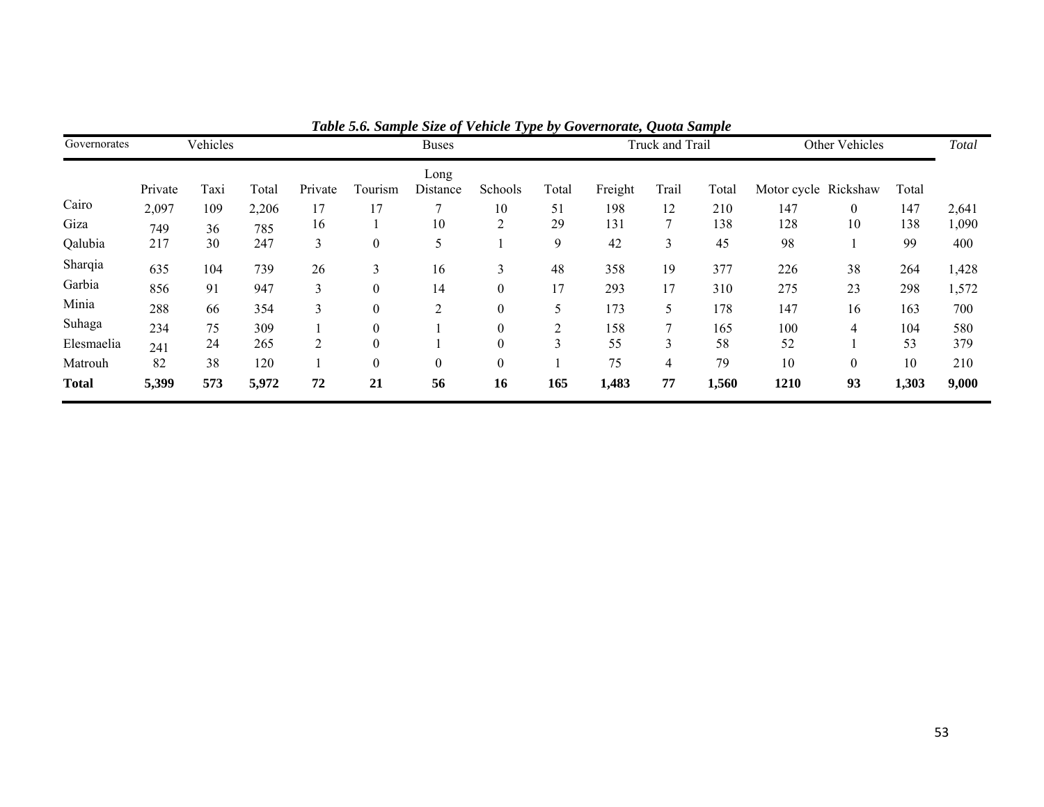| Governorates |         | Vehicles |       |                | <b>Buses</b>     |                  |                  |       |         | Truck and Trail |       |                      | Other Vehicles |       |       |
|--------------|---------|----------|-------|----------------|------------------|------------------|------------------|-------|---------|-----------------|-------|----------------------|----------------|-------|-------|
|              | Private | Taxi     | Total | Private        | Tourism          | Long<br>Distance | Schools          | Total | Freight | Trail           | Total | Motor cycle Rickshaw |                | Total |       |
| Cairo        | 2,097   | 109      | 2,206 | 17             | 17               |                  | 10               | 51    | 198     | 12              | 210   | 147                  | $\overline{0}$ | 147   | 2,641 |
| Giza         | 749     | 36       | 785   | 16             |                  | 10               | ↑                | 29    | 131     |                 | 138   | 128                  | 10             | 138   | 1,090 |
| Qalubia      | 217     | 30       | 247   | 3              | $\boldsymbol{0}$ | 5                |                  | 9     | 42      | 3               | 45    | 98                   |                | 99    | 400   |
| Sharqia      | 635     | 104      | 739   | 26             | 3                | 16               | 3                | 48    | 358     | 19              | 377   | 226                  | 38             | 264   | 1,428 |
| Garbia       | 856     | 91       | 947   | 3              | $\theta$         | 14               | $\theta$         | 17    | 293     | 17              | 310   | 275                  | 23             | 298   | 1,572 |
| Minia        | 288     | 66       | 354   | 3              | $\theta$         | 2                | $\mathbf{0}$     | 5     | 173     | 5               | 178   | 147                  | 16             | 163   | 700   |
| Suhaga       | 234     | 75       | 309   |                | $\theta$         |                  | $\boldsymbol{0}$ |       | 158     |                 | 165   | 100                  | 4              | 104   | 580   |
| Elesmaelia   | 241     | 24       | 265   | $\overline{2}$ | $\theta$         |                  | $\theta$         |       | 55      |                 | 58    | 52                   |                | 53    | 379   |
| Matrouh      | 82      | 38       | 120   |                | $\boldsymbol{0}$ | $\boldsymbol{0}$ | $\boldsymbol{0}$ |       | 75      | 4               | 79    | 10                   | $\overline{0}$ | 10    | 210   |
| <b>Total</b> | 5,399   | 573      | 5,972 | 72             | 21               | 56               | 16               | 165   | 1,483   | 77              | 1,560 | 1210                 | 93             | 1,303 | 9,000 |

*Table 5.6. Sample Size of Vehicle Type by Governorate, Quota Sample*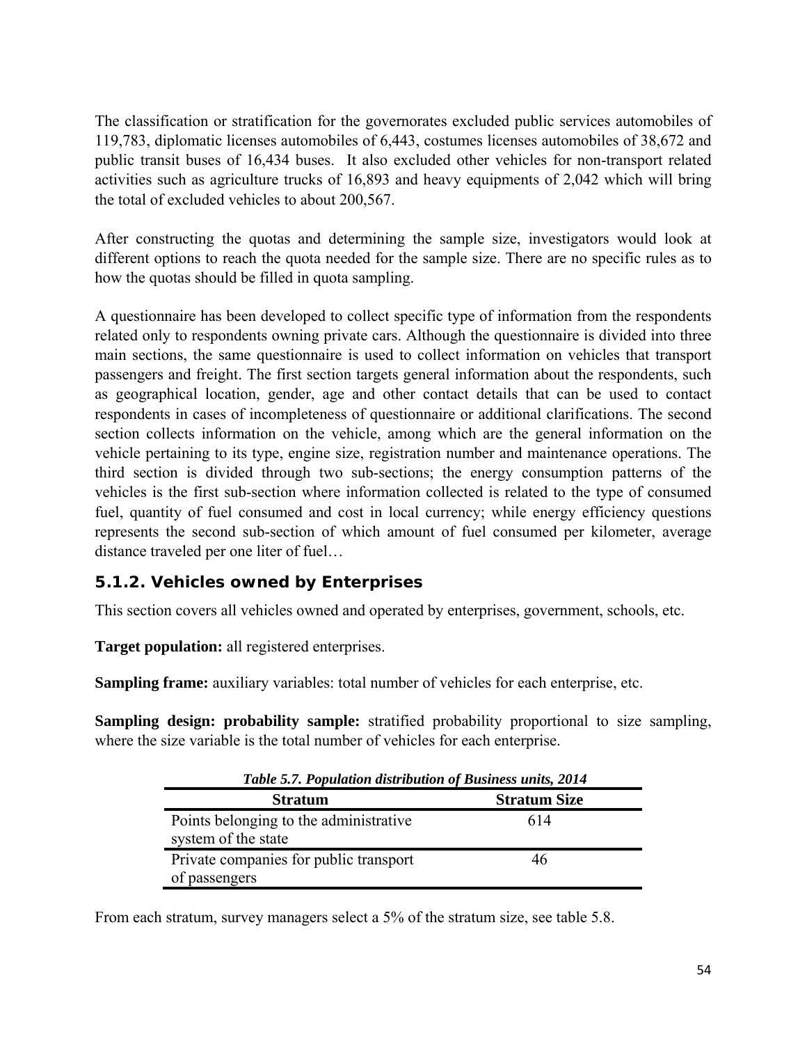<span id="page-55-0"></span>The classification or stratification for the governorates excluded public services automobiles of 119,783, diplomatic licenses automobiles of 6,443, costumes licenses automobiles of 38,672 and public transit buses of 16,434 buses. It also excluded other vehicles for non-transport related activities such as agriculture trucks of 16,893 and heavy equipments of 2,042 which will bring the total of excluded vehicles to about 200,567.

After constructing the quotas and determining the sample size, investigators would look at different options to reach the quota needed for the sample size. There are no specific rules as to how the quotas should be filled in quota sampling.

A questionnaire has been developed to collect specific type of information from the respondents related only to respondents owning private cars. Although the questionnaire is divided into three main sections, the same questionnaire is used to collect information on vehicles that transport passengers and freight. The first section targets general information about the respondents, such as geographical location, gender, age and other contact details that can be used to contact respondents in cases of incompleteness of questionnaire or additional clarifications. The second section collects information on the vehicle, among which are the general information on the vehicle pertaining to its type, engine size, registration number and maintenance operations. The third section is divided through two sub-sections; the energy consumption patterns of the vehicles is the first sub-section where information collected is related to the type of consumed fuel, quantity of fuel consumed and cost in local currency; while energy efficiency questions represents the second sub-section of which amount of fuel consumed per kilometer, average distance traveled per one liter of fuel…

## *5.1.2. Vehicles owned by Enterprises*

This section covers all vehicles owned and operated by enterprises, government, schools, etc.

**Target population:** all registered enterprises.

**Sampling frame:** auxiliary variables: total number of vehicles for each enterprise, etc.

**Sampling design: probability sample:** stratified probability proportional to size sampling, where the size variable is the total number of vehicles for each enterprise.

| Table 5.7. Population distribution of Business units, 2014    |                     |
|---------------------------------------------------------------|---------------------|
| <b>Stratum</b>                                                | <b>Stratum Size</b> |
| Points belonging to the administrative<br>system of the state | 614                 |
| Private companies for public transport<br>of passengers       | 46                  |
|                                                               |                     |

From each stratum, survey managers select a 5% of the stratum size, see table 5.8.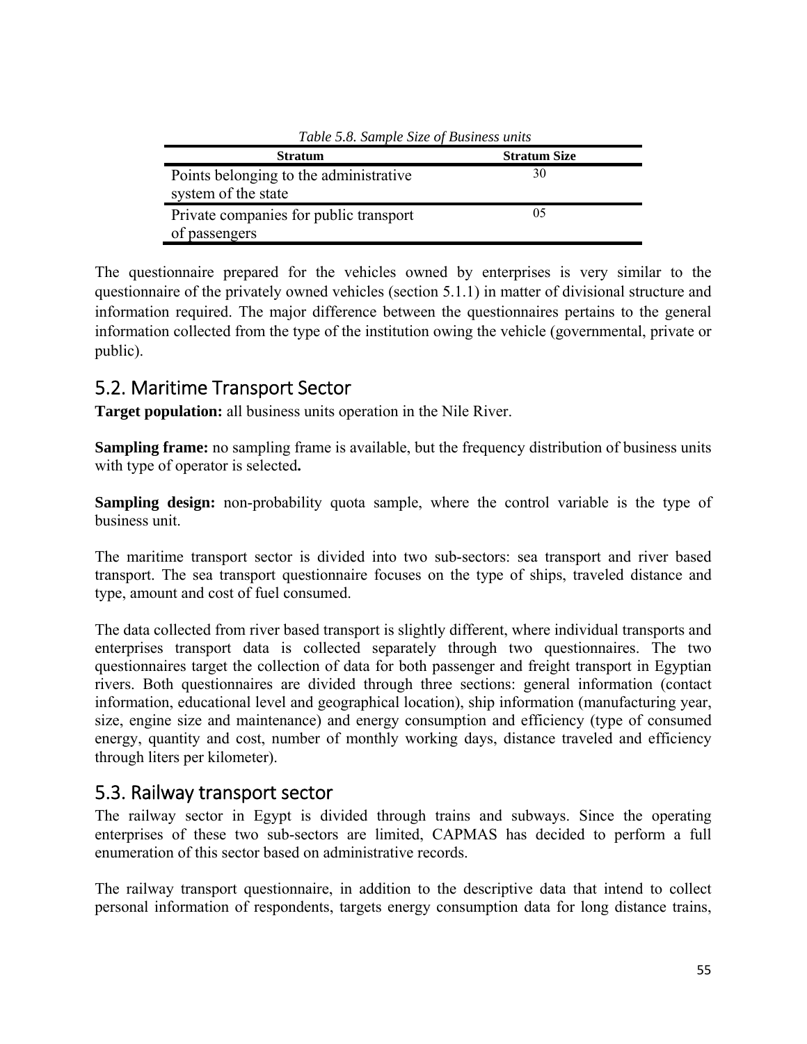<span id="page-56-0"></span>

| Table 5.8. Sample Size of Business units |                     |
|------------------------------------------|---------------------|
| <b>Stratum</b>                           | <b>Stratum Size</b> |
| Points belonging to the administrative   | 30                  |
| system of the state                      |                     |
| Private companies for public transport   | 05                  |
| of passengers                            |                     |

*Table 5.8. Sample Size of Business units* 

The questionnaire prepared for the vehicles owned by enterprises is very similar to the questionnaire of the privately owned vehicles (section 5.1.1) in matter of divisional structure and information required. The major difference between the questionnaires pertains to the general information collected from the type of the institution owing the vehicle (governmental, private or public).

## 5.2. Maritime Transport Sector

**Target population:** all business units operation in the Nile River.

**Sampling frame:** no sampling frame is available, but the frequency distribution of business units with type of operator is selected**.** 

**Sampling design:** non-probability quota sample, where the control variable is the type of business unit.

The maritime transport sector is divided into two sub-sectors: sea transport and river based transport. The sea transport questionnaire focuses on the type of ships, traveled distance and type, amount and cost of fuel consumed.

The data collected from river based transport is slightly different, where individual transports and enterprises transport data is collected separately through two questionnaires. The two questionnaires target the collection of data for both passenger and freight transport in Egyptian rivers. Both questionnaires are divided through three sections: general information (contact information, educational level and geographical location), ship information (manufacturing year, size, engine size and maintenance) and energy consumption and efficiency (type of consumed energy, quantity and cost, number of monthly working days, distance traveled and efficiency through liters per kilometer).

## 5.3. Railway transport sector

The railway sector in Egypt is divided through trains and subways. Since the operating enterprises of these two sub-sectors are limited, CAPMAS has decided to perform a full enumeration of this sector based on administrative records.

The railway transport questionnaire, in addition to the descriptive data that intend to collect personal information of respondents, targets energy consumption data for long distance trains,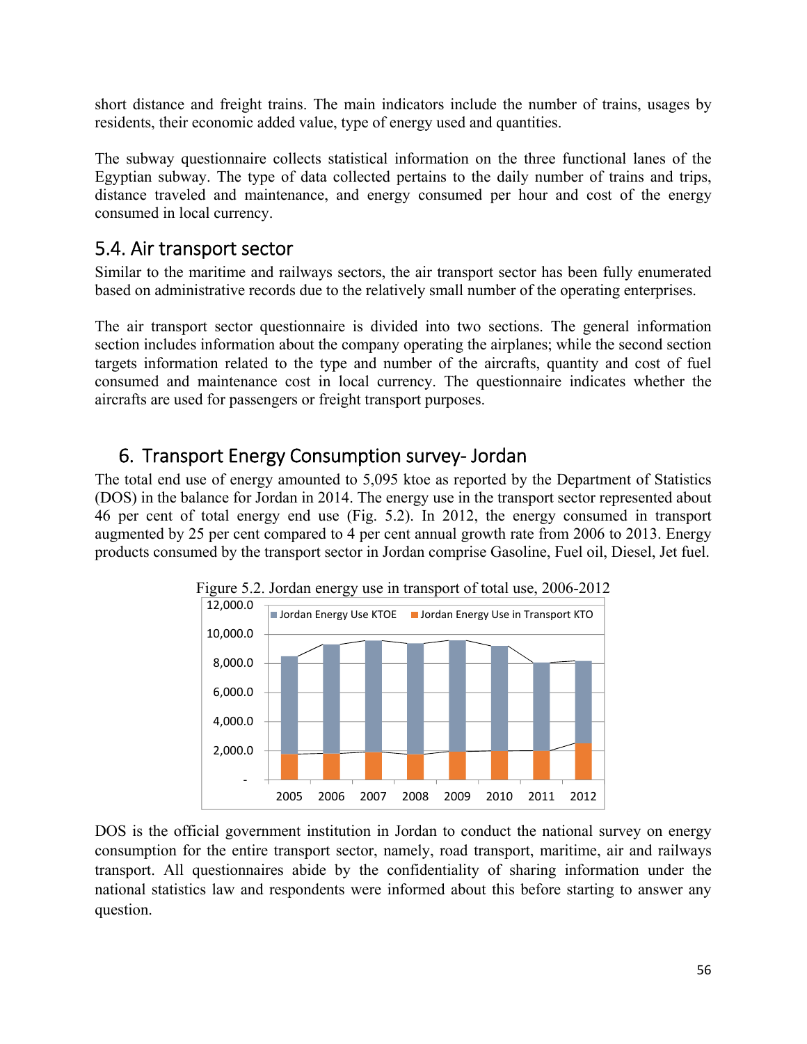<span id="page-57-0"></span>short distance and freight trains. The main indicators include the number of trains, usages by residents, their economic added value, type of energy used and quantities.

The subway questionnaire collects statistical information on the three functional lanes of the Egyptian subway. The type of data collected pertains to the daily number of trains and trips, distance traveled and maintenance, and energy consumed per hour and cost of the energy consumed in local currency.

## 5.4. Air transport sector

Similar to the maritime and railways sectors, the air transport sector has been fully enumerated based on administrative records due to the relatively small number of the operating enterprises.

The air transport sector questionnaire is divided into two sections. The general information section includes information about the company operating the airplanes; while the second section targets information related to the type and number of the aircrafts, quantity and cost of fuel consumed and maintenance cost in local currency. The questionnaire indicates whether the aircrafts are used for passengers or freight transport purposes.

## 6. Transport Energy Consumption survey‐ Jordan

The total end use of energy amounted to 5,095 ktoe as reported by the Department of Statistics (DOS) in the balance for Jordan in 2014. The energy use in the transport sector represented about 46 per cent of total energy end use (Fig. 5.2). In 2012, the energy consumed in transport augmented by 25 per cent compared to 4 per cent annual growth rate from 2006 to 2013. Energy products consumed by the transport sector in Jordan comprise Gasoline, Fuel oil, Diesel, Jet fuel.



DOS is the official government institution in Jordan to conduct the national survey on energy consumption for the entire transport sector, namely, road transport, maritime, air and railways transport. All questionnaires abide by the confidentiality of sharing information under the national statistics law and respondents were informed about this before starting to answer any question.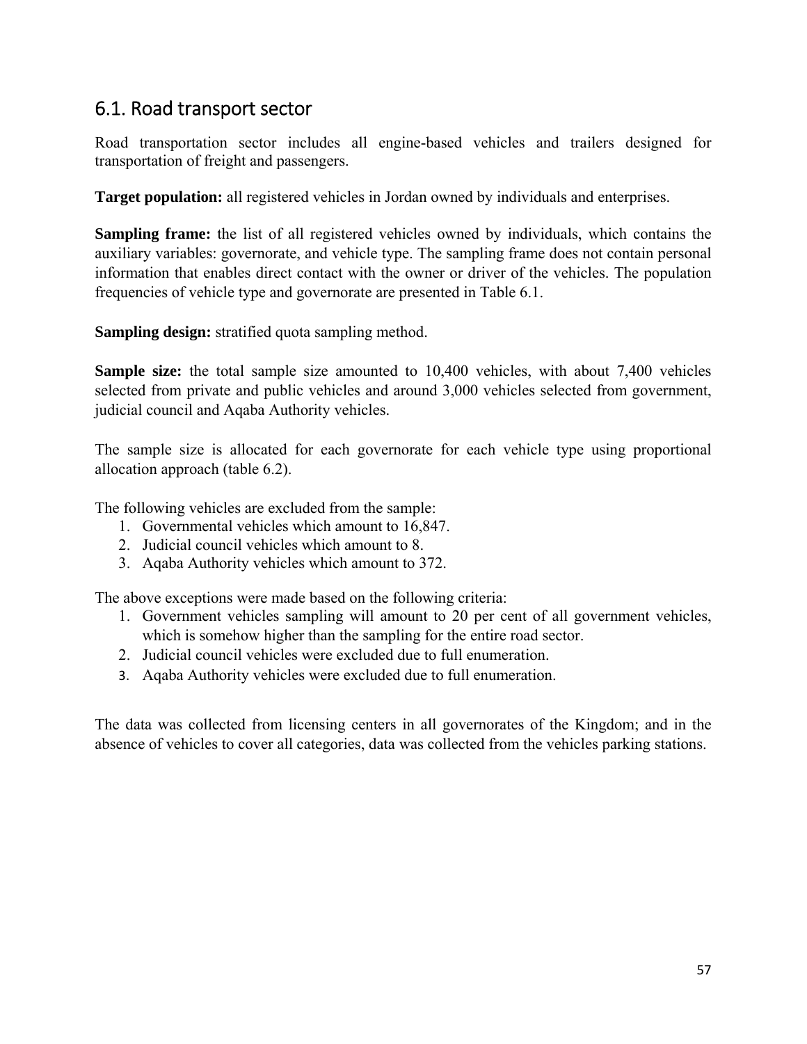## 6.1. Road transport sector

Road transportation sector includes all engine-based vehicles and trailers designed for transportation of freight and passengers.

**Target population:** all registered vehicles in Jordan owned by individuals and enterprises.

**Sampling frame:** the list of all registered vehicles owned by individuals, which contains the auxiliary variables: governorate, and vehicle type. The sampling frame does not contain personal information that enables direct contact with the owner or driver of the vehicles. The population frequencies of vehicle type and governorate are presented in Table 6.1.

**Sampling design:** stratified quota sampling method.

**Sample size:** the total sample size amounted to 10,400 vehicles, with about 7,400 vehicles selected from private and public vehicles and around 3,000 vehicles selected from government, judicial council and Aqaba Authority vehicles.

The sample size is allocated for each governorate for each vehicle type using proportional allocation approach (table 6.2).

The following vehicles are excluded from the sample:

- 1. Governmental vehicles which amount to 16,847.
- 2. Judicial council vehicles which amount to 8.
- 3. Aqaba Authority vehicles which amount to 372.

The above exceptions were made based on the following criteria:

- 1. Government vehicles sampling will amount to 20 per cent of all government vehicles, which is somehow higher than the sampling for the entire road sector.
- 2. Judicial council vehicles were excluded due to full enumeration.
- 3. Aqaba Authority vehicles were excluded due to full enumeration.

The data was collected from licensing centers in all governorates of the Kingdom; and in the absence of vehicles to cover all categories, data was collected from the vehicles parking stations.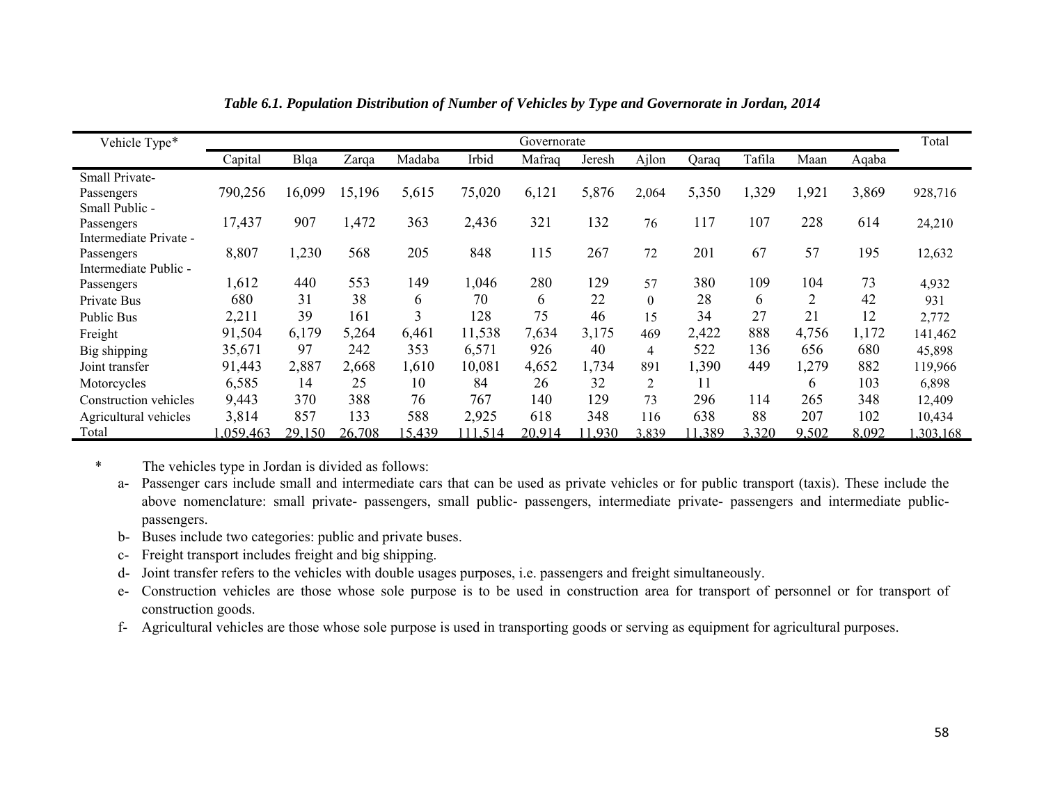| Vehicle Type*          |          |        |        |        |         | Governorate |        |                  |        |        |                |       | Total    |
|------------------------|----------|--------|--------|--------|---------|-------------|--------|------------------|--------|--------|----------------|-------|----------|
|                        | Capital  | Blqa   | Zarqa  | Madaba | Irbid   | Mafraq      | Jeresh | Ajlon            | Oaraq  | Tafila | Maan           | Aqaba |          |
| Small Private-         |          |        |        |        |         |             |        |                  |        |        |                |       |          |
| Passengers             | 790,256  | 16,099 | 15,196 | 5,615  | 75,020  | 6,121       | 5,876  | 2,064            | 5,350  | 1,329  | 1,921          | 3,869 | 928,716  |
| Small Public -         |          |        |        |        |         |             |        |                  |        |        |                |       |          |
| Passengers             | 17,437   | 907    | 1,472  | 363    | 2,436   | 321         | 132    | 76               | 117    | 107    | 228            | 614   | 24,210   |
| Intermediate Private - |          |        |        |        |         |             |        |                  |        |        |                |       |          |
| Passengers             | 8,807    | ,230   | 568    | 205    | 848     | 115         | 267    | 72               | 201    | 67     | 57             | 195   | 12,632   |
| Intermediate Public -  |          |        |        |        |         |             |        |                  |        |        |                |       |          |
| Passengers             | 1,612    | 440    | 553    | 149    | 1,046   | 280         | 129    | 57               | 380    | 109    | 104            | 73    | 4,932    |
| Private Bus            | 680      | 31     | 38     | 6      | 70      | 6           | 22     | $\boldsymbol{0}$ | 28     | 6      | $\overline{2}$ | 42    | 931      |
| <b>Public Bus</b>      | 2,211    | 39     | 161    | 3      | 128     | 75          | 46     | 15               | 34     | 27     | 21             | 12    | 2,772    |
| Freight                | 91,504   | 6,179  | 5,264  | 6,461  | 11,538  | 7,634       | 3,175  | 469              | 2,422  | 888    | 4,756          | 1,172 | 141,462  |
| Big shipping           | 35,671   | 97     | 242    | 353    | 6,571   | 926         | 40     | $\overline{4}$   | 522    | 136    | 656            | 680   | 45,898   |
| Joint transfer         | 91,443   | 2,887  | 2,668  | 1,610  | 10,081  | 4,652       | 1,734  | 891              | 1,390  | 449    | 1,279          | 882   | 119,966  |
| Motorcycles            | 6,585    | 14     | 25     | 10     | 84      | 26          | 32     | $\overline{c}$   | 11     |        | 6              | 103   | 6,898    |
| Construction vehicles  | 9,443    | 370    | 388    | 76     | 767     | 140         | 129    | 73               | 296    | 114    | 265            | 348   | 12,409   |
| Agricultural vehicles  | 3,814    | 857    | 133    | 588    | 2,925   | 618         | 348    | 116              | 638    | 88     | 207            | 102   | 10,434   |
| Total                  | .059,463 | 29,150 | 26,708 | 15,439 | 111,514 | 20,914      | 1.930  | 3.839            | 11,389 | 3,320  | 9.502          | 8,092 | .303.168 |

*Table 6.1. Population Distribution of Number of Vehicles by Type and Governorate in Jordan, 2014* 

\* The vehicles type in Jordan is divided as follows:

**D** 

a- Passenger cars include small and intermediate cars that can be used as private vehicles or for public transport (taxis). These include the above nomenclature: small private- passengers, small public- passengers, intermediate private- passengers and intermediate publicpassengers.

- b- Buses include two categories: public and private buses.
- c- Freight transport includes freight and big shipping.
- d- Joint transfer refers to the vehicles with double usages purposes, i.e. passengers and freight simultaneously.
- e- Construction vehicles are those whose sole purpose is to be used in construction area for transport of personnel or for transport of construction goods.
- f- Agricultural vehicles are those whose sole purpose is used in transporting goods or serving as equipment for agricultural purposes.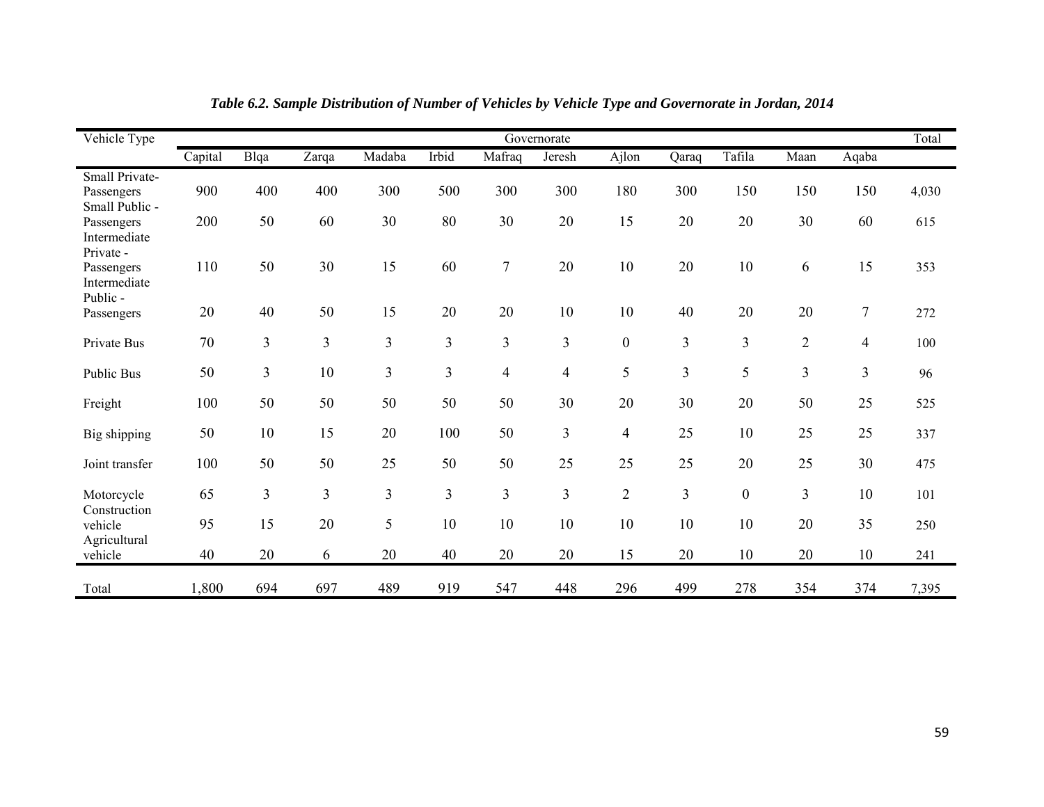| Vehicle Type                                        |         |      |                |                         |                |                  | Governorate    |                  |                |                  |                |                | Total |
|-----------------------------------------------------|---------|------|----------------|-------------------------|----------------|------------------|----------------|------------------|----------------|------------------|----------------|----------------|-------|
|                                                     | Capital | Blqa | Zarqa          | Madaba                  | Irbid          | Mafraq           | Jeresh         | Ajlon            | Qaraq          | Tafila           | Maan           | Aqaba          |       |
| Small Private-<br>Passengers<br>Small Public -      | 900     | 400  | 400            | 300                     | 500            | 300              | 300            | 180              | 300            | 150              | 150            | 150            | 4,030 |
| Passengers<br>Intermediate                          | 200     | 50   | 60             | 30                      | 80             | 30               | 20             | 15               | 20             | 20               | 30             | 60             | 615   |
| Private -<br>Passengers<br>Intermediate<br>Public - | 110     | 50   | 30             | 15                      | 60             | $\boldsymbol{7}$ | 20             | 10               | 20             | 10               | 6              | 15             | 353   |
| Passengers                                          | 20      | 40   | 50             | 15                      | 20             | 20               | 10             | 10               | 40             | 20               | 20             | $\overline{7}$ | 272   |
| Private Bus                                         | 70      | 3    | 3              | 3                       | 3              | $\mathfrak{Z}$   | $\overline{3}$ | $\boldsymbol{0}$ | 3              | 3                | $\overline{2}$ | $\overline{4}$ | 100   |
| <b>Public Bus</b>                                   | 50      | 3    | 10             | $\overline{3}$          | $\overline{3}$ | $\overline{4}$   | $\overline{4}$ | 5                | 3              | 5                | 3              | $\overline{3}$ | 96    |
| Freight                                             | 100     | 50   | 50             | 50                      | 50             | 50               | 30             | 20               | 30             | 20               | 50             | 25             | 525   |
| Big shipping                                        | 50      | 10   | 15             | 20                      | 100            | 50               | 3              | $\overline{4}$   | 25             | 10               | 25             | 25             | 337   |
| Joint transfer                                      | 100     | 50   | 50             | 25                      | 50             | 50               | 25             | 25               | 25             | 20               | 25             | 30             | 475   |
| Motorcycle                                          | 65      | 3    | $\overline{3}$ | $\overline{\mathbf{3}}$ | 3              | $\overline{3}$   | $\overline{3}$ | $\overline{2}$   | $\overline{3}$ | $\boldsymbol{0}$ | $\overline{3}$ | 10             | 101   |
| Construction<br>vehicle                             | 95      | 15   | 20             | 5                       | 10             | 10               | 10             | 10               | 10             | 10               | 20             | 35             | 250   |
| Agricultural<br>vehicle                             | 40      | 20   | 6              | 20                      | 40             | 20               | 20             | 15               | 20             | 10               | 20             | 10             | 241   |
| Total                                               | 1,800   | 694  | 697            | 489                     | 919            | 547              | 448            | 296              | 499            | 278              | 354            | 374            | 7,395 |

*Table 6.2. Sample Distribution of Number of Vehicles by Vehicle Type and Governorate in Jordan, 2014*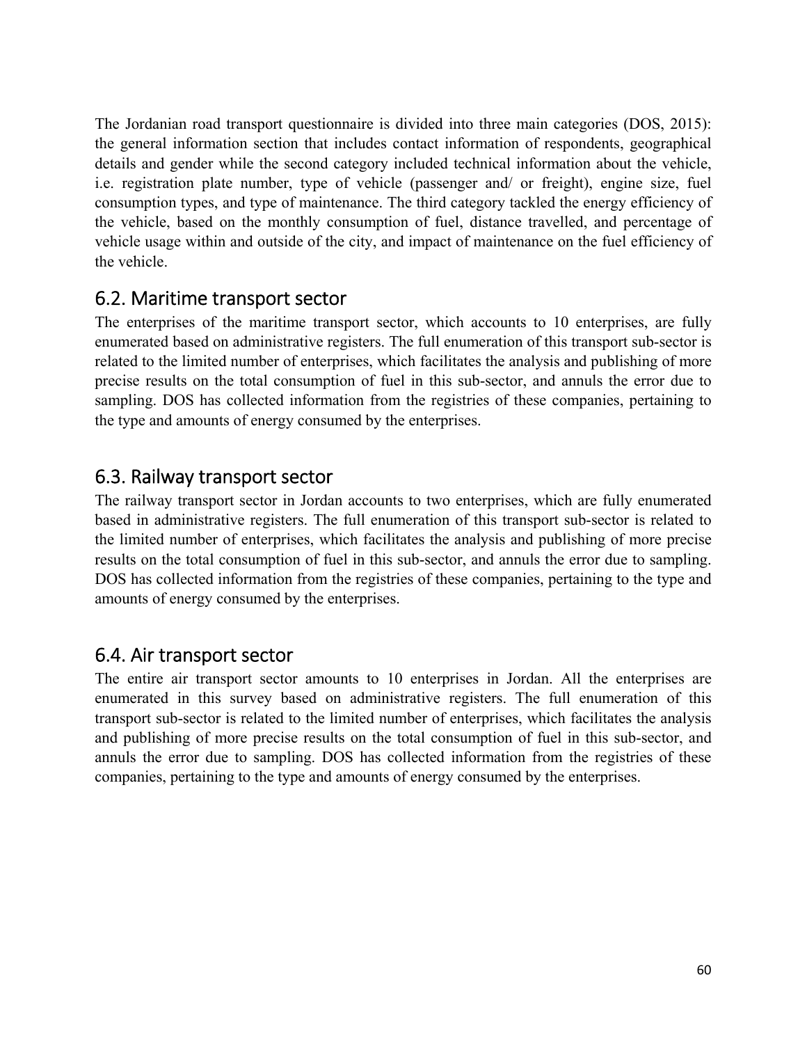<span id="page-61-0"></span>The Jordanian road transport questionnaire is divided into three main categories (DOS, 2015): the general information section that includes contact information of respondents, geographical details and gender while the second category included technical information about the vehicle, i.e. registration plate number, type of vehicle (passenger and/ or freight), engine size, fuel consumption types, and type of maintenance. The third category tackled the energy efficiency of the vehicle, based on the monthly consumption of fuel, distance travelled, and percentage of vehicle usage within and outside of the city, and impact of maintenance on the fuel efficiency of the vehicle.

## 6.2. Maritime transport sector

The enterprises of the maritime transport sector, which accounts to 10 enterprises, are fully enumerated based on administrative registers. The full enumeration of this transport sub-sector is related to the limited number of enterprises, which facilitates the analysis and publishing of more precise results on the total consumption of fuel in this sub-sector, and annuls the error due to sampling. DOS has collected information from the registries of these companies, pertaining to the type and amounts of energy consumed by the enterprises.

## 6.3. Railway transport sector

The railway transport sector in Jordan accounts to two enterprises, which are fully enumerated based in administrative registers. The full enumeration of this transport sub-sector is related to the limited number of enterprises, which facilitates the analysis and publishing of more precise results on the total consumption of fuel in this sub-sector, and annuls the error due to sampling. DOS has collected information from the registries of these companies, pertaining to the type and amounts of energy consumed by the enterprises.

## 6.4. Air transport sector

The entire air transport sector amounts to 10 enterprises in Jordan. All the enterprises are enumerated in this survey based on administrative registers. The full enumeration of this transport sub-sector is related to the limited number of enterprises, which facilitates the analysis and publishing of more precise results on the total consumption of fuel in this sub-sector, and annuls the error due to sampling. DOS has collected information from the registries of these companies, pertaining to the type and amounts of energy consumed by the enterprises.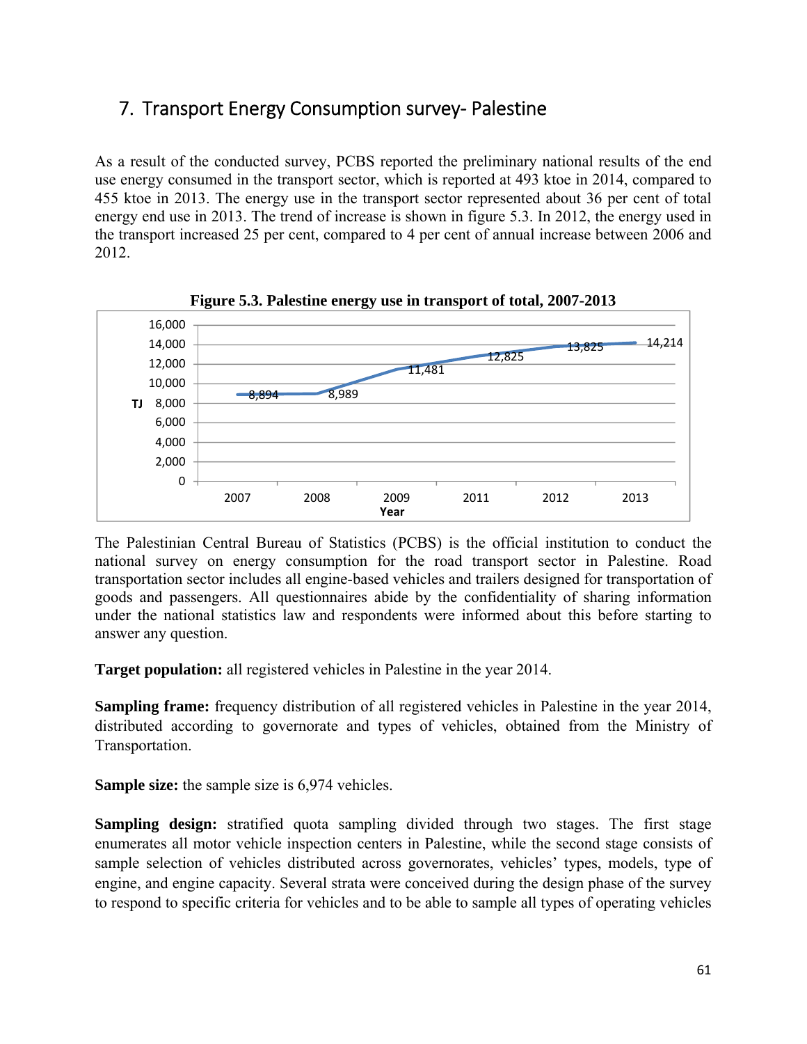## <span id="page-62-0"></span>7. Transport Energy Consumption survey‐ Palestine

As a result of the conducted survey, PCBS reported the preliminary national results of the end use energy consumed in the transport sector, which is reported at 493 ktoe in 2014, compared to 455 ktoe in 2013. The energy use in the transport sector represented about 36 per cent of total energy end use in 2013. The trend of increase is shown in figure 5.3. In 2012, the energy used in the transport increased 25 per cent, compared to 4 per cent of annual increase between 2006 and 2012.



**Figure 5.3. Palestine energy use in transport of total, 2007-2013** 

The Palestinian Central Bureau of Statistics (PCBS) is the official institution to conduct the national survey on energy consumption for the road transport sector in Palestine. Road transportation sector includes all engine-based vehicles and trailers designed for transportation of goods and passengers. All questionnaires abide by the confidentiality of sharing information under the national statistics law and respondents were informed about this before starting to answer any question.

**Target population:** all registered vehicles in Palestine in the year 2014.

**Sampling frame:** frequency distribution of all registered vehicles in Palestine in the year 2014, distributed according to governorate and types of vehicles, obtained from the Ministry of Transportation.

**Sample size:** the sample size is 6,974 vehicles.

**Sampling design:** stratified quota sampling divided through two stages. The first stage enumerates all motor vehicle inspection centers in Palestine, while the second stage consists of sample selection of vehicles distributed across governorates, vehicles' types, models, type of engine, and engine capacity. Several strata were conceived during the design phase of the survey to respond to specific criteria for vehicles and to be able to sample all types of operating vehicles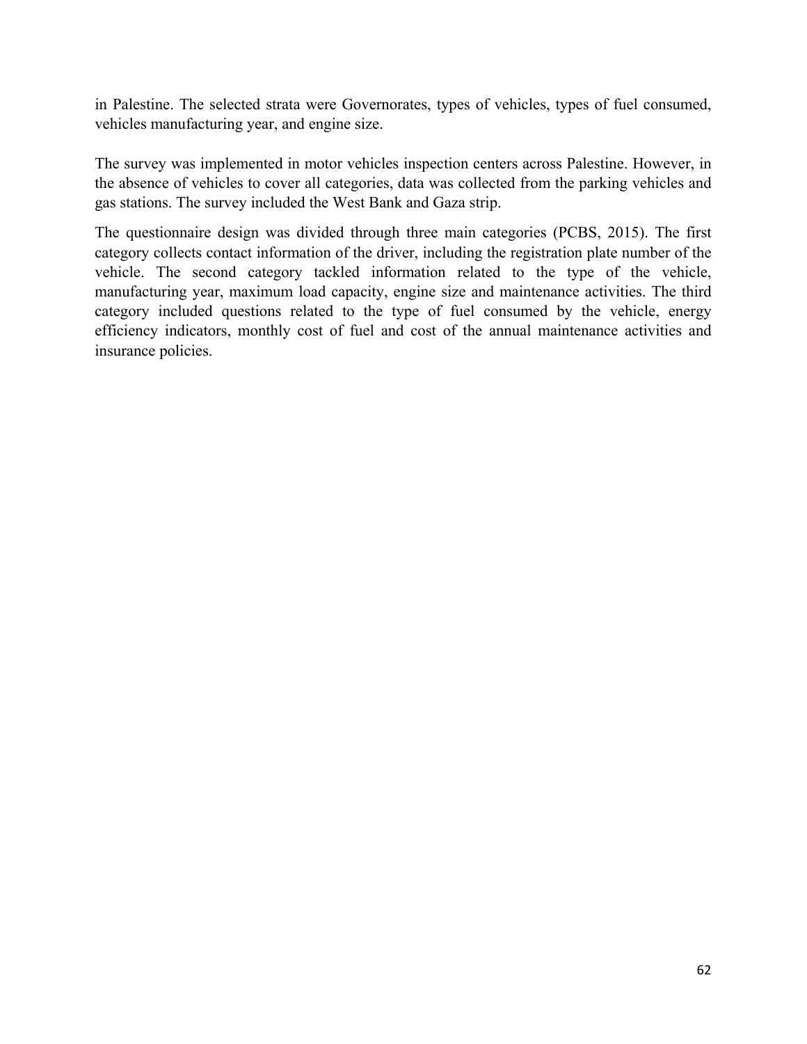in Palestine. The selected strata were Governorates, types of vehicles, types of fuel consumed, vehicles manufacturing year, and engine size.

The survey was implemented in motor vehicles inspection centers across Palestine. However, in the absence of vehicles to cover all categories, data was collected from the parking vehicles and gas stations. The survey included the West Bank and Gaza strip.

The questionnaire design was divided through three main categories (PCBS, 2015). The first category collects contact information of the driver, including the registration plate number of the vehicle. The second category tackled information related to the type of the vehicle, manufacturing year, maximum load capacity, engine size and maintenance activities. The third category included questions related to the type of fuel consumed by the vehicle, energy efficiency indicators, monthly cost of fuel and cost of the annual maintenance activities and insurance policies.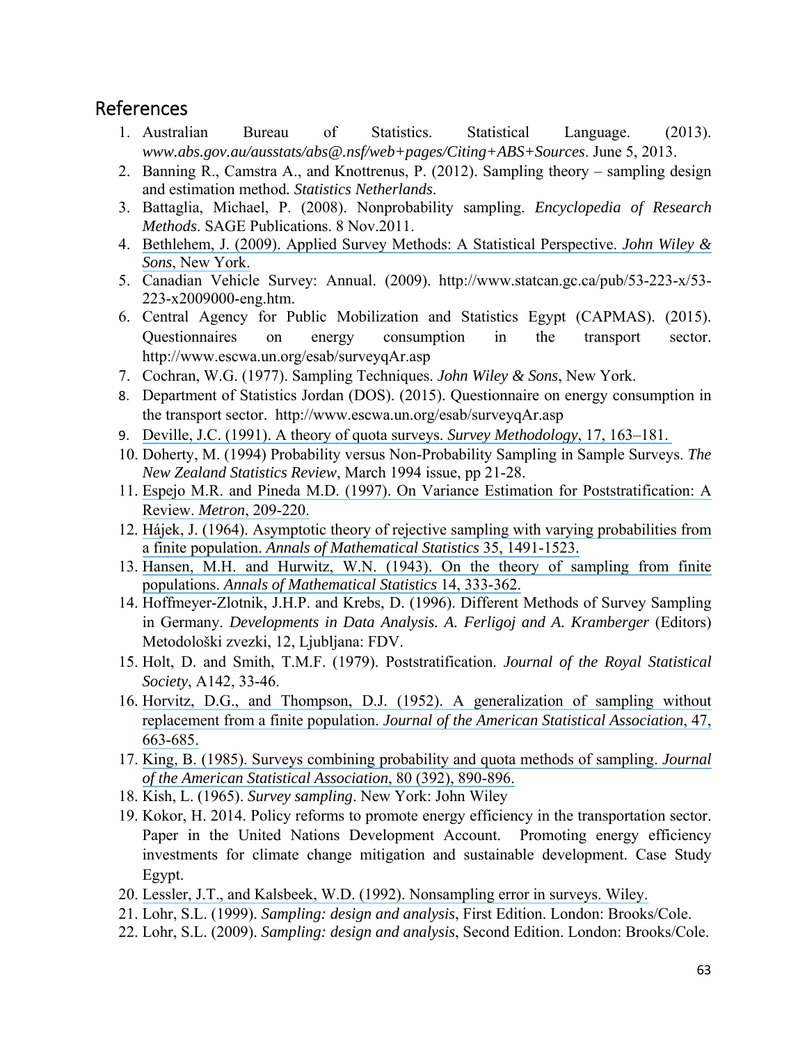## <span id="page-64-0"></span>References

- 1. Australian Bureau of Statistics. Statistical Language. (2013). *www.abs.gov.au/ausstats/abs@.nsf/web+pages/Citing+ABS+Sources*. June 5, 2013.
- 2. Banning R., Camstra A., and Knottrenus, P. (2012). Sampling theory sampling design and estimation method*. Statistics Netherlands*.
- 3. Battaglia, Michael, P. (2008). Nonprobability sampling. *Encyclopedia of Research Methods*. SAGE Publications. 8 Nov.2011.
- 4. [Bethlehem, J. \(2009\). Applied Survey Methods: A Statistical Perspective.](https://www.researchgate.net/publication/224773052_Applied_Survey_Methods_A_Statistical_Perspective?el=1_x_8&enrichId=rgreq-fda677c61fd774d007298727f6625c97-XXX&enrichSource=Y292ZXJQYWdlOzI4MTI2OTMyNjtBUzoyNjY2MzUwNTU0NjQ0NDhAMTQ0MDU4MjE1OTA3OA==) *John Wiley & Sons*[, New York.](https://www.researchgate.net/publication/224773052_Applied_Survey_Methods_A_Statistical_Perspective?el=1_x_8&enrichId=rgreq-fda677c61fd774d007298727f6625c97-XXX&enrichSource=Y292ZXJQYWdlOzI4MTI2OTMyNjtBUzoyNjY2MzUwNTU0NjQ0NDhAMTQ0MDU4MjE1OTA3OA==)
- 5. Canadian Vehicle Survey: Annual. (2009). http://www.statcan.gc.ca/pub/53-223-x/53- 223-x2009000-eng.htm.
- 6. Central Agency for Public Mobilization and Statistics Egypt (CAPMAS). (2015). Questionnaires on energy consumption in the transport sector. http://www.escwa.un.org/esab/surveyqAr.asp
- 7. Cochran, W.G. (1977). Sampling Techniques. *John Wiley & Sons*, New York.
- 8. Department of Statistics Jordan (DOS). (2015). Questionnaire on energy consumption in the transport sector. http://www.escwa.un.org/esab/surveyqAr.asp
- 9. [Deville, J.C. \(1991\). A theory of quota surveys.](https://www.researchgate.net/publication/285734855_A_theory_of_quota_surveys?el=1_x_8&enrichId=rgreq-fda677c61fd774d007298727f6625c97-XXX&enrichSource=Y292ZXJQYWdlOzI4MTI2OTMyNjtBUzoyNjY2MzUwNTU0NjQ0NDhAMTQ0MDU4MjE1OTA3OA==) *Survey Methodology*, 17, 163–181.
- 10. Doherty, M. (1994) Probability versus Non-Probability Sampling in Sample Surveys. *The New Zealand Statistics Review*, March 1994 issue, pp 21-28.
- 11. [Espejo M.R. and Pineda M.D. \(1997\). On Variance Estimation for Poststratification: A](https://www.researchgate.net/publication/266351714_On_variance_estimation_for_poststratification_a_review?el=1_x_8&enrichId=rgreq-fda677c61fd774d007298727f6625c97-XXX&enrichSource=Y292ZXJQYWdlOzI4MTI2OTMyNjtBUzoyNjY2MzUwNTU0NjQ0NDhAMTQ0MDU4MjE1OTA3OA==) Review. *Metron*[, 209-220.](https://www.researchgate.net/publication/266351714_On_variance_estimation_for_poststratification_a_review?el=1_x_8&enrichId=rgreq-fda677c61fd774d007298727f6625c97-XXX&enrichSource=Y292ZXJQYWdlOzI4MTI2OTMyNjtBUzoyNjY2MzUwNTU0NjQ0NDhAMTQ0MDU4MjE1OTA3OA==)
- 12. [Hájek, J. \(1964\). Asymptotic theory of rejective sampling with varying probabilities from](https://www.researchgate.net/publication/38365844_Asymptotic_Theory_of_Rejective_Sampling_with_Varying_Probabilities_from_a_Finite_Population?el=1_x_8&enrichId=rgreq-fda677c61fd774d007298727f6625c97-XXX&enrichSource=Y292ZXJQYWdlOzI4MTI2OTMyNjtBUzoyNjY2MzUwNTU0NjQ0NDhAMTQ0MDU4MjE1OTA3OA==) a finite population. *[Annals of Mathematical Statistics](https://www.researchgate.net/publication/38365844_Asymptotic_Theory_of_Rejective_Sampling_with_Varying_Probabilities_from_a_Finite_Population?el=1_x_8&enrichId=rgreq-fda677c61fd774d007298727f6625c97-XXX&enrichSource=Y292ZXJQYWdlOzI4MTI2OTMyNjtBUzoyNjY2MzUwNTU0NjQ0NDhAMTQ0MDU4MjE1OTA3OA==)* 35, 1491-1523.
- 13. [Hansen, M.H. and Hurwitz, W.N. \(1943\). On the theory of sampling from finite](https://www.researchgate.net/publication/38368077_On_the_Theory_of_Sampling_from_Finite_Populations?el=1_x_8&enrichId=rgreq-fda677c61fd774d007298727f6625c97-XXX&enrichSource=Y292ZXJQYWdlOzI4MTI2OTMyNjtBUzoyNjY2MzUwNTU0NjQ0NDhAMTQ0MDU4MjE1OTA3OA==) populations. *[Annals of Mathematical Statistics](https://www.researchgate.net/publication/38368077_On_the_Theory_of_Sampling_from_Finite_Populations?el=1_x_8&enrichId=rgreq-fda677c61fd774d007298727f6625c97-XXX&enrichSource=Y292ZXJQYWdlOzI4MTI2OTMyNjtBUzoyNjY2MzUwNTU0NjQ0NDhAMTQ0MDU4MjE1OTA3OA==)* 14, 333-362.
- 14. Hoffmeyer-Zlotnik, J.H.P. and Krebs, D. (1996). Different Methods of Survey Sampling in Germany. *Developments in Data Analysis. A. Ferligoj and A. Kramberger* (Editors) Metodološki zvezki, 12, Ljubljana: FDV.
- 15. Holt, D. and Smith, T.M.F. (1979). Poststratification. *Journal of the Royal Statistical Society*, A142, 33-46.
- 16. [Horvitz, D.G., and Thompson, D.J. \(1952\). A generalization of sampling without](https://www.researchgate.net/publication/232128642_A_Generalization_of_Sampling_Without_Replacement_From_a_Finite_Universe?el=1_x_8&enrichId=rgreq-fda677c61fd774d007298727f6625c97-XXX&enrichSource=Y292ZXJQYWdlOzI4MTI2OTMyNjtBUzoyNjY2MzUwNTU0NjQ0NDhAMTQ0MDU4MjE1OTA3OA==)  replacement from a finite population. *[Journal of the American Statistical Association](https://www.researchgate.net/publication/232128642_A_Generalization_of_Sampling_Without_Replacement_From_a_Finite_Universe?el=1_x_8&enrichId=rgreq-fda677c61fd774d007298727f6625c97-XXX&enrichSource=Y292ZXJQYWdlOzI4MTI2OTMyNjtBUzoyNjY2MzUwNTU0NjQ0NDhAMTQ0MDU4MjE1OTA3OA==)*, 47, [663-685.](https://www.researchgate.net/publication/232128642_A_Generalization_of_Sampling_Without_Replacement_From_a_Finite_Universe?el=1_x_8&enrichId=rgreq-fda677c61fd774d007298727f6625c97-XXX&enrichSource=Y292ZXJQYWdlOzI4MTI2OTMyNjtBUzoyNjY2MzUwNTU0NjQ0NDhAMTQ0MDU4MjE1OTA3OA==)
- 17. [King, B. \(1985\). Surveys combining probability and quota methods of sampling.](https://www.researchgate.net/publication/241721836_Surveys_Combining_Probability_and_Quota_Methods_of_Sampling?el=1_x_8&enrichId=rgreq-fda677c61fd774d007298727f6625c97-XXX&enrichSource=Y292ZXJQYWdlOzI4MTI2OTMyNjtBUzoyNjY2MzUwNTU0NjQ0NDhAMTQ0MDU4MjE1OTA3OA==) *Journal [of the American Statistical Association](https://www.researchgate.net/publication/241721836_Surveys_Combining_Probability_and_Quota_Methods_of_Sampling?el=1_x_8&enrichId=rgreq-fda677c61fd774d007298727f6625c97-XXX&enrichSource=Y292ZXJQYWdlOzI4MTI2OTMyNjtBUzoyNjY2MzUwNTU0NjQ0NDhAMTQ0MDU4MjE1OTA3OA==)*, 80 (392), 890-896.
- 18. Kish, L. (1965). *Survey sampling*. New York: John Wiley
- 19. Kokor, H. 2014. Policy reforms to promote energy efficiency in the transportation sector. Paper in the United Nations Development Account. Promoting energy efficiency investments for climate change mitigation and sustainable development. Case Study Egypt.
- 20. [Lessler, J.T., and Kalsbeek, W.D. \(1992\). Nonsampling error in surveys. Wiley.](https://www.researchgate.net/publication/265369810_Nonsampling_Error_in_Surveys?el=1_x_8&enrichId=rgreq-fda677c61fd774d007298727f6625c97-XXX&enrichSource=Y292ZXJQYWdlOzI4MTI2OTMyNjtBUzoyNjY2MzUwNTU0NjQ0NDhAMTQ0MDU4MjE1OTA3OA==)
- 21. Lohr, S.L. (1999). *Sampling: design and analysis*, First Edition. London: Brooks/Cole.
- 22. Lohr, S.L. (2009). *Sampling: design and analysis*, Second Edition. London: Brooks/Cole.